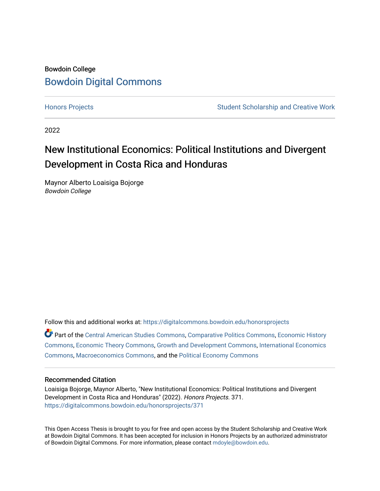# Bowdoin College [Bowdoin Digital Commons](https://digitalcommons.bowdoin.edu/)

[Honors Projects](https://digitalcommons.bowdoin.edu/honorsprojects) **Student Scholarship and Creative Work** Student Scholarship and Creative Work

2022

# New Institutional Economics: Political Institutions and Divergent Development in Costa Rica and Honduras

Maynor Alberto Loaisiga Bojorge Bowdoin College

Follow this and additional works at: [https://digitalcommons.bowdoin.edu/honorsprojects](https://digitalcommons.bowdoin.edu/honorsprojects?utm_source=digitalcommons.bowdoin.edu%2Fhonorsprojects%2F371&utm_medium=PDF&utm_campaign=PDFCoverPages)

Part of the [Central American Studies Commons](https://network.bepress.com/hgg/discipline/1438?utm_source=digitalcommons.bowdoin.edu%2Fhonorsprojects%2F371&utm_medium=PDF&utm_campaign=PDFCoverPages), [Comparative Politics Commons](https://network.bepress.com/hgg/discipline/388?utm_source=digitalcommons.bowdoin.edu%2Fhonorsprojects%2F371&utm_medium=PDF&utm_campaign=PDFCoverPages), [Economic History](https://network.bepress.com/hgg/discipline/343?utm_source=digitalcommons.bowdoin.edu%2Fhonorsprojects%2F371&utm_medium=PDF&utm_campaign=PDFCoverPages)  [Commons](https://network.bepress.com/hgg/discipline/343?utm_source=digitalcommons.bowdoin.edu%2Fhonorsprojects%2F371&utm_medium=PDF&utm_campaign=PDFCoverPages), [Economic Theory Commons](https://network.bepress.com/hgg/discipline/344?utm_source=digitalcommons.bowdoin.edu%2Fhonorsprojects%2F371&utm_medium=PDF&utm_campaign=PDFCoverPages), [Growth and Development Commons,](https://network.bepress.com/hgg/discipline/346?utm_source=digitalcommons.bowdoin.edu%2Fhonorsprojects%2F371&utm_medium=PDF&utm_campaign=PDFCoverPages) [International Economics](https://network.bepress.com/hgg/discipline/348?utm_source=digitalcommons.bowdoin.edu%2Fhonorsprojects%2F371&utm_medium=PDF&utm_campaign=PDFCoverPages)  [Commons](https://network.bepress.com/hgg/discipline/348?utm_source=digitalcommons.bowdoin.edu%2Fhonorsprojects%2F371&utm_medium=PDF&utm_campaign=PDFCoverPages), [Macroeconomics Commons,](https://network.bepress.com/hgg/discipline/350?utm_source=digitalcommons.bowdoin.edu%2Fhonorsprojects%2F371&utm_medium=PDF&utm_campaign=PDFCoverPages) and the [Political Economy Commons](https://network.bepress.com/hgg/discipline/352?utm_source=digitalcommons.bowdoin.edu%2Fhonorsprojects%2F371&utm_medium=PDF&utm_campaign=PDFCoverPages) 

# Recommended Citation

Loaisiga Bojorge, Maynor Alberto, "New Institutional Economics: Political Institutions and Divergent Development in Costa Rica and Honduras" (2022). Honors Projects. 371. [https://digitalcommons.bowdoin.edu/honorsprojects/371](https://digitalcommons.bowdoin.edu/honorsprojects/371?utm_source=digitalcommons.bowdoin.edu%2Fhonorsprojects%2F371&utm_medium=PDF&utm_campaign=PDFCoverPages)

This Open Access Thesis is brought to you for free and open access by the Student Scholarship and Creative Work at Bowdoin Digital Commons. It has been accepted for inclusion in Honors Projects by an authorized administrator of Bowdoin Digital Commons. For more information, please contact [mdoyle@bowdoin.edu.](mailto:mdoyle@bowdoin.edu)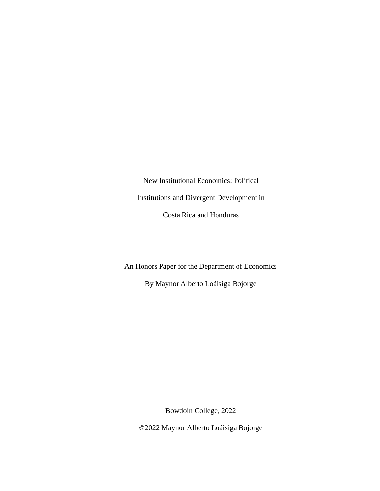New Institutional Economics: Political Institutions and Divergent Development in Costa Rica and Honduras

An Honors Paper for the Department of Economics

By Maynor Alberto Loáisiga Bojorge

Bowdoin College, 2022

©2022 Maynor Alberto Loáisiga Bojorge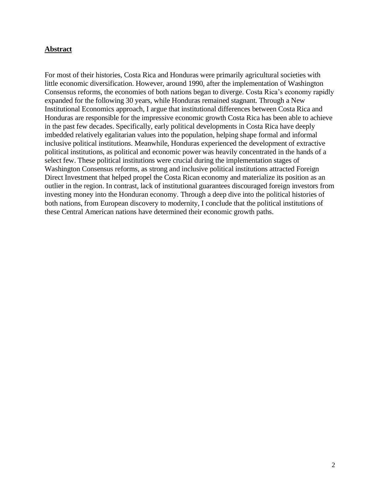# **Abstract**

For most of their histories, Costa Rica and Honduras were primarily agricultural societies with little economic diversification. However, around 1990, after the implementation of Washington Consensus reforms, the economies of both nations began to diverge. Costa Rica's economy rapidly expanded for the following 30 years, while Honduras remained stagnant. Through a New Institutional Economics approach, I argue that institutional differences between Costa Rica and Honduras are responsible for the impressive economic growth Costa Rica has been able to achieve in the past few decades. Specifically, early political developments in Costa Rica have deeply imbedded relatively egalitarian values into the population, helping shape formal and informal inclusive political institutions. Meanwhile, Honduras experienced the development of extractive political institutions, as political and economic power was heavily concentrated in the hands of a select few. These political institutions were crucial during the implementation stages of Washington Consensus reforms, as strong and inclusive political institutions attracted Foreign Direct Investment that helped propel the Costa Rican economy and materialize its position as an outlier in the region. In contrast, lack of institutional guarantees discouraged foreign investors from investing money into the Honduran economy. Through a deep dive into the political histories of both nations, from European discovery to modernity, I conclude that the political institutions of these Central American nations have determined their economic growth paths.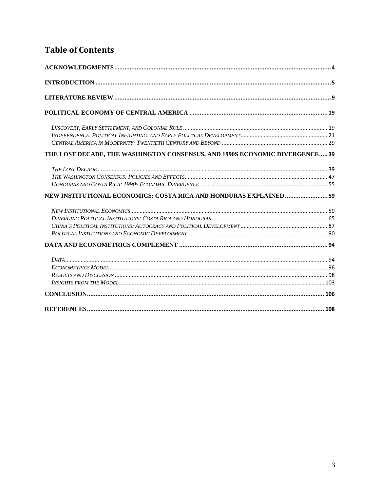# **Table of Contents**

| THE LOST DECADE, THE WASHINGTON CONSENSUS, AND 1990S ECONOMIC DIVERGENCE 39 |  |
|-----------------------------------------------------------------------------|--|
|                                                                             |  |
|                                                                             |  |
|                                                                             |  |
| NEW INSTITUTIONAL ECONOMICS: COSTA RICA AND HONDURAS EXPLAINED 59           |  |
|                                                                             |  |
|                                                                             |  |
|                                                                             |  |
|                                                                             |  |
|                                                                             |  |
|                                                                             |  |
|                                                                             |  |
|                                                                             |  |
|                                                                             |  |
|                                                                             |  |
|                                                                             |  |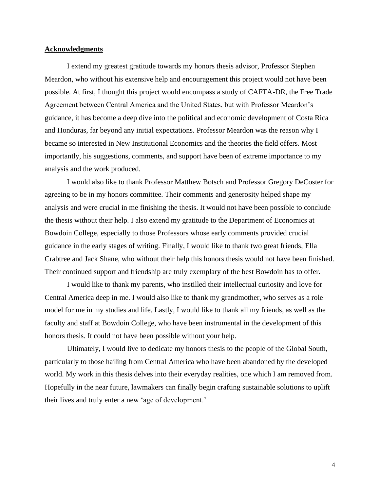#### <span id="page-4-0"></span>**Acknowledgments**

I extend my greatest gratitude towards my honors thesis advisor, Professor Stephen Meardon, who without his extensive help and encouragement this project would not have been possible. At first, I thought this project would encompass a study of CAFTA-DR, the Free Trade Agreement between Central America and the United States, but with Professor Meardon's guidance, it has become a deep dive into the political and economic development of Costa Rica and Honduras, far beyond any initial expectations. Professor Meardon was the reason why I became so interested in New Institutional Economics and the theories the field offers. Most importantly, his suggestions, comments, and support have been of extreme importance to my analysis and the work produced.

I would also like to thank Professor Matthew Botsch and Professor Gregory DeCoster for agreeing to be in my honors committee. Their comments and generosity helped shape my analysis and were crucial in me finishing the thesis. It would not have been possible to conclude the thesis without their help. I also extend my gratitude to the Department of Economics at Bowdoin College, especially to those Professors whose early comments provided crucial guidance in the early stages of writing. Finally, I would like to thank two great friends, Ella Crabtree and Jack Shane, who without their help this honors thesis would not have been finished. Their continued support and friendship are truly exemplary of the best Bowdoin has to offer.

I would like to thank my parents, who instilled their intellectual curiosity and love for Central America deep in me. I would also like to thank my grandmother, who serves as a role model for me in my studies and life. Lastly, I would like to thank all my friends, as well as the faculty and staff at Bowdoin College, who have been instrumental in the development of this honors thesis. It could not have been possible without your help.

Ultimately, I would live to dedicate my honors thesis to the people of the Global South, particularly to those hailing from Central America who have been abandoned by the developed world. My work in this thesis delves into their everyday realities, one which I am removed from. Hopefully in the near future, lawmakers can finally begin crafting sustainable solutions to uplift their lives and truly enter a new 'age of development.'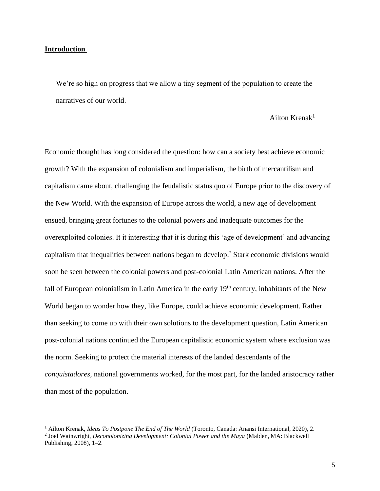## <span id="page-5-0"></span>**Introduction**

We're so high on progress that we allow a tiny segment of the population to create the narratives of our world.

# Ailton Krenak<sup>1</sup>

Economic thought has long considered the question: how can a society best achieve economic growth? With the expansion of colonialism and imperialism, the birth of mercantilism and capitalism came about, challenging the feudalistic status quo of Europe prior to the discovery of the New World. With the expansion of Europe across the world, a new age of development ensued, bringing great fortunes to the colonial powers and inadequate outcomes for the overexploited colonies. It it interesting that it is during this 'age of development' and advancing capitalism that inequalities between nations began to develop. <sup>2</sup> Stark economic divisions would soon be seen between the colonial powers and post-colonial Latin American nations. After the fall of European colonialism in Latin America in the early 19<sup>th</sup> century, inhabitants of the New World began to wonder how they, like Europe, could achieve economic development. Rather than seeking to come up with their own solutions to the development question, Latin American post-colonial nations continued the European capitalistic economic system where exclusion was the norm. Seeking to protect the material interests of the landed descendants of the *conquistadores,* national governments worked, for the most part, for the landed aristocracy rather than most of the population.

<sup>1</sup> Ailton Krenak, *Ideas To Postpone The End of The World* (Toronto, Canada: Anansi International, 2020), 2.

<sup>2</sup> Joel Wainwright, *Deconolonizing Development: Colonial Power and the Maya* (Malden, MA: Blackwell Publishing, 2008), 1–2.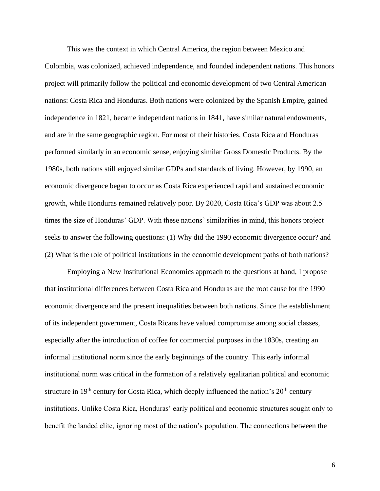This was the context in which Central America, the region between Mexico and Colombia, was colonized, achieved independence, and founded independent nations. This honors project will primarily follow the political and economic development of two Central American nations: Costa Rica and Honduras. Both nations were colonized by the Spanish Empire, gained independence in 1821, became independent nations in 1841, have similar natural endowments, and are in the same geographic region. For most of their histories, Costa Rica and Honduras performed similarly in an economic sense, enjoying similar Gross Domestic Products. By the 1980s, both nations still enjoyed similar GDPs and standards of living. However, by 1990, an economic divergence began to occur as Costa Rica experienced rapid and sustained economic growth, while Honduras remained relatively poor. By 2020, Costa Rica's GDP was about 2.5 times the size of Honduras' GDP. With these nations' similarities in mind, this honors project seeks to answer the following questions: (1) Why did the 1990 economic divergence occur? and (2) What is the role of political institutions in the economic development paths of both nations?

Employing a New Institutional Economics approach to the questions at hand, I propose that institutional differences between Costa Rica and Honduras are the root cause for the 1990 economic divergence and the present inequalities between both nations. Since the establishment of its independent government, Costa Ricans have valued compromise among social classes, especially after the introduction of coffee for commercial purposes in the 1830s, creating an informal institutional norm since the early beginnings of the country. This early informal institutional norm was critical in the formation of a relatively egalitarian political and economic structure in  $19<sup>th</sup>$  century for Costa Rica, which deeply influenced the nation's  $20<sup>th</sup>$  century institutions. Unlike Costa Rica, Honduras' early political and economic structures sought only to benefit the landed elite, ignoring most of the nation's population. The connections between the

6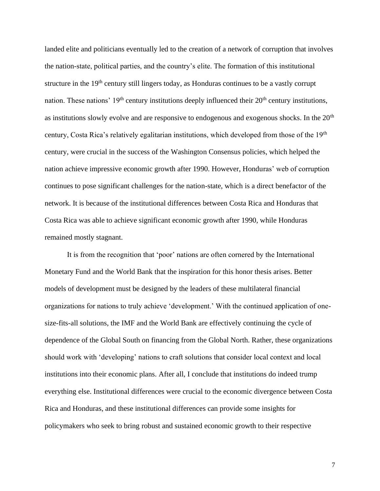landed elite and politicians eventually led to the creation of a network of corruption that involves the nation-state, political parties, and the country's elite. The formation of this institutional structure in the 19th century still lingers today, as Honduras continues to be a vastly corrupt nation. These nations'  $19<sup>th</sup>$  century institutions deeply influenced their  $20<sup>th</sup>$  century institutions, as institutions slowly evolve and are responsive to endogenous and exogenous shocks. In the 20<sup>th</sup> century, Costa Rica's relatively egalitarian institutions, which developed from those of the 19th century, were crucial in the success of the Washington Consensus policies, which helped the nation achieve impressive economic growth after 1990. However, Honduras' web of corruption continues to pose significant challenges for the nation-state, which is a direct benefactor of the network. It is because of the institutional differences between Costa Rica and Honduras that Costa Rica was able to achieve significant economic growth after 1990, while Honduras remained mostly stagnant.

It is from the recognition that 'poor' nations are often cornered by the International Monetary Fund and the World Bank that the inspiration for this honor thesis arises. Better models of development must be designed by the leaders of these multilateral financial organizations for nations to truly achieve 'development.' With the continued application of onesize-fits-all solutions, the IMF and the World Bank are effectively continuing the cycle of dependence of the Global South on financing from the Global North. Rather, these organizations should work with 'developing' nations to craft solutions that consider local context and local institutions into their economic plans. After all, I conclude that institutions do indeed trump everything else. Institutional differences were crucial to the economic divergence between Costa Rica and Honduras, and these institutional differences can provide some insights for policymakers who seek to bring robust and sustained economic growth to their respective

7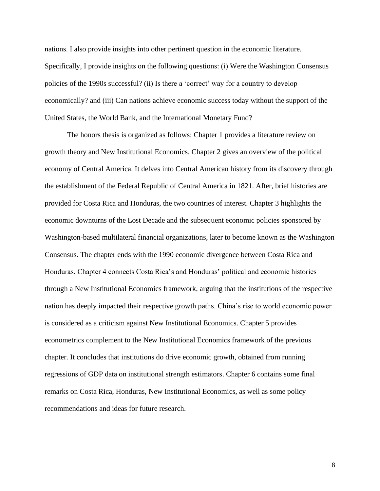nations. I also provide insights into other pertinent question in the economic literature. Specifically, I provide insights on the following questions: (i) Were the Washington Consensus policies of the 1990s successful? (ii) Is there a 'correct' way for a country to develop economically? and (iii) Can nations achieve economic success today without the support of the United States, the World Bank, and the International Monetary Fund?

The honors thesis is organized as follows: Chapter 1 provides a literature review on growth theory and New Institutional Economics. Chapter 2 gives an overview of the political economy of Central America. It delves into Central American history from its discovery through the establishment of the Federal Republic of Central America in 1821. After, brief histories are provided for Costa Rica and Honduras, the two countries of interest. Chapter 3 highlights the economic downturns of the Lost Decade and the subsequent economic policies sponsored by Washington-based multilateral financial organizations, later to become known as the Washington Consensus. The chapter ends with the 1990 economic divergence between Costa Rica and Honduras. Chapter 4 connects Costa Rica's and Honduras' political and economic histories through a New Institutional Economics framework, arguing that the institutions of the respective nation has deeply impacted their respective growth paths. China's rise to world economic power is considered as a criticism against New Institutional Economics. Chapter 5 provides econometrics complement to the New Institutional Economics framework of the previous chapter. It concludes that institutions do drive economic growth, obtained from running regressions of GDP data on institutional strength estimators. Chapter 6 contains some final remarks on Costa Rica, Honduras, New Institutional Economics, as well as some policy recommendations and ideas for future research.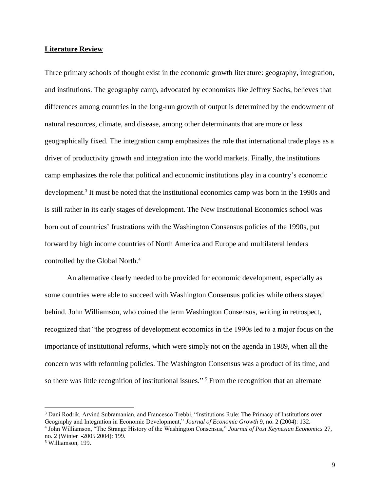#### <span id="page-9-0"></span>**Literature Review**

Three primary schools of thought exist in the economic growth literature: geography, integration, and institutions. The geography camp, advocated by economists like Jeffrey Sachs, believes that differences among countries in the long-run growth of output is determined by the endowment of natural resources, climate, and disease, among other determinants that are more or less geographically fixed. The integration camp emphasizes the role that international trade plays as a driver of productivity growth and integration into the world markets. Finally, the institutions camp emphasizes the role that political and economic institutions play in a country's economic development. 3 It must be noted that the institutional economics camp was born in the 1990s and is still rather in its early stages of development. The New Institutional Economics school was born out of countries' frustrations with the Washington Consensus policies of the 1990s, put forward by high income countries of North America and Europe and multilateral lenders controlled by the Global North. 4

An alternative clearly needed to be provided for economic development, especially as some countries were able to succeed with Washington Consensus policies while others stayed behind. John Williamson, who coined the term Washington Consensus, writing in retrospect, recognized that "the progress of development economics in the 1990s led to a major focus on the importance of institutional reforms, which were simply not on the agenda in 1989, when all the concern was with reforming policies. The Washington Consensus was a product of its time, and so there was little recognition of institutional issues." <sup>5</sup> From the recognition that an alternate

<sup>3</sup> Dani Rodrik, Arvind Subramanian, and Francesco Trebbi, "Institutions Rule: The Primacy of Institutions over Geography and Integration in Economic Development," *Journal of Economic Growth* 9, no. 2 (2004): 132.

<sup>4</sup> John Williamson, "The Strange History of the Washington Consensus," *Journal of Post Keynesian Economics* 27, no. 2 (Winter -2005 2004): 199.

<sup>5</sup> Williamson, 199.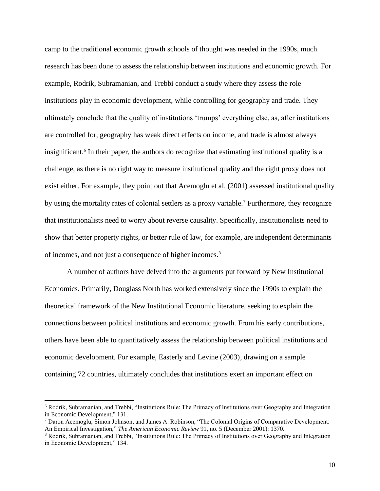camp to the traditional economic growth schools of thought was needed in the 1990s, much research has been done to assess the relationship between institutions and economic growth. For example, Rodrik, Subramanian, and Trebbi conduct a study where they assess the role institutions play in economic development, while controlling for geography and trade. They ultimately conclude that the quality of institutions 'trumps' everything else, as, after institutions are controlled for, geography has weak direct effects on income, and trade is almost always insignificant. 6 In their paper, the authors do recognize that estimating institutional quality is a challenge, as there is no right way to measure institutional quality and the right proxy does not exist either. For example, they point out that Acemoglu et al. (2001) assessed institutional quality by using the mortality rates of colonial settlers as a proxy variable.<sup>7</sup> Furthermore, they recognize that institutionalists need to worry about reverse causality. Specifically, institutionalists need to show that better property rights, or better rule of law, for example, are independent determinants of incomes, and not just a consequence of higher incomes. 8

A number of authors have delved into the arguments put forward by New Institutional Economics. Primarily, Douglass North has worked extensively since the 1990s to explain the theoretical framework of the New Institutional Economic literature, seeking to explain the connections between political institutions and economic growth. From his early contributions, others have been able to quantitatively assess the relationship between political institutions and economic development. For example, Easterly and Levine (2003), drawing on a sample containing 72 countries, ultimately concludes that institutions exert an important effect on

<sup>6</sup> Rodrik, Subramanian, and Trebbi, "Institutions Rule: The Primacy of Institutions over Geography and Integration in Economic Development," 131.

<sup>7</sup> Daron Acemoglu, Simon Johnson, and James A. Robinson, "The Colonial Origins of Comparative Development: An Empirical Investigation," *The American Economic Review* 91, no. 5 (December 2001): 1370.

<sup>8</sup> Rodrik, Subramanian, and Trebbi, "Institutions Rule: The Primacy of Institutions over Geography and Integration in Economic Development," 134.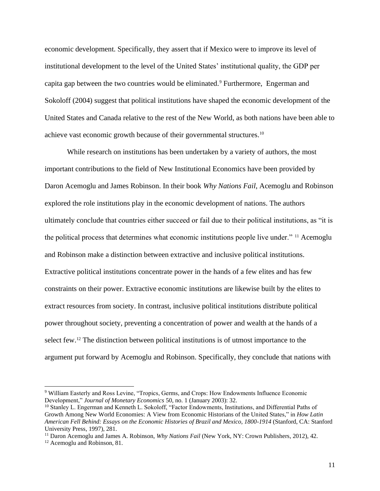economic development. Specifically, they assert that if Mexico were to improve its level of institutional development to the level of the United States' institutional quality, the GDP per capita gap between the two countries would be eliminated.<sup>9</sup> Furthermore, Engerman and Sokoloff (2004) suggest that political institutions have shaped the economic development of the United States and Canada relative to the rest of the New World, as both nations have been able to achieve vast economic growth because of their governmental structures.<sup>10</sup>

While research on institutions has been undertaken by a variety of authors, the most important contributions to the field of New Institutional Economics have been provided by Daron Acemoglu and James Robinson. In their book *Why Nations Fail*, Acemoglu and Robinson explored the role institutions play in the economic development of nations. The authors ultimately conclude that countries either succeed or fail due to their political institutions, as "it is the political process that determines what economic institutions people live under." <sup>11</sup> Acemoglu and Robinson make a distinction between extractive and inclusive political institutions. Extractive political institutions concentrate power in the hands of a few elites and has few constraints on their power. Extractive economic institutions are likewise built by the elites to extract resources from society. In contrast, inclusive political institutions distribute political power throughout society, preventing a concentration of power and wealth at the hands of a select few.<sup>12</sup> The distinction between political institutions is of utmost importance to the argument put forward by Acemoglu and Robinson. Specifically, they conclude that nations with

<sup>9</sup> William Easterly and Ross Levine, "Tropics, Germs, and Crops: How Endowments Influence Economic Development," *Journal of Monetary Economics* 50, no. 1 (January 2003): 32.

<sup>10</sup> Stanley L. Engerman and Kenneth L. Sokoloff, "Factor Endowments, Institutions, and Differential Paths of Growth Among New World Economies: A View from Economic Historians of the United States," in *How Latin American Fell Behind: Essays on the Economic Histories of Brazil and Mexico, 1800-1914* (Stanford, CA: Stanford University Press, 1997), 281.

<sup>11</sup> Daron Acemoglu and James A. Robinson, *Why Nations Fail* (New York, NY: Crown Publishers, 2012), 42.

<sup>&</sup>lt;sup>12</sup> Acemoglu and Robinson, 81.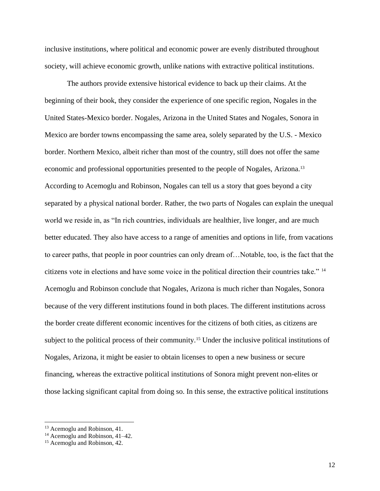inclusive institutions, where political and economic power are evenly distributed throughout society, will achieve economic growth, unlike nations with extractive political institutions.

The authors provide extensive historical evidence to back up their claims. At the beginning of their book, they consider the experience of one specific region, Nogales in the United States-Mexico border. Nogales, Arizona in the United States and Nogales, Sonora in Mexico are border towns encompassing the same area, solely separated by the U.S. - Mexico border. Northern Mexico, albeit richer than most of the country, still does not offer the same economic and professional opportunities presented to the people of Nogales, Arizona.<sup>13</sup> According to Acemoglu and Robinson, Nogales can tell us a story that goes beyond a city separated by a physical national border. Rather, the two parts of Nogales can explain the unequal world we reside in, as "In rich countries, individuals are healthier, live longer, and are much better educated. They also have access to a range of amenities and options in life, from vacations to career paths, that people in poor countries can only dream of…Notable, too, is the fact that the citizens vote in elections and have some voice in the political direction their countries take." <sup>14</sup> Acemoglu and Robinson conclude that Nogales, Arizona is much richer than Nogales, Sonora because of the very different institutions found in both places. The different institutions across the border create different economic incentives for the citizens of both cities, as citizens are subject to the political process of their community.<sup>15</sup> Under the inclusive political institutions of Nogales, Arizona, it might be easier to obtain licenses to open a new business or secure financing, whereas the extractive political institutions of Sonora might prevent non-elites or those lacking significant capital from doing so. In this sense, the extractive political institutions

<sup>13</sup> Acemoglu and Robinson, 41.

<sup>&</sup>lt;sup>14</sup> Acemoglu and Robinson, 41–42.

<sup>&</sup>lt;sup>15</sup> Acemoglu and Robinson, 42.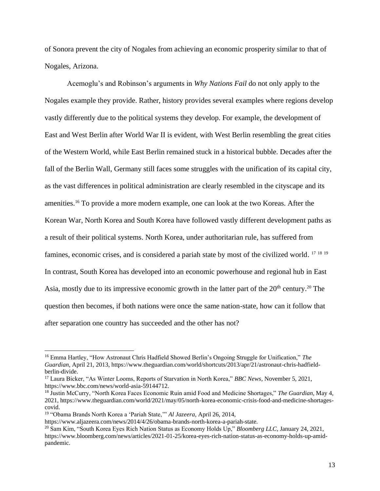of Sonora prevent the city of Nogales from achieving an economic prosperity similar to that of Nogales, Arizona.

Acemoglu's and Robinson's arguments in *Why Nations Fail* do not only apply to the Nogales example they provide. Rather, history provides several examples where regions develop vastly differently due to the political systems they develop. For example, the development of East and West Berlin after World War II is evident, with West Berlin resembling the great cities of the Western World, while East Berlin remained stuck in a historical bubble. Decades after the fall of the Berlin Wall, Germany still faces some struggles with the unification of its capital city, as the vast differences in political administration are clearly resembled in the cityscape and its amenities. <sup>16</sup> To provide a more modern example, one can look at the two Koreas. After the Korean War, North Korea and South Korea have followed vastly different development paths as a result of their political systems. North Korea, under authoritarian rule, has suffered from famines, economic crises, and is considered a pariah state by most of the civilized world. <sup>17 18 19</sup> In contrast, South Korea has developed into an economic powerhouse and regional hub in East Asia, mostly due to its impressive economic growth in the latter part of the 20<sup>th</sup> century.<sup>20</sup> The question then becomes, if both nations were once the same nation-state, how can it follow that after separation one country has succeeded and the other has not?

https://www.aljazeera.com/news/2014/4/26/obama-brands-north-korea-a-pariah-state.

<sup>16</sup> Emma Hartley, "How Astronaut Chris Hadfield Showed Berlin's Ongoing Struggle for Unification," *The Guardian*, April 21, 2013, https://www.theguardian.com/world/shortcuts/2013/apr/21/astronaut-chris-hadfieldberlin-divide.

<sup>17</sup> Laura Bicker, "As Winter Looms, Reports of Starvation in North Korea," *BBC News*, November 5, 2021, https://www.bbc.com/news/world-asia-59144712.

<sup>18</sup> Justin McCurry, "North Korea Faces Economic Ruin amid Food and Medicine Shortages," *The Guardian*, May 4, 2021, https://www.theguardian.com/world/2021/may/05/north-korea-economic-crisis-food-and-medicine-shortagescovid.

<sup>19</sup> "Obama Brands North Korea a 'Pariah State,'" *Al Jazeera*, April 26, 2014,

<sup>20</sup> Sam Kim, "South Korea Eyes Rich Nation Status as Economy Holds Up," *Bloomberg LLC*, January 24, 2021, https://www.bloomberg.com/news/articles/2021-01-25/korea-eyes-rich-nation-status-as-economy-holds-up-amidpandemic.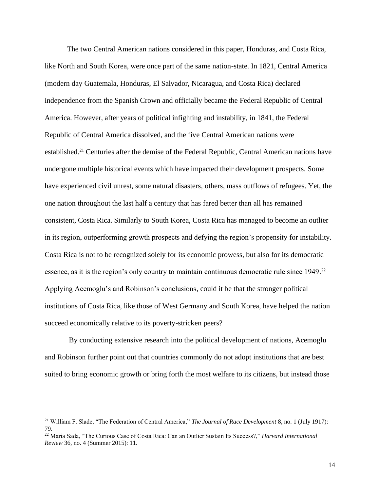The two Central American nations considered in this paper, Honduras, and Costa Rica, like North and South Korea, were once part of the same nation-state. In 1821, Central America (modern day Guatemala, Honduras, El Salvador, Nicaragua, and Costa Rica) declared independence from the Spanish Crown and officially became the Federal Republic of Central America. However, after years of political infighting and instability, in 1841, the Federal Republic of Central America dissolved, and the five Central American nations were established.<sup>21</sup> Centuries after the demise of the Federal Republic, Central American nations have undergone multiple historical events which have impacted their development prospects. Some have experienced civil unrest, some natural disasters, others, mass outflows of refugees. Yet, the one nation throughout the last half a century that has fared better than all has remained consistent, Costa Rica. Similarly to South Korea, Costa Rica has managed to become an outlier in its region, outperforming growth prospects and defying the region's propensity for instability. Costa Rica is not to be recognized solely for its economic prowess, but also for its democratic essence, as it is the region's only country to maintain continuous democratic rule since 1949.<sup>22</sup> Applying Acemoglu's and Robinson's conclusions, could it be that the stronger political institutions of Costa Rica, like those of West Germany and South Korea, have helped the nation succeed economically relative to its poverty-stricken peers?

By conducting extensive research into the political development of nations, Acemoglu and Robinson further point out that countries commonly do not adopt institutions that are best suited to bring economic growth or bring forth the most welfare to its citizens, but instead those

<sup>21</sup> William F. Slade, "The Federation of Central America," *The Journal of Race Development* 8, no. 1 (July 1917): 79.

<sup>22</sup> Maria Sada, "The Curious Case of Costa Rica: Can an Outlier Sustain Its Success?," *Harvard International Review* 36, no. 4 (Summer 2015): 11.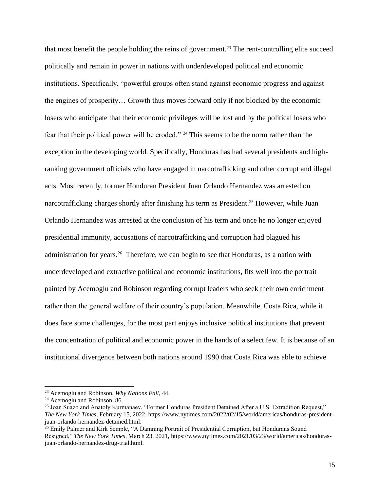that most benefit the people holding the reins of government. <sup>23</sup> The rent-controlling elite succeed politically and remain in power in nations with underdeveloped political and economic institutions. Specifically, "powerful groups often stand against economic progress and against the engines of prosperity… Growth thus moves forward only if not blocked by the economic losers who anticipate that their economic privileges will be lost and by the political losers who fear that their political power will be eroded." <sup>24</sup> This seems to be the norm rather than the exception in the developing world. Specifically, Honduras has had several presidents and highranking government officials who have engaged in narcotrafficking and other corrupt and illegal acts. Most recently, former Honduran President Juan Orlando Hernandez was arrested on narcotrafficking charges shortly after finishing his term as President. <sup>25</sup> However, while Juan Orlando Hernandez was arrested at the conclusion of his term and once he no longer enjoyed presidential immunity, accusations of narcotrafficking and corruption had plagued his administration for years.<sup>26</sup> Therefore, we can begin to see that Honduras, as a nation with underdeveloped and extractive political and economic institutions, fits well into the portrait painted by Acemoglu and Robinson regarding corrupt leaders who seek their own enrichment rather than the general welfare of their country's population. Meanwhile, Costa Rica, while it does face some challenges, for the most part enjoys inclusive political institutions that prevent the concentration of political and economic power in the hands of a select few. It is because of an institutional divergence between both nations around 1990 that Costa Rica was able to achieve

<sup>23</sup> Acemoglu and Robinson, *Why Nations Fail*, 44.

 $24$  Acemoglu and Robinson, 86.

<sup>25</sup> Joan Suazo and Anatoly Kurmanaev, "Former Honduras President Detained After a U.S. Extradition Request," *The New York Times*, February 15, 2022, https://www.nytimes.com/2022/02/15/world/americas/honduras-presidentjuan-orlando-hernandez-detained.html.

<sup>&</sup>lt;sup>26</sup> Emily Palmer and Kirk Semple, "A Damning Portrait of Presidential Corruption, but Hondurans Sound Resigned," *The New York Times*, March 23, 2021, https://www.nytimes.com/2021/03/23/world/americas/hondurasjuan-orlando-hernandez-drug-trial.html.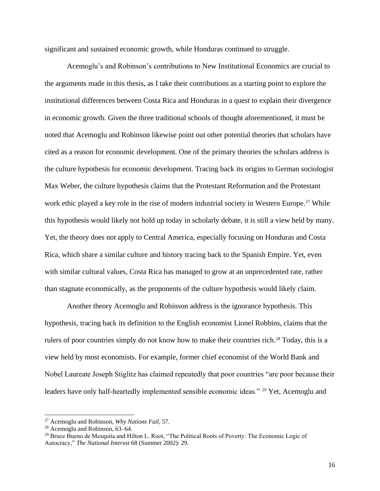significant and sustained economic growth, while Honduras continued to struggle.

Acemoglu's and Robinson's contributions to New Institutional Economics are crucial to the arguments made in this thesis, as I take their contributions as a starting point to explore the institutional differences between Costa Rica and Honduras in a quest to explain their divergence in economic growth. Given the three traditional schools of thought aforementioned, it must be noted that Acemoglu and Robinson likewise point out other potential theories that scholars have cited as a reason for economic development. One of the primary theories the scholars address is the culture hypothesis for economic development. Tracing back its origins to German sociologist Max Weber, the culture hypothesis claims that the Protestant Reformation and the Protestant work ethic played a key role in the rise of modern industrial society in Western Europe.<sup>27</sup> While this hypothesis would likely not hold up today in scholarly debate, it is still a view held by many. Yet, the theory does not apply to Central America, especially focusing on Honduras and Costa Rica, which share a similar culture and history tracing back to the Spanish Empire. Yet, even with similar cultural values, Costa Rica has managed to grow at an unprecedented rate, rather than stagnate economically, as the proponents of the culture hypothesis would likely claim.

Another theory Acemoglu and Robinson address is the ignorance hypothesis. This hypothesis, tracing back its definition to the English economist Lionel Robbins, claims that the rulers of poor countries simply do not know how to make their countries rich.<sup>28</sup> Today, this is a view held by most economists. For example, former chief economist of the World Bank and Nobel Laureate Joseph Stiglitz has claimed repeatedly that poor countries "are poor because their leaders have only half-heartedly implemented sensible economic ideas." <sup>29</sup> Yet, Acemoglu and

<sup>27</sup> Acemoglu and Robinson, *Why Nations Fail*, 57.

<sup>28</sup> Acemoglu and Robinson, 63–64.

<sup>&</sup>lt;sup>29</sup> Bruce Bueno de Mesquita and Hilton L. Root, "The Political Roots of Poverty: The Economic Logic of Autocracy," *The National Interest* 68 (Summer 2002): 29.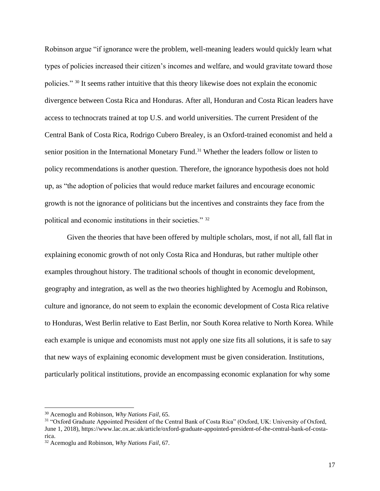Robinson argue "if ignorance were the problem, well-meaning leaders would quickly learn what types of policies increased their citizen's incomes and welfare, and would gravitate toward those policies." <sup>30</sup> It seems rather intuitive that this theory likewise does not explain the economic divergence between Costa Rica and Honduras. After all, Honduran and Costa Rican leaders have access to technocrats trained at top U.S. and world universities. The current President of the Central Bank of Costa Rica, Rodrigo Cubero Brealey, is an Oxford-trained economist and held a senior position in the International Monetary Fund.<sup>31</sup> Whether the leaders follow or listen to policy recommendations is another question. Therefore, the ignorance hypothesis does not hold up, as "the adoption of policies that would reduce market failures and encourage economic growth is not the ignorance of politicians but the incentives and constraints they face from the political and economic institutions in their societies." <sup>32</sup>

Given the theories that have been offered by multiple scholars, most, if not all, fall flat in explaining economic growth of not only Costa Rica and Honduras, but rather multiple other examples throughout history. The traditional schools of thought in economic development, geography and integration, as well as the two theories highlighted by Acemoglu and Robinson, culture and ignorance, do not seem to explain the economic development of Costa Rica relative to Honduras, West Berlin relative to East Berlin, nor South Korea relative to North Korea. While each example is unique and economists must not apply one size fits all solutions, it is safe to say that new ways of explaining economic development must be given consideration. Institutions, particularly political institutions, provide an encompassing economic explanation for why some

<sup>30</sup> Acemoglu and Robinson, *Why Nations Fail*, 65.

<sup>31</sup> "Oxford Graduate Appointed President of the Central Bank of Costa Rica" (Oxford, UK: University of Oxford, June 1, 2018), https://www.lac.ox.ac.uk/article/oxford-graduate-appointed-president-of-the-central-bank-of-costarica.

<sup>32</sup> Acemoglu and Robinson, *Why Nations Fail*, 67.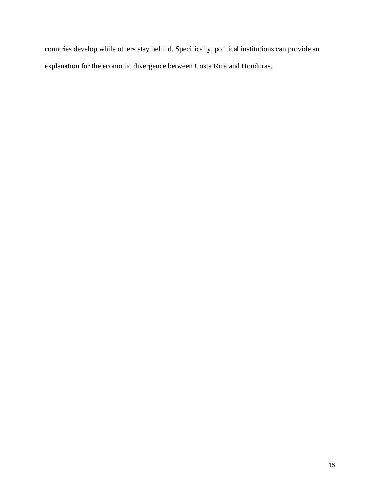countries develop while others stay behind. Specifically, political institutions can provide an explanation for the economic divergence between Costa Rica and Honduras.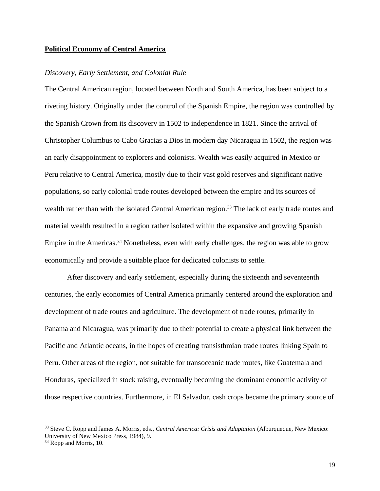### <span id="page-19-0"></span>**Political Economy of Central America**

# <span id="page-19-1"></span>*Discovery, Early Settlement, and Colonial Rule*

The Central American region, located between North and South America, has been subject to a riveting history. Originally under the control of the Spanish Empire, the region was controlled by the Spanish Crown from its discovery in 1502 to independence in 1821. Since the arrival of Christopher Columbus to Cabo Gracias a Dios in modern day Nicaragua in 1502, the region was an early disappointment to explorers and colonists. Wealth was easily acquired in Mexico or Peru relative to Central America, mostly due to their vast gold reserves and significant native populations, so early colonial trade routes developed between the empire and its sources of wealth rather than with the isolated Central American region.<sup>33</sup> The lack of early trade routes and material wealth resulted in a region rather isolated within the expansive and growing Spanish Empire in the Americas.<sup>34</sup> Nonetheless, even with early challenges, the region was able to grow economically and provide a suitable place for dedicated colonists to settle.

After discovery and early settlement, especially during the sixteenth and seventeenth centuries, the early economies of Central America primarily centered around the exploration and development of trade routes and agriculture. The development of trade routes, primarily in Panama and Nicaragua, was primarily due to their potential to create a physical link between the Pacific and Atlantic oceans, in the hopes of creating transisthmian trade routes linking Spain to Peru. Other areas of the region, not suitable for transoceanic trade routes, like Guatemala and Honduras, specialized in stock raising, eventually becoming the dominant economic activity of those respective countries. Furthermore, in El Salvador, cash crops became the primary source of

<sup>33</sup> Steve C. Ropp and James A. Morris, eds., *Central America: Crisis and Adaptation* (Alburqueque, New Mexico: University of New Mexico Press, 1984), 9.

<sup>&</sup>lt;sup>34</sup> Ropp and Morris, 10.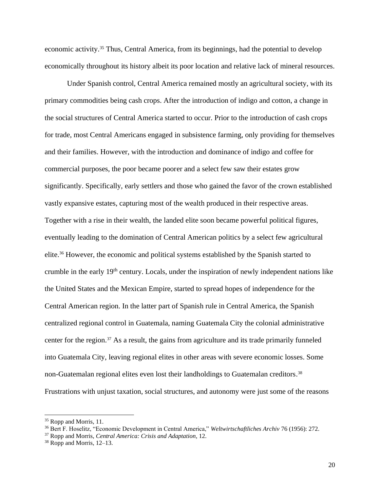economic activity.<sup>35</sup> Thus, Central America, from its beginnings, had the potential to develop economically throughout its history albeit its poor location and relative lack of mineral resources.

Under Spanish control, Central America remained mostly an agricultural society, with its primary commodities being cash crops. After the introduction of indigo and cotton, a change in the social structures of Central America started to occur. Prior to the introduction of cash crops for trade, most Central Americans engaged in subsistence farming, only providing for themselves and their families. However, with the introduction and dominance of indigo and coffee for commercial purposes, the poor became poorer and a select few saw their estates grow significantly. Specifically, early settlers and those who gained the favor of the crown established vastly expansive estates, capturing most of the wealth produced in their respective areas. Together with a rise in their wealth, the landed elite soon became powerful political figures, eventually leading to the domination of Central American politics by a select few agricultural elite. <sup>36</sup> However, the economic and political systems established by the Spanish started to crumble in the early 19<sup>th</sup> century. Locals, under the inspiration of newly independent nations like the United States and the Mexican Empire, started to spread hopes of independence for the Central American region. In the latter part of Spanish rule in Central America, the Spanish centralized regional control in Guatemala, naming Guatemala City the colonial administrative center for the region. <sup>37</sup> As a result, the gains from agriculture and its trade primarily funneled into Guatemala City, leaving regional elites in other areas with severe economic losses. Some non-Guatemalan regional elites even lost their landholdings to Guatemalan creditors.<sup>38</sup> Frustrations with unjust taxation, social structures, and autonomy were just some of the reasons

<sup>&</sup>lt;sup>35</sup> Ropp and Morris, 11.

<sup>36</sup> Bert F. Hoselitz, "Economic Development in Central America," *Weltwirtschaftliches Archiv* 76 (1956): 272.

<sup>37</sup> Ropp and Morris, *Central America: Crisis and Adaptation*, 12.

<sup>38</sup> Ropp and Morris, 12–13.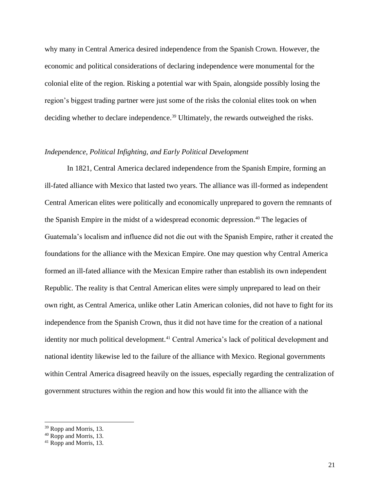why many in Central America desired independence from the Spanish Crown. However, the economic and political considerations of declaring independence were monumental for the colonial elite of the region. Risking a potential war with Spain, alongside possibly losing the region's biggest trading partner were just some of the risks the colonial elites took on when deciding whether to declare independence. <sup>39</sup> Ultimately, the rewards outweighed the risks.

# <span id="page-21-0"></span>*Independence, Political Infighting, and Early Political Development*

In 1821, Central America declared independence from the Spanish Empire, forming an ill-fated alliance with Mexico that lasted two years. The alliance was ill-formed as independent Central American elites were politically and economically unprepared to govern the remnants of the Spanish Empire in the midst of a widespread economic depression. <sup>40</sup> The legacies of Guatemala's localism and influence did not die out with the Spanish Empire, rather it created the foundations for the alliance with the Mexican Empire. One may question why Central America formed an ill-fated alliance with the Mexican Empire rather than establish its own independent Republic. The reality is that Central American elites were simply unprepared to lead on their own right, as Central America, unlike other Latin American colonies, did not have to fight for its independence from the Spanish Crown, thus it did not have time for the creation of a national identity nor much political development. <sup>41</sup> Central America's lack of political development and national identity likewise led to the failure of the alliance with Mexico. Regional governments within Central America disagreed heavily on the issues, especially regarding the centralization of government structures within the region and how this would fit into the alliance with the

<sup>39</sup> Ropp and Morris, 13.

<sup>40</sup> Ropp and Morris, 13.

<sup>41</sup> Ropp and Morris, 13.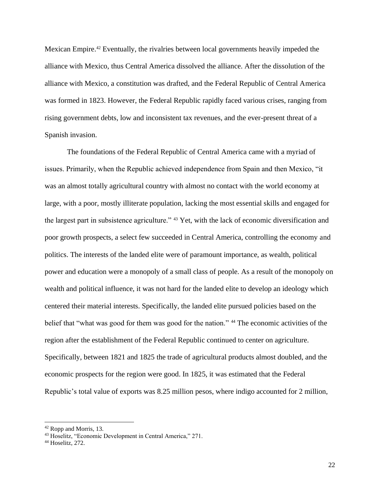Mexican Empire. <sup>42</sup> Eventually, the rivalries between local governments heavily impeded the alliance with Mexico, thus Central America dissolved the alliance. After the dissolution of the alliance with Mexico, a constitution was drafted, and the Federal Republic of Central America was formed in 1823. However, the Federal Republic rapidly faced various crises, ranging from rising government debts, low and inconsistent tax revenues, and the ever-present threat of a Spanish invasion.

The foundations of the Federal Republic of Central America came with a myriad of issues. Primarily, when the Republic achieved independence from Spain and then Mexico, "it was an almost totally agricultural country with almost no contact with the world economy at large, with a poor, mostly illiterate population, lacking the most essential skills and engaged for the largest part in subsistence agriculture." <sup>43</sup> Yet, with the lack of economic diversification and poor growth prospects, a select few succeeded in Central America, controlling the economy and politics. The interests of the landed elite were of paramount importance, as wealth, political power and education were a monopoly of a small class of people. As a result of the monopoly on wealth and political influence, it was not hard for the landed elite to develop an ideology which centered their material interests. Specifically, the landed elite pursued policies based on the belief that "what was good for them was good for the nation." <sup>44</sup> The economic activities of the region after the establishment of the Federal Republic continued to center on agriculture. Specifically, between 1821 and 1825 the trade of agricultural products almost doubled, and the economic prospects for the region were good. In 1825, it was estimated that the Federal Republic's total value of exports was 8.25 million pesos, where indigo accounted for 2 million,

<sup>42</sup> Ropp and Morris, 13.

<sup>43</sup> Hoselitz, "Economic Development in Central America," 271.

<sup>44</sup> Hoselitz, 272.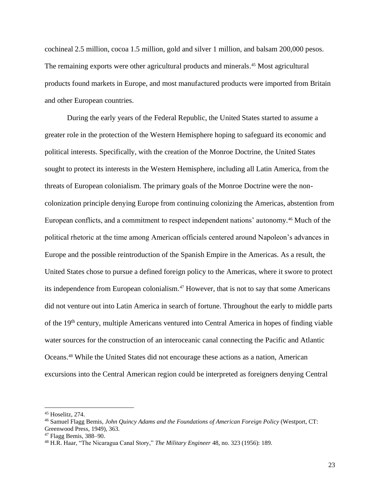cochineal 2.5 million, cocoa 1.5 million, gold and silver 1 million, and balsam 200,000 pesos. The remaining exports were other agricultural products and minerals. <sup>45</sup> Most agricultural products found markets in Europe, and most manufactured products were imported from Britain and other European countries.

During the early years of the Federal Republic, the United States started to assume a greater role in the protection of the Western Hemisphere hoping to safeguard its economic and political interests. Specifically, with the creation of the Monroe Doctrine, the United States sought to protect its interests in the Western Hemisphere, including all Latin America, from the threats of European colonialism. The primary goals of the Monroe Doctrine were the noncolonization principle denying Europe from continuing colonizing the Americas, abstention from European conflicts, and a commitment to respect independent nations' autonomy. <sup>46</sup> Much of the political rhetoric at the time among American officials centered around Napoleon's advances in Europe and the possible reintroduction of the Spanish Empire in the Americas. As a result, the United States chose to pursue a defined foreign policy to the Americas, where it swore to protect its independence from European colonialism. <sup>47</sup> However, that is not to say that some Americans did not venture out into Latin America in search of fortune. Throughout the early to middle parts of the 19<sup>th</sup> century, multiple Americans ventured into Central America in hopes of finding viable water sources for the construction of an interoceanic canal connecting the Pacific and Atlantic Oceans. <sup>48</sup> While the United States did not encourage these actions as a nation, American excursions into the Central American region could be interpreted as foreigners denying Central

<sup>45</sup> Hoselitz, 274.

<sup>46</sup> Samuel Flagg Bemis, *John Quincy Adams and the Foundations of American Foreign Policy* (Westport, CT: Greenwood Press, 1949), 363.

<sup>47</sup> Flagg Bemis, 388–90.

<sup>48</sup> H.R. Haar, "The Nicaragua Canal Story," *The Military Engineer* 48, no. 323 (1956): 189.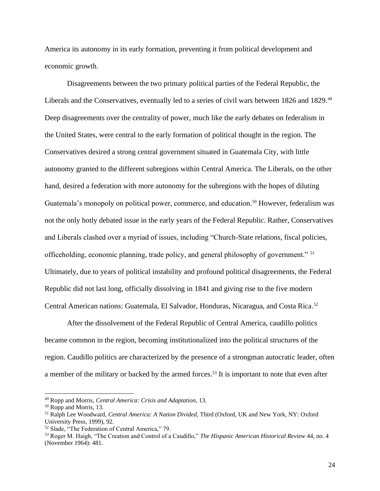America its autonomy in its early formation, preventing it from political development and economic growth.

Disagreements between the two primary political parties of the Federal Republic, the Liberals and the Conservatives, eventually led to a series of civil wars between 1826 and 1829.<sup>49</sup> Deep disagreements over the centrality of power, much like the early debates on federalism in the United States, were central to the early formation of political thought in the region. The Conservatives desired a strong central government situated in Guatemala City, with little autonomy granted to the different subregions within Central America. The Liberals, on the other hand, desired a federation with more autonomy for the subregions with the hopes of diluting Guatemala's monopoly on political power, commerce, and education. <sup>50</sup> However, federalism was not the only hotly debated issue in the early years of the Federal Republic. Rather, Conservatives and Liberals clashed over a myriad of issues, including "Church-State relations, fiscal policies, officeholding, economic planning, trade policy, and general philosophy of government." <sup>51</sup> Ultimately, due to years of political instability and profound political disagreements, the Federal Republic did not last long, officially dissolving in 1841 and giving rise to the five modern Central American nations: Guatemala, El Salvador, Honduras, Nicaragua, and Costa Rica. 52

After the dissolvement of the Federal Republic of Central America, caudillo politics became common in the region, becoming institutionalized into the political structures of the region. Caudillo politics are characterized by the presence of a strongman autocratic leader, often a member of the military or backed by the armed forces.<sup>53</sup> It is important to note that even after

<sup>49</sup> Ropp and Morris, *Central America: Crisis and Adaptation*, 13.

<sup>50</sup> Ropp and Morris, 13.

<sup>51</sup> Ralph Lee Woodward, *Central America: A Nation Divided*, Third (Oxford, UK and New York, NY: Oxford University Press, 1999), 92.

<sup>52</sup> Slade, "The Federation of Central America," 79.

<sup>53</sup> Roger M. Haigh, "The Creation and Control of a Caudillo," *The Hispanic American Historical Review* 44, no. 4 (November 1964): 481.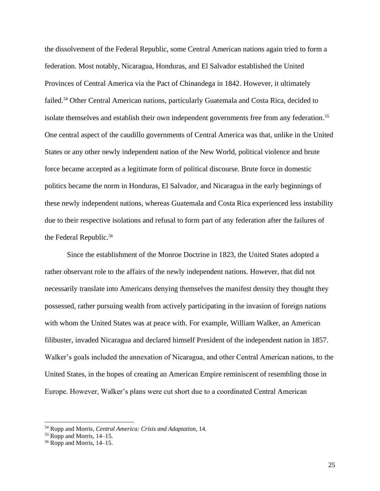the dissolvement of the Federal Republic, some Central American nations again tried to form a federation. Most notably, Nicaragua, Honduras, and El Salvador established the United Provinces of Central America via the Pact of Chinandega in 1842. However, it ultimately failed.<sup>54</sup> Other Central American nations, particularly Guatemala and Costa Rica, decided to isolate themselves and establish their own independent governments free from any federation.<sup>55</sup> One central aspect of the caudillo governments of Central America was that, unlike in the United States or any other newly independent nation of the New World, political violence and brute force became accepted as a legitimate form of political discourse. Brute force in domestic politics became the norm in Honduras, El Salvador, and Nicaragua in the early beginnings of these newly independent nations, whereas Guatemala and Costa Rica experienced less instability due to their respective isolations and refusal to form part of any federation after the failures of the Federal Republic. 56

Since the establishment of the Monroe Doctrine in 1823, the United States adopted a rather observant role to the affairs of the newly independent nations. However, that did not necessarily translate into Americans denying themselves the manifest density they thought they possessed, rather pursuing wealth from actively participating in the invasion of foreign nations with whom the United States was at peace with. For example, William Walker, an American filibuster, invaded Nicaragua and declared himself President of the independent nation in 1857. Walker's goals included the annexation of Nicaragua, and other Central American nations, to the United States, in the hopes of creating an American Empire reminiscent of resembling those in Europe. However, Walker's plans were cut short due to a coordinated Central American

<sup>54</sup> Ropp and Morris, *Central America: Crisis and Adaptation*, 14.

<sup>55</sup> Ropp and Morris, 14–15.

<sup>56</sup> Ropp and Morris, 14–15.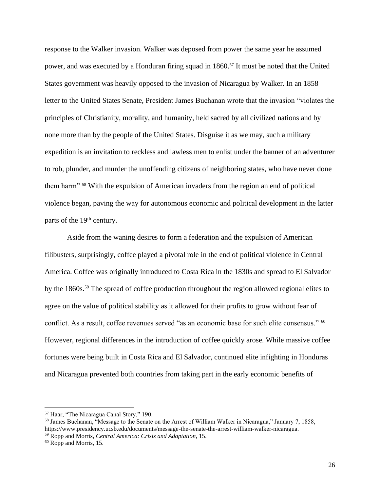response to the Walker invasion. Walker was deposed from power the same year he assumed power, and was executed by a Honduran firing squad in 1860. <sup>57</sup> It must be noted that the United States government was heavily opposed to the invasion of Nicaragua by Walker. In an 1858 letter to the United States Senate, President James Buchanan wrote that the invasion "violates the principles of Christianity, morality, and humanity, held sacred by all civilized nations and by none more than by the people of the United States. Disguise it as we may, such a military expedition is an invitation to reckless and lawless men to enlist under the banner of an adventurer to rob, plunder, and murder the unoffending citizens of neighboring states, who have never done them harm" <sup>58</sup> With the expulsion of American invaders from the region an end of political violence began, paving the way for autonomous economic and political development in the latter parts of the 19<sup>th</sup> century.

Aside from the waning desires to form a federation and the expulsion of American filibusters, surprisingly, coffee played a pivotal role in the end of political violence in Central America. Coffee was originally introduced to Costa Rica in the 1830s and spread to El Salvador by the 1860s.<sup>59</sup> The spread of coffee production throughout the region allowed regional elites to agree on the value of political stability as it allowed for their profits to grow without fear of conflict. As a result, coffee revenues served "as an economic base for such elite consensus." <sup>60</sup> However, regional differences in the introduction of coffee quickly arose. While massive coffee fortunes were being built in Costa Rica and El Salvador, continued elite infighting in Honduras and Nicaragua prevented both countries from taking part in the early economic benefits of

<sup>57</sup> Haar, "The Nicaragua Canal Story," 190.

<sup>58</sup> James Buchanan, "Message to the Senate on the Arrest of William Walker in Nicaragua," January 7, 1858, https://www.presidency.ucsb.edu/documents/message-the-senate-the-arrest-william-walker-nicaragua. <sup>59</sup> Ropp and Morris, *Central America: Crisis and Adaptation*, 15.

<sup>60</sup> Ropp and Morris, 15.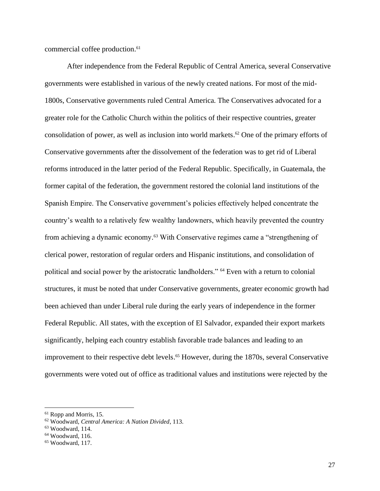commercial coffee production. 61

After independence from the Federal Republic of Central America, several Conservative governments were established in various of the newly created nations. For most of the mid-1800s, Conservative governments ruled Central America. The Conservatives advocated for a greater role for the Catholic Church within the politics of their respective countries, greater consolidation of power, as well as inclusion into world markets. <sup>62</sup> One of the primary efforts of Conservative governments after the dissolvement of the federation was to get rid of Liberal reforms introduced in the latter period of the Federal Republic. Specifically, in Guatemala, the former capital of the federation, the government restored the colonial land institutions of the Spanish Empire. The Conservative government's policies effectively helped concentrate the country's wealth to a relatively few wealthy landowners, which heavily prevented the country from achieving a dynamic economy.<sup>63</sup> With Conservative regimes came a "strengthening of clerical power, restoration of regular orders and Hispanic institutions, and consolidation of political and social power by the aristocratic landholders." <sup>64</sup> Even with a return to colonial structures, it must be noted that under Conservative governments, greater economic growth had been achieved than under Liberal rule during the early years of independence in the former Federal Republic. All states, with the exception of El Salvador, expanded their export markets significantly, helping each country establish favorable trade balances and leading to an improvement to their respective debt levels. <sup>65</sup> However, during the 1870s, several Conservative governments were voted out of office as traditional values and institutions were rejected by the

<sup>61</sup> Ropp and Morris, 15.

<sup>62</sup> Woodward, *Central America: A Nation Divided*, 113.

<sup>63</sup> Woodward, 114.

<sup>64</sup> Woodward, 116.

<sup>65</sup> Woodward, 117.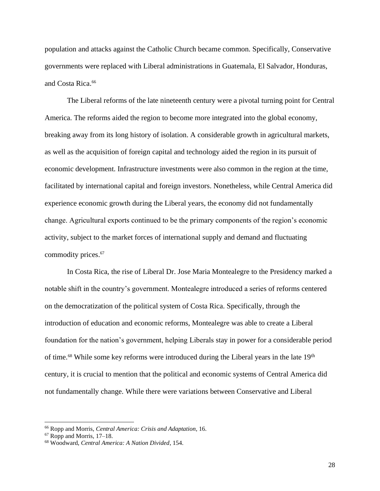population and attacks against the Catholic Church became common. Specifically, Conservative governments were replaced with Liberal administrations in Guatemala, El Salvador, Honduras, and Costa Rica. 66

The Liberal reforms of the late nineteenth century were a pivotal turning point for Central America. The reforms aided the region to become more integrated into the global economy, breaking away from its long history of isolation. A considerable growth in agricultural markets, as well as the acquisition of foreign capital and technology aided the region in its pursuit of economic development. Infrastructure investments were also common in the region at the time, facilitated by international capital and foreign investors. Nonetheless, while Central America did experience economic growth during the Liberal years, the economy did not fundamentally change. Agricultural exports continued to be the primary components of the region's economic activity, subject to the market forces of international supply and demand and fluctuating commodity prices. 67

In Costa Rica, the rise of Liberal Dr. Jose Maria Montealegre to the Presidency marked a notable shift in the country's government. Montealegre introduced a series of reforms centered on the democratization of the political system of Costa Rica. Specifically, through the introduction of education and economic reforms, Montealegre was able to create a Liberal foundation for the nation's government, helping Liberals stay in power for a considerable period of time.<sup>68</sup> While some key reforms were introduced during the Liberal years in the late 19<sup>th</sup> century, it is crucial to mention that the political and economic systems of Central America did not fundamentally change. While there were variations between Conservative and Liberal

<sup>66</sup> Ropp and Morris, *Central America: Crisis and Adaptation*, 16.

 $67$  Ropp and Morris, 17–18.

<sup>68</sup> Woodward, *Central America: A Nation Divided*, 154.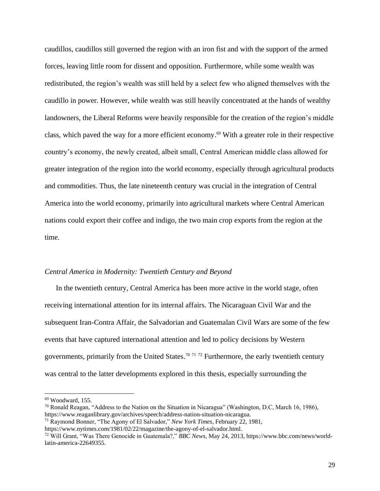caudillos, caudillos still governed the region with an iron fist and with the support of the armed forces, leaving little room for dissent and opposition. Furthermore, while some wealth was redistributed, the region's wealth was still held by a select few who aligned themselves with the caudillo in power. However, while wealth was still heavily concentrated at the hands of wealthy landowners, the Liberal Reforms were heavily responsible for the creation of the region's middle class, which paved the way for a more efficient economy. <sup>69</sup> With a greater role in their respective country's economy, the newly created, albeit small, Central American middle class allowed for greater integration of the region into the world economy, especially through agricultural products and commodities. Thus, the late nineteenth century was crucial in the integration of Central America into the world economy, primarily into agricultural markets where Central American nations could export their coffee and indigo, the two main crop exports from the region at the time.

# <span id="page-29-0"></span>*Central America in Modernity: Twentieth Century and Beyond*

In the twentieth century, Central America has been more active in the world stage, often receiving international attention for its internal affairs. The Nicaraguan Civil War and the subsequent Iran-Contra Affair, the Salvadorian and Guatemalan Civil Wars are some of the few events that have captured international attention and led to policy decisions by Western governments, primarily from the United States.<sup>70 71 72</sup> Furthermore, the early twentieth century was central to the latter developments explored in this thesis, especially surrounding the

 $69$  Woodward, 155.

 $^{70}$  Ronald Reagan, "Address to the Nation on the Situation in Nicaragua" (Washington, D.C, March 16, 1986), https://www.reaganlibrary.gov/archives/speech/address-nation-situation-nicaragua.

<sup>71</sup> Raymond Bonner, "The Agony of El Salvador," *New York Times*, February 22, 1981,

https://www.nytimes.com/1981/02/22/magazine/the-agony-of-el-salvador.html.

<sup>72</sup> Will Grant, "Was There Genocide in Guatemala?," *BBC News*, May 24, 2013, https://www.bbc.com/news/worldlatin-america-22649355.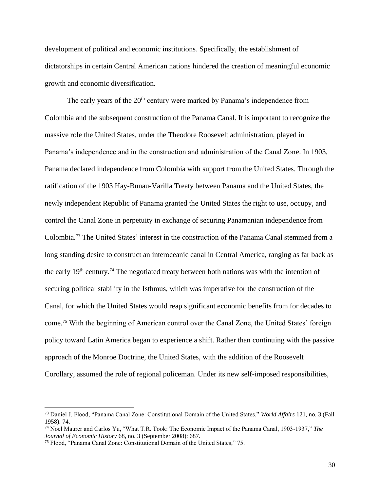development of political and economic institutions. Specifically, the establishment of dictatorships in certain Central American nations hindered the creation of meaningful economic growth and economic diversification.

The early years of the 20<sup>th</sup> century were marked by Panama's independence from Colombia and the subsequent construction of the Panama Canal. It is important to recognize the massive role the United States, under the Theodore Roosevelt administration, played in Panama's independence and in the construction and administration of the Canal Zone. In 1903, Panama declared independence from Colombia with support from the United States. Through the ratification of the 1903 Hay-Bunau-Varilla Treaty between Panama and the United States, the newly independent Republic of Panama granted the United States the right to use, occupy, and control the Canal Zone in perpetuity in exchange of securing Panamanian independence from Colombia. <sup>73</sup> The United States' interest in the construction of the Panama Canal stemmed from a long standing desire to construct an interoceanic canal in Central America, ranging as far back as the early  $19<sup>th</sup>$  century.<sup>74</sup> The negotiated treaty between both nations was with the intention of securing political stability in the Isthmus, which was imperative for the construction of the Canal, for which the United States would reap significant economic benefits from for decades to come. <sup>75</sup> With the beginning of American control over the Canal Zone, the United States' foreign policy toward Latin America began to experience a shift. Rather than continuing with the passive approach of the Monroe Doctrine, the United States, with the addition of the Roosevelt Corollary, assumed the role of regional policeman. Under its new self-imposed responsibilities,

<sup>73</sup> Daniel J. Flood, "Panama Canal Zone: Constitutional Domain of the United States," *World Affairs* 121, no. 3 (Fall 1958): 74.

<sup>74</sup> Noel Maurer and Carlos Yu, "What T.R. Took: The Economic Impact of the Panama Canal, 1903-1937," *The Journal of Economic History* 68, no. 3 (September 2008): 687.

<sup>75</sup> Flood, "Panama Canal Zone: Constitutional Domain of the United States," 75.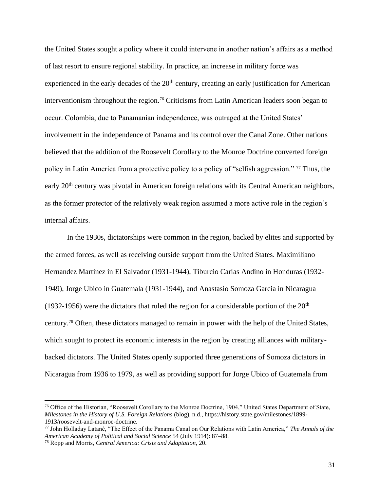the United States sought a policy where it could intervene in another nation's affairs as a method of last resort to ensure regional stability. In practice, an increase in military force was experienced in the early decades of the  $20<sup>th</sup>$  century, creating an early justification for American interventionism throughout the region. <sup>76</sup> Criticisms from Latin American leaders soon began to occur. Colombia, due to Panamanian independence, was outraged at the United States' involvement in the independence of Panama and its control over the Canal Zone. Other nations believed that the addition of the Roosevelt Corollary to the Monroe Doctrine converted foreign policy in Latin America from a protective policy to a policy of "selfish aggression." <sup>77</sup> Thus, the early 20<sup>th</sup> century was pivotal in American foreign relations with its Central American neighbors, as the former protector of the relatively weak region assumed a more active role in the region's internal affairs.

In the 1930s, dictatorships were common in the region, backed by elites and supported by the armed forces, as well as receiving outside support from the United States. Maximiliano Hernandez Martinez in El Salvador (1931-1944), Tiburcio Carias Andino in Honduras (1932- 1949), Jorge Ubico in Guatemala (1931-1944), and Anastasio Somoza Garcia in Nicaragua (1932-1956) were the dictators that ruled the region for a considerable portion of the  $20<sup>th</sup>$ century. <sup>78</sup> Often, these dictators managed to remain in power with the help of the United States, which sought to protect its economic interests in the region by creating alliances with militarybacked dictators. The United States openly supported three generations of Somoza dictators in Nicaragua from 1936 to 1979, as well as providing support for Jorge Ubico of Guatemala from

<sup>76</sup> Office of the Historian, "Roosevelt Corollary to the Monroe Doctrine, 1904," United States Department of State, *Milestones in the History of U.S. Foreign Relations* (blog), n.d., https://history.state.gov/milestones/1899- 1913/roosevelt-and-monroe-doctrine.

<sup>77</sup> John Holladay Latané, "The Effect of the Panama Canal on Our Relations with Latin America," *The Annals of the American Academy of Political and Social Science* 54 (July 1914): 87–88.

<sup>78</sup> Ropp and Morris, *Central America: Crisis and Adaptation*, 20.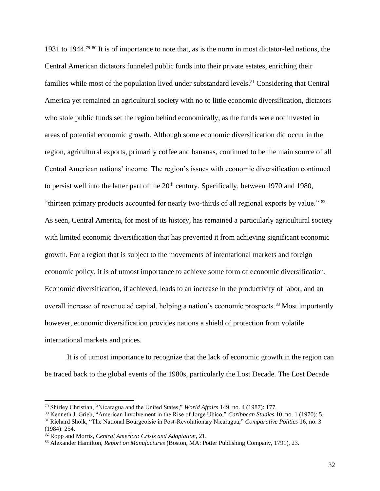1931 to 1944.<sup>79 80</sup> It is of importance to note that, as is the norm in most dictator-led nations, the Central American dictators funneled public funds into their private estates, enriching their families while most of the population lived under substandard levels.<sup>81</sup> Considering that Central America yet remained an agricultural society with no to little economic diversification, dictators who stole public funds set the region behind economically, as the funds were not invested in areas of potential economic growth. Although some economic diversification did occur in the region, agricultural exports, primarily coffee and bananas, continued to be the main source of all Central American nations' income. The region's issues with economic diversification continued to persist well into the latter part of the  $20<sup>th</sup>$  century. Specifically, between 1970 and 1980, "thirteen primary products accounted for nearly two-thirds of all regional exports by value." <sup>82</sup> As seen, Central America, for most of its history, has remained a particularly agricultural society with limited economic diversification that has prevented it from achieving significant economic growth. For a region that is subject to the movements of international markets and foreign economic policy, it is of utmost importance to achieve some form of economic diversification. Economic diversification, if achieved, leads to an increase in the productivity of labor, and an overall increase of revenue ad capital, helping a nation's economic prospects.<sup>83</sup> Most importantly however, economic diversification provides nations a shield of protection from volatile international markets and prices.

It is of utmost importance to recognize that the lack of economic growth in the region can be traced back to the global events of the 1980s, particularly the Lost Decade. The Lost Decade

<sup>79</sup> Shirley Christian, "Nicaragua and the United States," *World Affairs* 149, no. 4 (1987): 177.

<sup>80</sup> Kenneth J. Grieb, "American Involvement in the Rise of Jorge Ubico," *Caribbean Studies* 10, no. 1 (1970): 5. <sup>81</sup> Richard Sholk, "The National Bourgeoisie in Post-Revolutionary Nicaragua," *Comparative Politics* 16, no. 3

<sup>(1984): 254.</sup>

<sup>82</sup> Ropp and Morris, *Central America: Crisis and Adaptation*, 21.

<sup>83</sup> Alexander Hamilton, *Report on Manufactures* (Boston, MA: Potter Publishing Company, 1791), 23.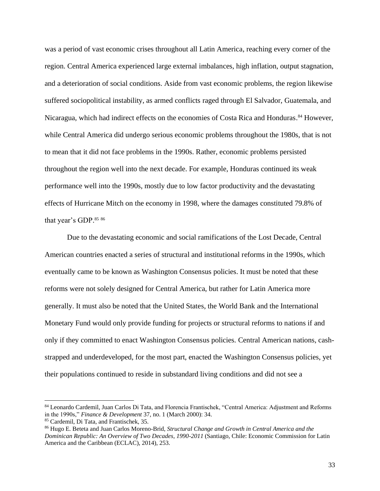was a period of vast economic crises throughout all Latin America, reaching every corner of the region. Central America experienced large external imbalances, high inflation, output stagnation, and a deterioration of social conditions. Aside from vast economic problems, the region likewise suffered sociopolitical instability, as armed conflicts raged through El Salvador, Guatemala, and Nicaragua, which had indirect effects on the economies of Costa Rica and Honduras.<sup>84</sup> However, while Central America did undergo serious economic problems throughout the 1980s, that is not to mean that it did not face problems in the 1990s. Rather, economic problems persisted throughout the region well into the next decade. For example, Honduras continued its weak performance well into the 1990s, mostly due to low factor productivity and the devastating effects of Hurricane Mitch on the economy in 1998, where the damages constituted 79.8% of that year's GDP.<sup>85 86</sup>

Due to the devastating economic and social ramifications of the Lost Decade, Central American countries enacted a series of structural and institutional reforms in the 1990s, which eventually came to be known as Washington Consensus policies. It must be noted that these reforms were not solely designed for Central America, but rather for Latin America more generally. It must also be noted that the United States, the World Bank and the International Monetary Fund would only provide funding for projects or structural reforms to nations if and only if they committed to enact Washington Consensus policies. Central American nations, cashstrapped and underdeveloped, for the most part, enacted the Washington Consensus policies, yet their populations continued to reside in substandard living conditions and did not see a

<sup>84</sup> Leonardo Cardemil, Juan Carlos Di Tata, and Florencia Frantischek, "Central America: Adjustment and Reforms in the 1990s," *Finance & Development* 37, no. 1 (March 2000): 34.

<sup>85</sup> Cardemil, Di Tata, and Frantischek, 35.

<sup>86</sup> Hugo E. Beteta and Juan Carlos Moreno-Brid, *Structural Change and Growth in Central America and the Dominican Republic: An Overview of Two Decades, 1990-2011* (Santiago, Chile: Economic Commission for Latin America and the Caribbean (ECLAC), 2014), 253.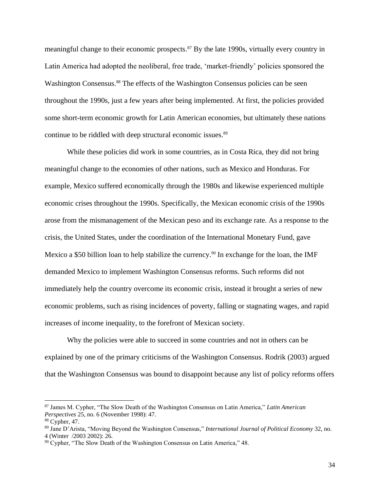meaningful change to their economic prospects. <sup>87</sup> By the late 1990s, virtually every country in Latin America had adopted the neoliberal, free trade, 'market-friendly' policies sponsored the Washington Consensus.<sup>88</sup> The effects of the Washington Consensus policies can be seen throughout the 1990s, just a few years after being implemented. At first, the policies provided some short-term economic growth for Latin American economies, but ultimately these nations continue to be riddled with deep structural economic issues. 89

While these policies did work in some countries, as in Costa Rica, they did not bring meaningful change to the economies of other nations, such as Mexico and Honduras. For example, Mexico suffered economically through the 1980s and likewise experienced multiple economic crises throughout the 1990s. Specifically, the Mexican economic crisis of the 1990s arose from the mismanagement of the Mexican peso and its exchange rate. As a response to the crisis, the United States, under the coordination of the International Monetary Fund, gave Mexico a \$50 billion loan to help stabilize the currency.<sup>90</sup> In exchange for the loan, the IMF demanded Mexico to implement Washington Consensus reforms. Such reforms did not immediately help the country overcome its economic crisis, instead it brought a series of new economic problems, such as rising incidences of poverty, falling or stagnating wages, and rapid increases of income inequality, to the forefront of Mexican society.

Why the policies were able to succeed in some countries and not in others can be explained by one of the primary criticisms of the Washington Consensus. Rodrik (2003) argued that the Washington Consensus was bound to disappoint because any list of policy reforms offers

<sup>87</sup> James M. Cypher, "The Slow Death of the Washington Consensus on Latin America," *Latin American Perspectives* 25, no. 6 (November 1998): 47.

<sup>88</sup> Cypher, 47.

<sup>89</sup> Jane D'Arista, "Moving Beyond the Washington Consensus," *International Journal of Political Economy* 32, no. 4 (Winter /2003 2002): 26.

<sup>&</sup>lt;sup>90</sup> Cypher, "The Slow Death of the Washington Consensus on Latin America," 48.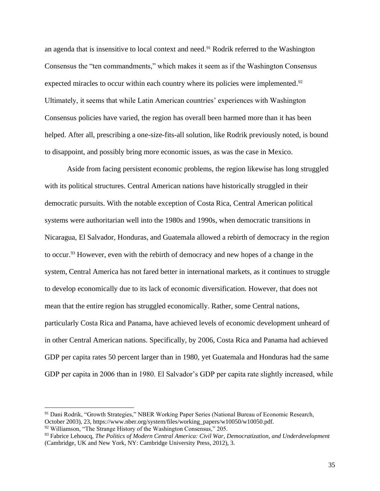an agenda that is insensitive to local context and need.<sup>91</sup> Rodrik referred to the Washington Consensus the "ten commandments," which makes it seem as if the Washington Consensus expected miracles to occur within each country where its policies were implemented.<sup>92</sup> Ultimately, it seems that while Latin American countries' experiences with Washington Consensus policies have varied, the region has overall been harmed more than it has been helped. After all, prescribing a one-size-fits-all solution, like Rodrik previously noted, is bound to disappoint, and possibly bring more economic issues, as was the case in Mexico.

Aside from facing persistent economic problems, the region likewise has long struggled with its political structures. Central American nations have historically struggled in their democratic pursuits. With the notable exception of Costa Rica, Central American political systems were authoritarian well into the 1980s and 1990s, when democratic transitions in Nicaragua, El Salvador, Honduras, and Guatemala allowed a rebirth of democracy in the region to occur.<sup>93</sup> However, even with the rebirth of democracy and new hopes of a change in the system, Central America has not fared better in international markets, as it continues to struggle to develop economically due to its lack of economic diversification. However, that does not mean that the entire region has struggled economically. Rather, some Central nations, particularly Costa Rica and Panama, have achieved levels of economic development unheard of in other Central American nations. Specifically, by 2006, Costa Rica and Panama had achieved GDP per capita rates 50 percent larger than in 1980, yet Guatemala and Honduras had the same GDP per capita in 2006 than in 1980. El Salvador's GDP per capita rate slightly increased, while

<sup>91</sup> Dani Rodrik, "Growth Strategies," NBER Working Paper Series (National Bureau of Economic Research, October 2003), 23, https://www.nber.org/system/files/working\_papers/w10050/w10050.pdf.

<sup>92</sup> Williamson, "The Strange History of the Washington Consensus," 205.

<sup>93</sup> Fabrice Lehoucq, *The Politics of Modern Central America: Civil War, Democratization, and Underdevelopment* (Cambridge, UK and New York, NY: Cambridge University Press, 2012), 3.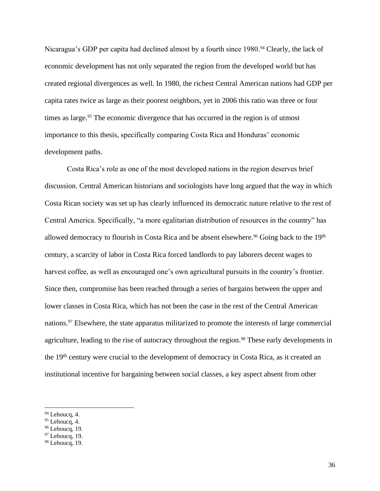Nicaragua's GDP per capita had declined almost by a fourth since 1980.<sup>94</sup> Clearly, the lack of economic development has not only separated the region from the developed world but has created regional divergences as well. In 1980, the richest Central American nations had GDP per capita rates twice as large as their poorest neighbors, yet in 2006 this ratio was three or four times as large. <sup>95</sup> The economic divergence that has occurred in the region is of utmost importance to this thesis, specifically comparing Costa Rica and Honduras' economic development paths.

Costa Rica's role as one of the most developed nations in the region deserves brief discussion. Central American historians and sociologists have long argued that the way in which Costa Rican society was set up has clearly influenced its democratic nature relative to the rest of Central America. Specifically, "a more egalitarian distribution of resources in the country" has allowed democracy to flourish in Costa Rica and be absent elsewhere.<sup>96</sup> Going back to the 19<sup>th</sup> century, a scarcity of labor in Costa Rica forced landlords to pay laborers decent wages to harvest coffee, as well as encouraged one's own agricultural pursuits in the country's frontier. Since then, compromise has been reached through a series of bargains between the upper and lower classes in Costa Rica, which has not been the case in the rest of the Central American nations.<sup>97</sup> Elsewhere, the state apparatus militarized to promote the interests of large commercial agriculture, leading to the rise of autocracy throughout the region.<sup>98</sup> These early developments in the 19<sup>th</sup> century were crucial to the development of democracy in Costa Rica, as it created an institutional incentive for bargaining between social classes, a key aspect absent from other

 $94$  Lehoucq, 4.

 $95$  Lehoucq, 4.

 $96$  Lehoucq, 19.

 $97$  Lehoucq, 19.

 $98$  Lehoucq, 19.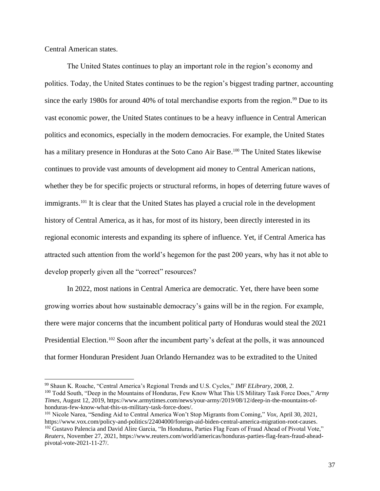Central American states.

The United States continues to play an important role in the region's economy and politics. Today, the United States continues to be the region's biggest trading partner, accounting since the early 1980s for around 40% of total merchandise exports from the region.<sup>99</sup> Due to its vast economic power, the United States continues to be a heavy influence in Central American politics and economics, especially in the modern democracies. For example, the United States has a military presence in Honduras at the Soto Cano Air Base.<sup>100</sup> The United States likewise continues to provide vast amounts of development aid money to Central American nations, whether they be for specific projects or structural reforms, in hopes of deterring future waves of immigrants.<sup>101</sup> It is clear that the United States has played a crucial role in the development history of Central America, as it has, for most of its history, been directly interested in its regional economic interests and expanding its sphere of influence. Yet, if Central America has attracted such attention from the world's hegemon for the past 200 years, why has it not able to develop properly given all the "correct" resources?

In 2022, most nations in Central America are democratic. Yet, there have been some growing worries about how sustainable democracy's gains will be in the region. For example, there were major concerns that the incumbent political party of Honduras would steal the 2021 Presidential Election.<sup>102</sup> Soon after the incumbent party's defeat at the polls, it was announced that former Honduran President Juan Orlando Hernandez was to be extradited to the United

<sup>99</sup> Shaun K. Roache, "Central America's Regional Trends and U.S. Cycles," *IMF ELibrary*, 2008, 2. <sup>100</sup> Todd South, "Deep in the Mountains of Honduras, Few Know What This US Military Task Force Does," *Army Times*, August 12, 2019, https://www.armytimes.com/news/your-army/2019/08/12/deep-in-the-mountains-ofhonduras-few-know-what-this-us-military-task-force-does/.

<sup>101</sup> Nicole Narea, "Sending Aid to Central America Won't Stop Migrants from Coming," *Vox*, April 30, 2021, https://www.vox.com/policy-and-politics/22404000/foreign-aid-biden-central-america-migration-root-causes.

<sup>102</sup> Gustavo Palencia and David Alire Garcia, "In Honduras, Parties Flag Fears of Fraud Ahead of Pivotal Vote," *Reuters*, November 27, 2021, https://www.reuters.com/world/americas/honduras-parties-flag-fears-fraud-aheadpivotal-vote-2021-11-27/.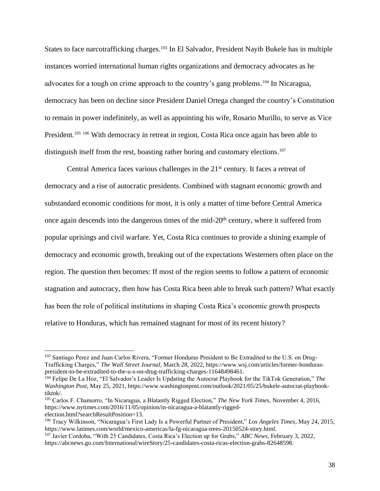States to face narcotrafficking charges.<sup>103</sup> In El Salvador, President Nayib Bukele has in multiple instances worried international human rights organizations and democracy advocates as he advocates for a tough on crime approach to the country's gang problems. <sup>104</sup> In Nicaragua, democracy has been on decline since President Daniel Ortega changed the country's Constitution to remain in power indefinitely, as well as appointing his wife, Rosario Murillo, to serve as Vice President.<sup>105 106</sup> With democracy in retreat in region, Costa Rica once again has been able to distinguish itself from the rest, boasting rather boring and customary elections. 107

Central America faces various challenges in the  $21<sup>st</sup>$  century. It faces a retreat of democracy and a rise of autocratic presidents. Combined with stagnant economic growth and substandard economic conditions for most, it is only a matter of time before Central America once again descends into the dangerous times of the mid-20th century, where it suffered from popular uprisings and civil warfare. Yet, Costa Rica continues to provide a shining example of democracy and economic growth, breaking out of the expectations Westerners often place on the region. The question then becomes: If most of the region seems to follow a pattern of economic stagnation and autocracy, then how has Costa Rica been able to break such pattern? What exactly has been the role of political institutions in shaping Costa Rica's economic growth prospects relative to Honduras, which has remained stagnant for most of its recent history?

<sup>103</sup> Santiago Perez and Juan Carlos Rivera, "Former Honduras President to Be Extradited to the U.S. on Drug-Trafficking Charges," *The Wall Street Journal*, March 28, 2022, https://www.wsj.com/articles/former-honduraspresident-to-be-extradited-to-the-u-s-on-drug-trafficking-charges-11648498461.

<sup>104</sup> Felipe De La Hoz, "El Salvador's Leader Is Updating the Autocrat Playbook for the TikTok Generation," *The Washington Post*, May 25, 2021, https://www.washingtonpost.com/outlook/2021/05/25/bukele-autocrat-playbooktiktok/.

<sup>105</sup> Carlos F. Chamorro, "In Nicaragua, a Blatantly Rigged Election," *The New York Times*, November 4, 2016, https://www.nytimes.com/2016/11/05/opinion/in-nicaragua-a-blatantly-riggedelection.html?searchResultPosition=13.

<sup>106</sup> Tracy Wilkinson, "Nicaragua's First Lady Is a Powerful Partner of President," *Los Angeles Times*, May 24, 2015, https://www.latimes.com/world/mexico-americas/la-fg-nicaragua-trees-20150524-story.html.

<sup>107</sup> Javier Cordoba, "With 25 Candidates, Costa Rica's Election up for Grabs," *ABC News*, February 3, 2022, https://abcnews.go.com/International/wireStory/25-candidates-costa-ricas-election-grabs-82648598.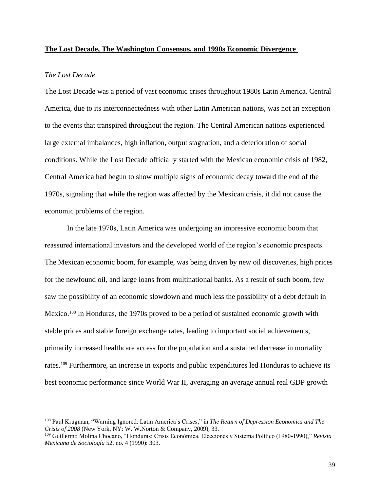### **The Lost Decade, The Washington Consensus, and 1990s Economic Divergence**

# *The Lost Decade*

The Lost Decade was a period of vast economic crises throughout 1980s Latin America. Central America, due to its interconnectedness with other Latin American nations, was not an exception to the events that transpired throughout the region. The Central American nations experienced large external imbalances, high inflation, output stagnation, and a deterioration of social conditions. While the Lost Decade officially started with the Mexican economic crisis of 1982, Central America had begun to show multiple signs of economic decay toward the end of the 1970s, signaling that while the region was affected by the Mexican crisis, it did not cause the economic problems of the region.

In the late 1970s, Latin America was undergoing an impressive economic boom that reassured international investors and the developed world of the region's economic prospects. The Mexican economic boom, for example, was being driven by new oil discoveries, high prices for the newfound oil, and large loans from multinational banks. As a result of such boom, few saw the possibility of an economic slowdown and much less the possibility of a debt default in Mexico.<sup>108</sup> In Honduras, the 1970s proved to be a period of sustained economic growth with stable prices and stable foreign exchange rates, leading to important social achievements, primarily increased healthcare access for the population and a sustained decrease in mortality rates.<sup>109</sup> Furthermore, an increase in exports and public expenditures led Honduras to achieve its best economic performance since World War II, averaging an average annual real GDP growth

<sup>108</sup> Paul Krugman, "Warning Ignored: Latin America's Crises," in *The Return of Depression Economics and The Crisis of 2008* (New York, NY: W. W.Norton & Company, 2009), 33.

<sup>109</sup> Guillermo Molina Chocano, "Honduras: Crisis Económica, Elecciones y Sistema Político (1980-1990)," *Revista Mexicana de Sociología* 52, no. 4 (1990): 303.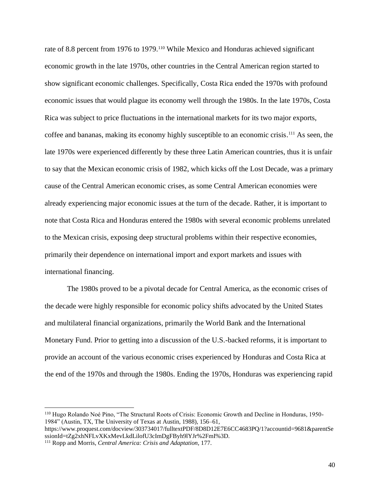rate of 8.8 percent from 1976 to 1979.<sup>110</sup> While Mexico and Honduras achieved significant economic growth in the late 1970s, other countries in the Central American region started to show significant economic challenges. Specifically, Costa Rica ended the 1970s with profound economic issues that would plague its economy well through the 1980s. In the late 1970s, Costa Rica was subject to price fluctuations in the international markets for its two major exports, coffee and bananas, making its economy highly susceptible to an economic crisis. <sup>111</sup> As seen, the late 1970s were experienced differently by these three Latin American countries, thus it is unfair to say that the Mexican economic crisis of 1982, which kicks off the Lost Decade, was a primary cause of the Central American economic crises, as some Central American economies were already experiencing major economic issues at the turn of the decade. Rather, it is important to note that Costa Rica and Honduras entered the 1980s with several economic problems unrelated to the Mexican crisis, exposing deep structural problems within their respective economies, primarily their dependence on international import and export markets and issues with international financing.

The 1980s proved to be a pivotal decade for Central America, as the economic crises of the decade were highly responsible for economic policy shifts advocated by the United States and multilateral financial organizations, primarily the World Bank and the International Monetary Fund. Prior to getting into a discussion of the U.S.-backed reforms, it is important to provide an account of the various economic crises experienced by Honduras and Costa Rica at the end of the 1970s and through the 1980s. Ending the 1970s, Honduras was experiencing rapid

<sup>110</sup> Hugo Rolando Noé Pino, "The Structural Roots of Crisis: Economic Growth and Decline in Honduras, 1950- 1984" (Austin, TX, The University of Texas at Austin, 1988), 156–61,

https://www.proquest.com/docview/303734017/fulltextPDF/8D8D12E7E6CC4683PQ/1?accountid=9681&parentSe ssionId=tZg2xhNFLvXKxMevLkdLilofU3cImDgFByh9lYJr%2FmI%3D.

<sup>111</sup> Ropp and Morris, *Central America: Crisis and Adaptation*, 177.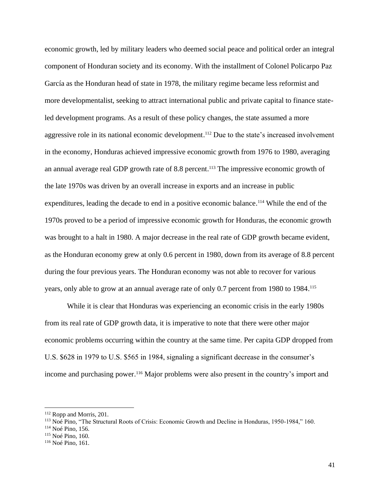economic growth, led by military leaders who deemed social peace and political order an integral component of Honduran society and its economy. With the installment of Colonel Policarpo Paz García as the Honduran head of state in 1978, the military regime became less reformist and more developmentalist, seeking to attract international public and private capital to finance stateled development programs. As a result of these policy changes, the state assumed a more aggressive role in its national economic development. <sup>112</sup> Due to the state's increased involvement in the economy, Honduras achieved impressive economic growth from 1976 to 1980, averaging an annual average real GDP growth rate of 8.8 percent. <sup>113</sup> The impressive economic growth of the late 1970s was driven by an overall increase in exports and an increase in public expenditures, leading the decade to end in a positive economic balance.<sup>114</sup> While the end of the 1970s proved to be a period of impressive economic growth for Honduras, the economic growth was brought to a halt in 1980. A major decrease in the real rate of GDP growth became evident, as the Honduran economy grew at only 0.6 percent in 1980, down from its average of 8.8 percent during the four previous years. The Honduran economy was not able to recover for various years, only able to grow at an annual average rate of only 0.7 percent from 1980 to 1984.<sup>115</sup>

While it is clear that Honduras was experiencing an economic crisis in the early 1980s from its real rate of GDP growth data, it is imperative to note that there were other major economic problems occurring within the country at the same time. Per capita GDP dropped from U.S. \$628 in 1979 to U.S. \$565 in 1984, signaling a significant decrease in the consumer's income and purchasing power. <sup>116</sup> Major problems were also present in the country's import and

<sup>112</sup> Ropp and Morris, 201.

<sup>113</sup> Noé Pino, "The Structural Roots of Crisis: Economic Growth and Decline in Honduras, 1950-1984," 160.

<sup>114</sup> Noé Pino, 156.

<sup>115</sup> Noé Pino, 160.

<sup>&</sup>lt;sup>116</sup> Noé Pino, 161.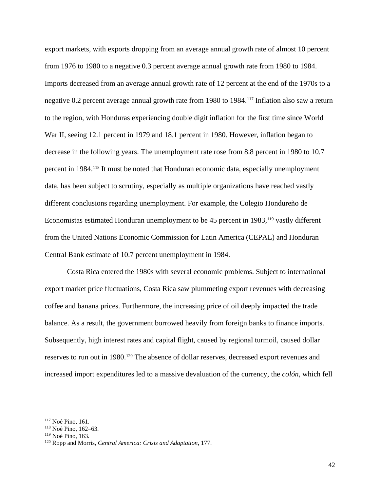export markets, with exports dropping from an average annual growth rate of almost 10 percent from 1976 to 1980 to a negative 0.3 percent average annual growth rate from 1980 to 1984. Imports decreased from an average annual growth rate of 12 percent at the end of the 1970s to a negative 0.2 percent average annual growth rate from 1980 to 1984. <sup>117</sup> Inflation also saw a return to the region, with Honduras experiencing double digit inflation for the first time since World War II, seeing 12.1 percent in 1979 and 18.1 percent in 1980. However, inflation began to decrease in the following years. The unemployment rate rose from 8.8 percent in 1980 to 10.7 percent in 1984.<sup>118</sup> It must be noted that Honduran economic data, especially unemployment data, has been subject to scrutiny, especially as multiple organizations have reached vastly different conclusions regarding unemployment. For example, the Colegio Hondureño de Economistas estimated Honduran unemployment to be 45 percent in 1983,<sup>119</sup> vastly different from the United Nations Economic Commission for Latin America (CEPAL) and Honduran Central Bank estimate of 10.7 percent unemployment in 1984.

Costa Rica entered the 1980s with several economic problems. Subject to international export market price fluctuations, Costa Rica saw plummeting export revenues with decreasing coffee and banana prices. Furthermore, the increasing price of oil deeply impacted the trade balance. As a result, the government borrowed heavily from foreign banks to finance imports. Subsequently, high interest rates and capital flight, caused by regional turmoil, caused dollar reserves to run out in 1980.<sup>120</sup> The absence of dollar reserves, decreased export revenues and increased import expenditures led to a massive devaluation of the currency, the *colón,* which fell

<sup>117</sup> Noé Pino, 161.

<sup>118</sup> Noé Pino, 162–63.

<sup>119</sup> Noé Pino, 163.

<sup>120</sup> Ropp and Morris, *Central America: Crisis and Adaptation*, 177.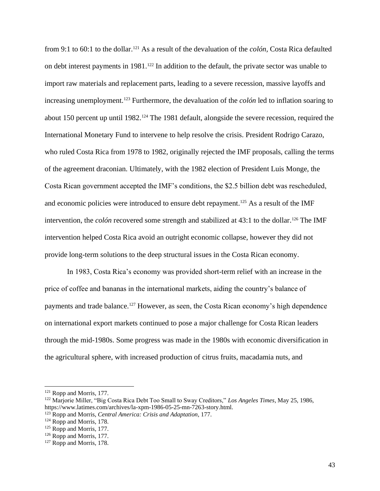from 9:1 to 60:1 to the dollar. <sup>121</sup> As a result of the devaluation of the *colón,* Costa Rica defaulted on debt interest payments in 1981. <sup>122</sup> In addition to the default, the private sector was unable to import raw materials and replacement parts, leading to a severe recession, massive layoffs and increasing unemployment. <sup>123</sup> Furthermore, the devaluation of the *colón* led to inflation soaring to about 150 percent up until 1982. <sup>124</sup> The 1981 default, alongside the severe recession, required the International Monetary Fund to intervene to help resolve the crisis. President Rodrigo Carazo, who ruled Costa Rica from 1978 to 1982, originally rejected the IMF proposals, calling the terms of the agreement draconian. Ultimately, with the 1982 election of President Luis Monge, the Costa Rican government accepted the IMF's conditions, the \$2.5 billion debt was rescheduled, and economic policies were introduced to ensure debt repayment. <sup>125</sup> As a result of the IMF intervention, the *colón* recovered some strength and stabilized at 43:1 to the dollar. <sup>126</sup> The IMF intervention helped Costa Rica avoid an outright economic collapse, however they did not provide long-term solutions to the deep structural issues in the Costa Rican economy.

In 1983, Costa Rica's economy was provided short-term relief with an increase in the price of coffee and bananas in the international markets, aiding the country's balance of payments and trade balance. <sup>127</sup> However, as seen, the Costa Rican economy's high dependence on international export markets continued to pose a major challenge for Costa Rican leaders through the mid-1980s. Some progress was made in the 1980s with economic diversification in the agricultural sphere, with increased production of citrus fruits, macadamia nuts, and

<sup>&</sup>lt;sup>121</sup> Ropp and Morris, 177.

<sup>122</sup> Marjorie Miller, "Big Costa Rica Debt Too Small to Sway Creditors," *Los Angeles Times*, May 25, 1986, https://www.latimes.com/archives/la-xpm-1986-05-25-mn-7263-story.html.

<sup>123</sup> Ropp and Morris, *Central America: Crisis and Adaptation*, 177.

<sup>&</sup>lt;sup>124</sup> Ropp and Morris, 178.

<sup>&</sup>lt;sup>125</sup> Ropp and Morris, 177.

<sup>126</sup> Ropp and Morris, 177.

<sup>&</sup>lt;sup>127</sup> Ropp and Morris, 178.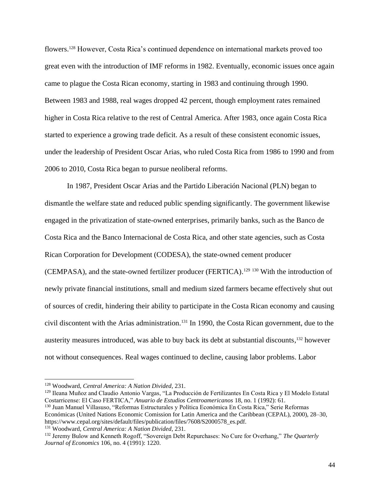flowers. <sup>128</sup> However, Costa Rica's continued dependence on international markets proved too great even with the introduction of IMF reforms in 1982. Eventually, economic issues once again came to plague the Costa Rican economy, starting in 1983 and continuing through 1990. Between 1983 and 1988, real wages dropped 42 percent, though employment rates remained higher in Costa Rica relative to the rest of Central America. After 1983, once again Costa Rica started to experience a growing trade deficit. As a result of these consistent economic issues, under the leadership of President Oscar Arias, who ruled Costa Rica from 1986 to 1990 and from 2006 to 2010, Costa Rica began to pursue neoliberal reforms.

In 1987, President Oscar Arias and the Partido Liberación Nacional (PLN) began to dismantle the welfare state and reduced public spending significantly. The government likewise engaged in the privatization of state-owned enterprises, primarily banks, such as the Banco de Costa Rica and the Banco Internacional de Costa Rica, and other state agencies, such as Costa Rican Corporation for Development (CODESA), the state-owned cement producer (CEMPASA), and the state-owned fertilizer producer (FERTICA). <sup>129</sup> <sup>130</sup> With the introduction of newly private financial institutions, small and medium sized farmers became effectively shut out of sources of credit, hindering their ability to participate in the Costa Rican economy and causing civil discontent with the Arias administration. <sup>131</sup> In 1990, the Costa Rican government, due to the austerity measures introduced, was able to buy back its debt at substantial discounts,<sup>132</sup> however not without consequences. Real wages continued to decline, causing labor problems. Labor

<sup>129</sup> Ileana Muñoz and Claudio Antonio Vargas, "La Producción de Fertilizantes En Costa Rica y El Modelo Estatal Costarricense: El Caso FERTICA," *Anuario de Estudios Centroamericanos* 18, no. 1 (1992): 61.

<sup>130</sup> Juan Manuel Villasuso, "Reformas Estructurales y Política Económica En Costa Rica," Serie Reformas Económicas (United Nations Economic Comission for Latin America and the Caribbean (CEPAL), 2000), 28–30, https://www.cepal.org/sites/default/files/publication/files/7608/S2000578\_es.pdf.

<sup>131</sup> Woodward, *Central America: A Nation Divided*, 231.

<sup>128</sup> Woodward, *Central America: A Nation Divided*, 231.

<sup>132</sup> Jeremy Bulow and Kenneth Rogoff, "Sovereign Debt Repurchases: No Cure for Overhang," *The Quarterly Journal of Economics* 106, no. 4 (1991): 1220.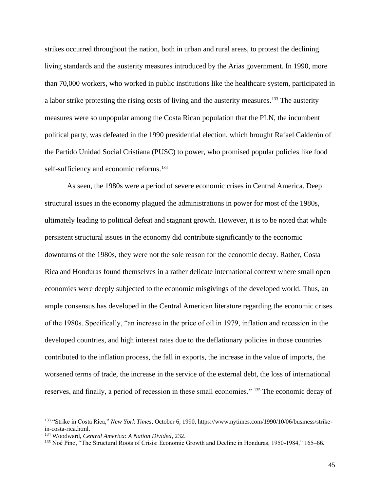strikes occurred throughout the nation, both in urban and rural areas, to protest the declining living standards and the austerity measures introduced by the Arias government. In 1990, more than 70,000 workers, who worked in public institutions like the healthcare system, participated in a labor strike protesting the rising costs of living and the austerity measures.<sup>133</sup> The austerity measures were so unpopular among the Costa Rican population that the PLN, the incumbent political party, was defeated in the 1990 presidential election, which brought Rafael Calderón of the Partido Unidad Social Cristiana (PUSC) to power, who promised popular policies like food self-sufficiency and economic reforms. 134

As seen, the 1980s were a period of severe economic crises in Central America. Deep structural issues in the economy plagued the administrations in power for most of the 1980s, ultimately leading to political defeat and stagnant growth. However, it is to be noted that while persistent structural issues in the economy did contribute significantly to the economic downturns of the 1980s, they were not the sole reason for the economic decay. Rather, Costa Rica and Honduras found themselves in a rather delicate international context where small open economies were deeply subjected to the economic misgivings of the developed world. Thus, an ample consensus has developed in the Central American literature regarding the economic crises of the 1980s. Specifically, "an increase in the price of oil in 1979, inflation and recession in the developed countries, and high interest rates due to the deflationary policies in those countries contributed to the inflation process, the fall in exports, the increase in the value of imports, the worsened terms of trade, the increase in the service of the external debt, the loss of international reserves, and finally, a period of recession in these small economies." <sup>135</sup> The economic decay of

<sup>133</sup> "Strike in Costa Rica," *New York Times*, October 6, 1990, https://www.nytimes.com/1990/10/06/business/strikein-costa-rica.html.

<sup>134</sup> Woodward, *Central America: A Nation Divided*, 232.

<sup>&</sup>lt;sup>135</sup> Noé Pino, "The Structural Roots of Crisis: Economic Growth and Decline in Honduras, 1950-1984," 165–66.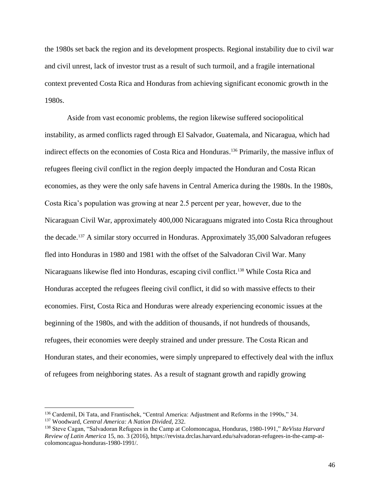the 1980s set back the region and its development prospects. Regional instability due to civil war and civil unrest, lack of investor trust as a result of such turmoil, and a fragile international context prevented Costa Rica and Honduras from achieving significant economic growth in the 1980s.

Aside from vast economic problems, the region likewise suffered sociopolitical instability, as armed conflicts raged through El Salvador, Guatemala, and Nicaragua, which had indirect effects on the economies of Costa Rica and Honduras. <sup>136</sup> Primarily, the massive influx of refugees fleeing civil conflict in the region deeply impacted the Honduran and Costa Rican economies, as they were the only safe havens in Central America during the 1980s. In the 1980s, Costa Rica's population was growing at near 2.5 percent per year, however, due to the Nicaraguan Civil War, approximately 400,000 Nicaraguans migrated into Costa Rica throughout the decade. <sup>137</sup> A similar story occurred in Honduras. Approximately 35,000 Salvadoran refugees fled into Honduras in 1980 and 1981 with the offset of the Salvadoran Civil War. Many Nicaraguans likewise fled into Honduras, escaping civil conflict. <sup>138</sup> While Costa Rica and Honduras accepted the refugees fleeing civil conflict, it did so with massive effects to their economies. First, Costa Rica and Honduras were already experiencing economic issues at the beginning of the 1980s, and with the addition of thousands, if not hundreds of thousands, refugees, their economies were deeply strained and under pressure. The Costa Rican and Honduran states, and their economies, were simply unprepared to effectively deal with the influx of refugees from neighboring states. As a result of stagnant growth and rapidly growing

<sup>136</sup> Cardemil, Di Tata, and Frantischek, "Central America: Adjustment and Reforms in the 1990s," 34. <sup>137</sup> Woodward, *Central America: A Nation Divided*, 232.

<sup>138</sup> Steve Cagan, "Salvadoran Refugees in the Camp at Colomoncagua, Honduras, 1980-1991," *ReVista Harvard Review of Latin America* 15, no. 3 (2016), https://revista.drclas.harvard.edu/salvadoran-refugees-in-the-camp-atcolomoncagua-honduras-1980-1991/.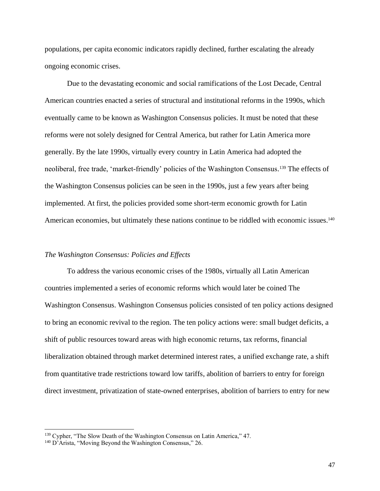populations, per capita economic indicators rapidly declined, further escalating the already ongoing economic crises.

Due to the devastating economic and social ramifications of the Lost Decade, Central American countries enacted a series of structural and institutional reforms in the 1990s, which eventually came to be known as Washington Consensus policies. It must be noted that these reforms were not solely designed for Central America, but rather for Latin America more generally. By the late 1990s, virtually every country in Latin America had adopted the neoliberal, free trade, 'market-friendly' policies of the Washington Consensus. <sup>139</sup> The effects of the Washington Consensus policies can be seen in the 1990s, just a few years after being implemented. At first, the policies provided some short-term economic growth for Latin American economies, but ultimately these nations continue to be riddled with economic issues.<sup>140</sup>

#### *The Washington Consensus: Policies and Effects*

To address the various economic crises of the 1980s, virtually all Latin American countries implemented a series of economic reforms which would later be coined The Washington Consensus. Washington Consensus policies consisted of ten policy actions designed to bring an economic revival to the region. The ten policy actions were: small budget deficits, a shift of public resources toward areas with high economic returns, tax reforms, financial liberalization obtained through market determined interest rates, a unified exchange rate, a shift from quantitative trade restrictions toward low tariffs, abolition of barriers to entry for foreign direct investment, privatization of state-owned enterprises, abolition of barriers to entry for new

<sup>&</sup>lt;sup>139</sup> Cypher, "The Slow Death of the Washington Consensus on Latin America," 47.

<sup>140</sup> D'Arista, "Moving Beyond the Washington Consensus," 26.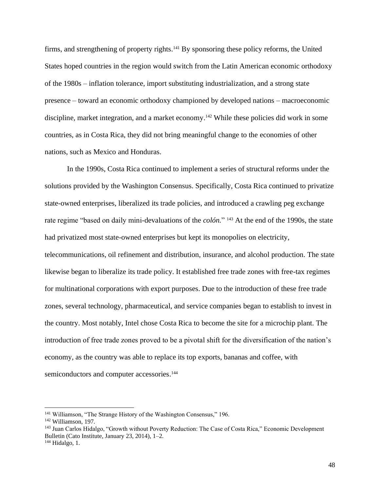firms, and strengthening of property rights.<sup>141</sup> By sponsoring these policy reforms, the United States hoped countries in the region would switch from the Latin American economic orthodoxy of the 1980s – inflation tolerance, import substituting industrialization, and a strong state presence – toward an economic orthodoxy championed by developed nations – macroeconomic discipline, market integration, and a market economy.<sup>142</sup> While these policies did work in some countries, as in Costa Rica, they did not bring meaningful change to the economies of other nations, such as Mexico and Honduras.

In the 1990s, Costa Rica continued to implement a series of structural reforms under the solutions provided by the Washington Consensus. Specifically, Costa Rica continued to privatize state-owned enterprises, liberalized its trade policies, and introduced a crawling peg exchange rate regime "based on daily mini-devaluations of the *colón.*" <sup>143</sup> At the end of the 1990s, the state had privatized most state-owned enterprises but kept its monopolies on electricity, telecommunications, oil refinement and distribution, insurance, and alcohol production. The state likewise began to liberalize its trade policy. It established free trade zones with free-tax regimes for multinational corporations with export purposes. Due to the introduction of these free trade zones, several technology, pharmaceutical, and service companies began to establish to invest in the country. Most notably, Intel chose Costa Rica to become the site for a microchip plant. The introduction of free trade zones proved to be a pivotal shift for the diversification of the nation's economy, as the country was able to replace its top exports, bananas and coffee, with semiconductors and computer accessories.<sup>144</sup>

<sup>141</sup> Williamson, "The Strange History of the Washington Consensus," 196.

<sup>142</sup> Williamson, 197.

<sup>&</sup>lt;sup>143</sup> Juan Carlos Hidalgo, "Growth without Poverty Reduction: The Case of Costa Rica," Economic Development Bulletin (Cato Institute, January 23, 2014), 1–2.

 $144$  Hidalgo, 1.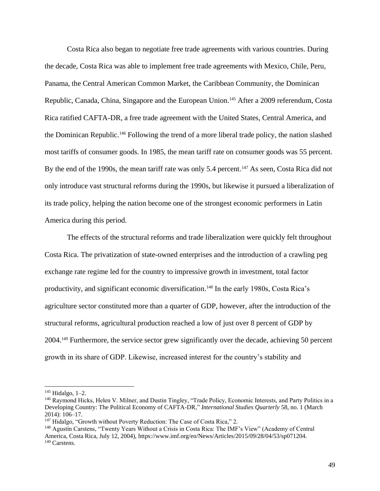Costa Rica also began to negotiate free trade agreements with various countries. During the decade, Costa Rica was able to implement free trade agreements with Mexico, Chile, Peru, Panama, the Central American Common Market, the Caribbean Community, the Dominican Republic, Canada, China, Singapore and the European Union.<sup>145</sup> After a 2009 referendum, Costa Rica ratified CAFTA-DR, a free trade agreement with the United States, Central America, and the Dominican Republic. <sup>146</sup> Following the trend of a more liberal trade policy, the nation slashed most tariffs of consumer goods. In 1985, the mean tariff rate on consumer goods was 55 percent. By the end of the 1990s, the mean tariff rate was only 5.4 percent.<sup>147</sup> As seen, Costa Rica did not only introduce vast structural reforms during the 1990s, but likewise it pursued a liberalization of its trade policy, helping the nation become one of the strongest economic performers in Latin America during this period.

The effects of the structural reforms and trade liberalization were quickly felt throughout Costa Rica. The privatization of state-owned enterprises and the introduction of a crawling peg exchange rate regime led for the country to impressive growth in investment, total factor productivity, and significant economic diversification. <sup>148</sup> In the early 1980s, Costa Rica's agriculture sector constituted more than a quarter of GDP, however, after the introduction of the structural reforms, agricultural production reached a low of just over 8 percent of GDP by 2004. <sup>149</sup> Furthermore, the service sector grew significantly over the decade, achieving 50 percent growth in its share of GDP. Likewise, increased interest for the country's stability and

<sup>145</sup> Hidalgo, 1–2.

<sup>&</sup>lt;sup>146</sup> Raymond Hicks, Helen V. Milner, and Dustin Tingley, "Trade Policy, Economic Interests, and Party Politics in a Developing Country: The Political Economy of CAFTA-DR," *International Studies Quarterly* 58, no. 1 (March 2014): 106–17.

<sup>&</sup>lt;sup>147</sup> Hidalgo, "Growth without Poverty Reduction: The Case of Costa Rica," 2.

<sup>148</sup> Agustín Carstens, "Twenty Years Without a Crisis in Costa Rica: The IMF's View" (Academy of Central America, Costa Rica, July 12, 2004), https://www.imf.org/en/News/Articles/2015/09/28/04/53/sp071204. <sup>149</sup> Carstens.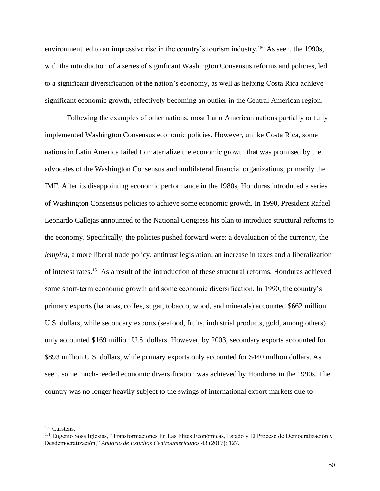environment led to an impressive rise in the country's tourism industry.<sup>150</sup> As seen, the 1990s, with the introduction of a series of significant Washington Consensus reforms and policies, led to a significant diversification of the nation's economy, as well as helping Costa Rica achieve significant economic growth, effectively becoming an outlier in the Central American region.

Following the examples of other nations, most Latin American nations partially or fully implemented Washington Consensus economic policies. However, unlike Costa Rica, some nations in Latin America failed to materialize the economic growth that was promised by the advocates of the Washington Consensus and multilateral financial organizations, primarily the IMF. After its disappointing economic performance in the 1980s, Honduras introduced a series of Washington Consensus policies to achieve some economic growth. In 1990, President Rafael Leonardo Callejas announced to the National Congress his plan to introduce structural reforms to the economy. Specifically, the policies pushed forward were: a devaluation of the currency, the *lempira*, a more liberal trade policy, antitrust legislation, an increase in taxes and a liberalization of interest rates. <sup>151</sup> As a result of the introduction of these structural reforms, Honduras achieved some short-term economic growth and some economic diversification. In 1990, the country's primary exports (bananas, coffee, sugar, tobacco, wood, and minerals) accounted \$662 million U.S. dollars, while secondary exports (seafood, fruits, industrial products, gold, among others) only accounted \$169 million U.S. dollars. However, by 2003, secondary exports accounted for \$893 million U.S. dollars, while primary exports only accounted for \$440 million dollars. As seen, some much-needed economic diversification was achieved by Honduras in the 1990s. The country was no longer heavily subject to the swings of international export markets due to

<sup>150</sup> Carstens.

<sup>151</sup> Eugenio Sosa Iglesias, "Transformaciones En Las Élites Económicas, Estado y El Proceso de Democratización y Desdemocratización," *Anuario de Estudios Centroamericanos* 43 (2017): 127.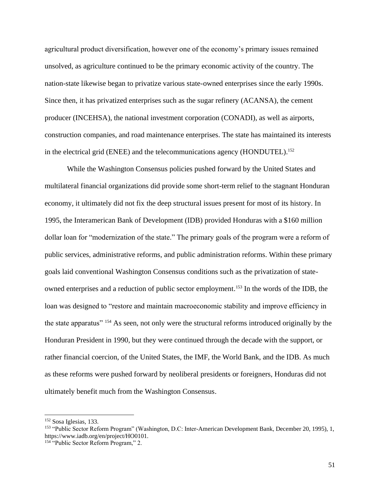agricultural product diversification, however one of the economy's primary issues remained unsolved, as agriculture continued to be the primary economic activity of the country. The nation-state likewise began to privatize various state-owned enterprises since the early 1990s. Since then, it has privatized enterprises such as the sugar refinery (ACANSA), the cement producer (INCEHSA), the national investment corporation (CONADI), as well as airports, construction companies, and road maintenance enterprises. The state has maintained its interests in the electrical grid (ENEE) and the telecommunications agency (HONDUTEL). 152

While the Washington Consensus policies pushed forward by the United States and multilateral financial organizations did provide some short-term relief to the stagnant Honduran economy, it ultimately did not fix the deep structural issues present for most of its history. In 1995, the Interamerican Bank of Development (IDB) provided Honduras with a \$160 million dollar loan for "modernization of the state." The primary goals of the program were a reform of public services, administrative reforms, and public administration reforms. Within these primary goals laid conventional Washington Consensus conditions such as the privatization of stateowned enterprises and a reduction of public sector employment. <sup>153</sup> In the words of the IDB, the loan was designed to "restore and maintain macroeconomic stability and improve efficiency in the state apparatus" <sup>154</sup> As seen, not only were the structural reforms introduced originally by the Honduran President in 1990, but they were continued through the decade with the support, or rather financial coercion, of the United States, the IMF, the World Bank, and the IDB. As much as these reforms were pushed forward by neoliberal presidents or foreigners, Honduras did not ultimately benefit much from the Washington Consensus.

<sup>152</sup> Sosa Iglesias, 133.

<sup>153</sup> "Public Sector Reform Program" (Washington, D.C: Inter-American Development Bank, December 20, 1995), 1, https://www.iadb.org/en/project/HO0101.

<sup>154</sup> "Public Sector Reform Program," 2.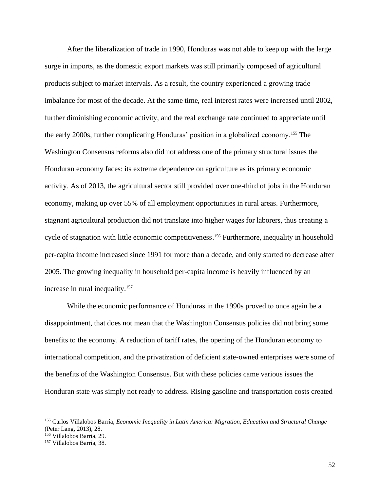After the liberalization of trade in 1990, Honduras was not able to keep up with the large surge in imports, as the domestic export markets was still primarily composed of agricultural products subject to market intervals. As a result, the country experienced a growing trade imbalance for most of the decade. At the same time, real interest rates were increased until 2002, further diminishing economic activity, and the real exchange rate continued to appreciate until the early 2000s, further complicating Honduras' position in a globalized economy. <sup>155</sup> The Washington Consensus reforms also did not address one of the primary structural issues the Honduran economy faces: its extreme dependence on agriculture as its primary economic activity. As of 2013, the agricultural sector still provided over one-third of jobs in the Honduran economy, making up over 55% of all employment opportunities in rural areas. Furthermore, stagnant agricultural production did not translate into higher wages for laborers, thus creating a cycle of stagnation with little economic competitiveness.<sup>156</sup> Furthermore, inequality in household per-capita income increased since 1991 for more than a decade, and only started to decrease after 2005. The growing inequality in household per-capita income is heavily influenced by an increase in rural inequality. 157

While the economic performance of Honduras in the 1990s proved to once again be a disappointment, that does not mean that the Washington Consensus policies did not bring some benefits to the economy. A reduction of tariff rates, the opening of the Honduran economy to international competition, and the privatization of deficient state-owned enterprises were some of the benefits of the Washington Consensus. But with these policies came various issues the Honduran state was simply not ready to address. Rising gasoline and transportation costs created

<sup>155</sup> Carlos Villalobos Barría, *Economic Inequality in Latin America: Migration, Education and Structural Change* (Peter Lang, 2013), 28.

<sup>156</sup> Villalobos Barría, 29.

<sup>157</sup> Villalobos Barría, 38.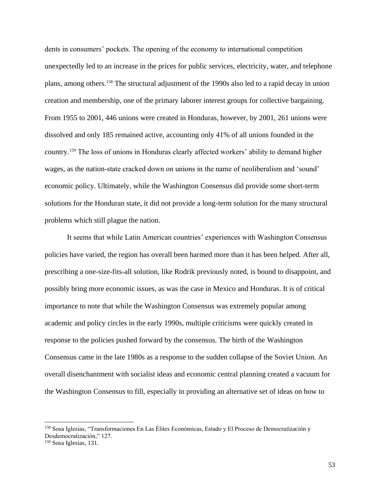dents in consumers' pockets. The opening of the economy to international competition unexpectedly led to an increase in the prices for public services, electricity, water, and telephone plans, among others. <sup>158</sup> The structural adjustment of the 1990s also led to a rapid decay in union creation and membership, one of the primary laborer interest groups for collective bargaining. From 1955 to 2001, 446 unions were created in Honduras, however, by 2001, 261 unions were dissolved and only 185 remained active, accounting only 41% of all unions founded in the country. <sup>159</sup> The loss of unions in Honduras clearly affected workers' ability to demand higher wages, as the nation-state cracked down on unions in the name of neoliberalism and 'sound' economic policy. Ultimately, while the Washington Consensus did provide some short-term solutions for the Honduran state, it did not provide a long-term solution for the many structural problems which still plague the nation.

It seems that while Latin American countries' experiences with Washington Consensus policies have varied, the region has overall been harmed more than it has been helped. After all, prescribing a one-size-fits-all solution, like Rodrik previously noted, is bound to disappoint, and possibly bring more economic issues, as was the case in Mexico and Honduras. It is of critical importance to note that while the Washington Consensus was extremely popular among academic and policy circles in the early 1990s, multiple criticisms were quickly created in response to the policies pushed forward by the consensus. The birth of the Washington Consensus came in the late 1980s as a response to the sudden collapse of the Soviet Union. An overall disenchantment with socialist ideas and economic central planning created a vacuum for the Washington Consensus to fill, especially in providing an alternative set of ideas on how to

<sup>158</sup> Sosa Iglesias, "Transformaciones En Las Élites Económicas, Estado y El Proceso de Democratización y Desdemocratización," 127.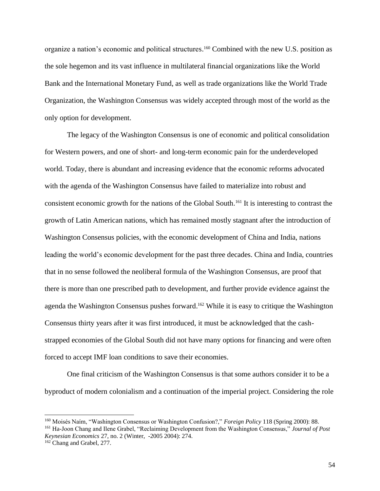organize a nation's economic and political structures. <sup>160</sup> Combined with the new U.S. position as the sole hegemon and its vast influence in multilateral financial organizations like the World Bank and the International Monetary Fund, as well as trade organizations like the World Trade Organization, the Washington Consensus was widely accepted through most of the world as the only option for development.

The legacy of the Washington Consensus is one of economic and political consolidation for Western powers, and one of short- and long-term economic pain for the underdeveloped world. Today, there is abundant and increasing evidence that the economic reforms advocated with the agenda of the Washington Consensus have failed to materialize into robust and consistent economic growth for the nations of the Global South. <sup>161</sup> It is interesting to contrast the growth of Latin American nations, which has remained mostly stagnant after the introduction of Washington Consensus policies, with the economic development of China and India, nations leading the world's economic development for the past three decades. China and India, countries that in no sense followed the neoliberal formula of the Washington Consensus, are proof that there is more than one prescribed path to development, and further provide evidence against the agenda the Washington Consensus pushes forward. <sup>162</sup> While it is easy to critique the Washington Consensus thirty years after it was first introduced, it must be acknowledged that the cashstrapped economies of the Global South did not have many options for financing and were often forced to accept IMF loan conditions to save their economies.

One final criticism of the Washington Consensus is that some authors consider it to be a byproduct of modern colonialism and a continuation of the imperial project. Considering the role

<sup>161</sup> Ha-Joon Chang and Ilene Grabel, "Reclaiming Development from the Washington Consensus," *Journal of Post Keynesian Economics* 27, no. 2 (Winter, -2005 2004): 274.

<sup>160</sup> Moisés Naím, "Washington Consensus or Washington Confusion?," *Foreign Policy* 118 (Spring 2000): 88.

<sup>162</sup> Chang and Grabel, 277.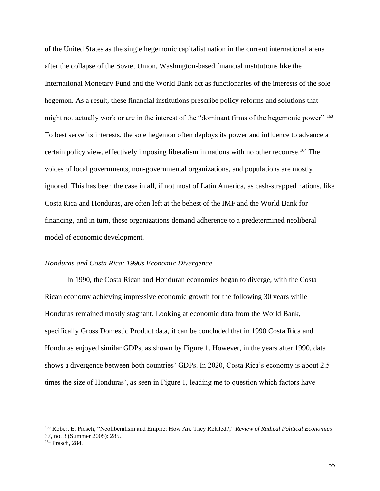of the United States as the single hegemonic capitalist nation in the current international arena after the collapse of the Soviet Union, Washington-based financial institutions like the International Monetary Fund and the World Bank act as functionaries of the interests of the sole hegemon. As a result, these financial institutions prescribe policy reforms and solutions that might not actually work or are in the interest of the "dominant firms of the hegemonic power" <sup>163</sup> To best serve its interests, the sole hegemon often deploys its power and influence to advance a certain policy view, effectively imposing liberalism in nations with no other recourse. <sup>164</sup> The voices of local governments, non-governmental organizations, and populations are mostly ignored. This has been the case in all, if not most of Latin America, as cash-strapped nations, like Costa Rica and Honduras, are often left at the behest of the IMF and the World Bank for financing, and in turn, these organizations demand adherence to a predetermined neoliberal model of economic development.

# *Honduras and Costa Rica: 1990s Economic Divergence*

In 1990, the Costa Rican and Honduran economies began to diverge, with the Costa Rican economy achieving impressive economic growth for the following 30 years while Honduras remained mostly stagnant. Looking at economic data from the World Bank, specifically Gross Domestic Product data, it can be concluded that in 1990 Costa Rica and Honduras enjoyed similar GDPs, as shown by Figure 1. However, in the years after 1990, data shows a divergence between both countries' GDPs. In 2020, Costa Rica's economy is about 2.5 times the size of Honduras', as seen in Figure 1, leading me to question which factors have

<sup>163</sup> Robert E. Prasch, "Neoliberalism and Empire: How Are They Related?," *Review of Radical Political Economics* 37, no. 3 (Summer 2005): 285.

<sup>164</sup> Prasch, 284.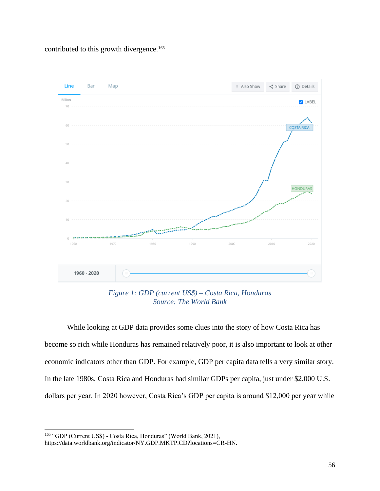contributed to this growth divergence. 165



*Figure 1: GDP (current US\$) – Costa Rica, Honduras Source: The World Bank*

While looking at GDP data provides some clues into the story of how Costa Rica has become so rich while Honduras has remained relatively poor, it is also important to look at other economic indicators other than GDP. For example, GDP per capita data tells a very similar story. In the late 1980s, Costa Rica and Honduras had similar GDPs per capita, just under \$2,000 U.S. dollars per year. In 2020 however, Costa Rica's GDP per capita is around \$12,000 per year while

<sup>165</sup> "GDP (Current US\$) - Costa Rica, Honduras" (World Bank, 2021),

https://data.worldbank.org/indicator/NY.GDP.MKTP.CD?locations=CR-HN.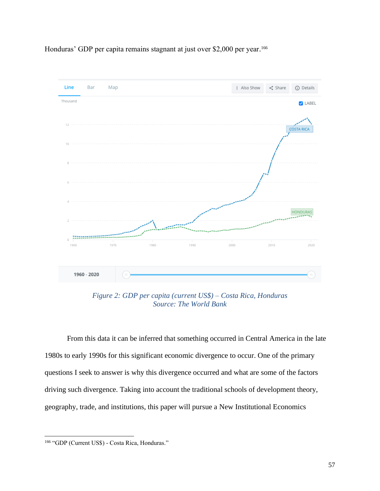

Honduras' GDP per capita remains stagnant at just over \$2,000 per year. 166

*Figure 2: GDP per capita (current US\$) – Costa Rica, Honduras Source: The World Bank*

From this data it can be inferred that something occurred in Central America in the late 1980s to early 1990s for this significant economic divergence to occur. One of the primary questions I seek to answer is why this divergence occurred and what are some of the factors driving such divergence. Taking into account the traditional schools of development theory, geography, trade, and institutions, this paper will pursue a New Institutional Economics

<sup>166</sup> "GDP (Current US\$) - Costa Rica, Honduras."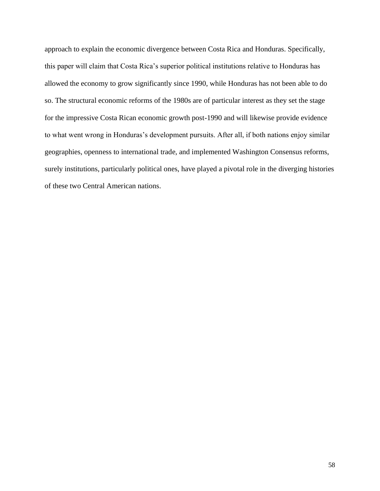approach to explain the economic divergence between Costa Rica and Honduras. Specifically, this paper will claim that Costa Rica's superior political institutions relative to Honduras has allowed the economy to grow significantly since 1990, while Honduras has not been able to do so. The structural economic reforms of the 1980s are of particular interest as they set the stage for the impressive Costa Rican economic growth post-1990 and will likewise provide evidence to what went wrong in Honduras's development pursuits. After all, if both nations enjoy similar geographies, openness to international trade, and implemented Washington Consensus reforms, surely institutions, particularly political ones, have played a pivotal role in the diverging histories of these two Central American nations.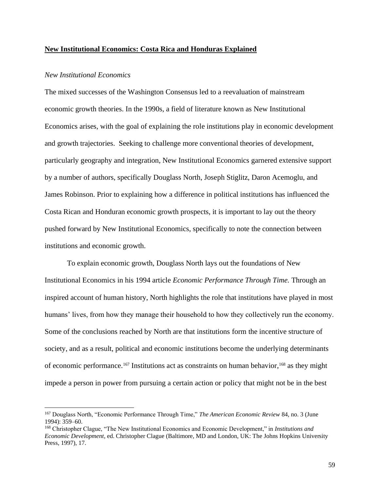#### **New Institutional Economics: Costa Rica and Honduras Explained**

### *New Institutional Economics*

The mixed successes of the Washington Consensus led to a reevaluation of mainstream economic growth theories. In the 1990s, a field of literature known as New Institutional Economics arises, with the goal of explaining the role institutions play in economic development and growth trajectories. Seeking to challenge more conventional theories of development, particularly geography and integration, New Institutional Economics garnered extensive support by a number of authors, specifically Douglass North, Joseph Stiglitz, Daron Acemoglu, and James Robinson. Prior to explaining how a difference in political institutions has influenced the Costa Rican and Honduran economic growth prospects, it is important to lay out the theory pushed forward by New Institutional Economics, specifically to note the connection between institutions and economic growth.

To explain economic growth, Douglass North lays out the foundations of New Institutional Economics in his 1994 article *Economic Performance Through Time.* Through an inspired account of human history, North highlights the role that institutions have played in most humans' lives, from how they manage their household to how they collectively run the economy. Some of the conclusions reached by North are that institutions form the incentive structure of society, and as a result, political and economic institutions become the underlying determinants of economic performance.<sup>167</sup> Institutions act as constraints on human behavior,<sup>168</sup> as they might impede a person in power from pursuing a certain action or policy that might not be in the best

<sup>167</sup> Douglass North, "Economic Performance Through Time," *The American Economic Review* 84, no. 3 (June 1994): 359–60.

<sup>168</sup> Christopher Clague, "The New Institutional Economics and Economic Development," in *Institutions and Economic Development*, ed. Christopher Clague (Baltimore, MD and London, UK: The Johns Hopkins University Press, 1997), 17.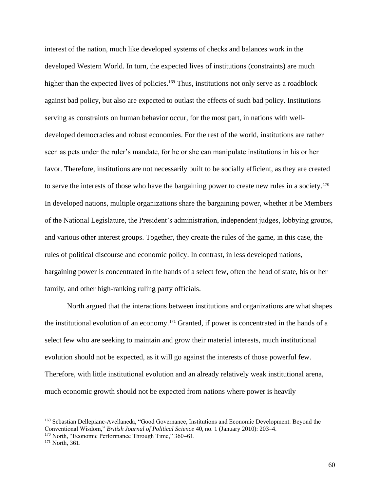interest of the nation, much like developed systems of checks and balances work in the developed Western World. In turn, the expected lives of institutions (constraints) are much higher than the expected lives of policies.<sup>169</sup> Thus, institutions not only serve as a roadblock against bad policy, but also are expected to outlast the effects of such bad policy. Institutions serving as constraints on human behavior occur, for the most part, in nations with welldeveloped democracies and robust economies. For the rest of the world, institutions are rather seen as pets under the ruler's mandate, for he or she can manipulate institutions in his or her favor. Therefore, institutions are not necessarily built to be socially efficient, as they are created to serve the interests of those who have the bargaining power to create new rules in a society.<sup>170</sup> In developed nations, multiple organizations share the bargaining power, whether it be Members of the National Legislature, the President's administration, independent judges, lobbying groups, and various other interest groups. Together, they create the rules of the game, in this case, the rules of political discourse and economic policy. In contrast, in less developed nations, bargaining power is concentrated in the hands of a select few, often the head of state, his or her family, and other high-ranking ruling party officials.

North argued that the interactions between institutions and organizations are what shapes the institutional evolution of an economy.<sup>171</sup> Granted, if power is concentrated in the hands of a select few who are seeking to maintain and grow their material interests, much institutional evolution should not be expected, as it will go against the interests of those powerful few. Therefore, with little institutional evolution and an already relatively weak institutional arena, much economic growth should not be expected from nations where power is heavily

<sup>169</sup> Sebastian Dellepiane-Avellaneda, "Good Governance, Institutions and Economic Development: Beyond the Conventional Wisdom," *British Journal of Political Science* 40, no. 1 (January 2010): 203–4.

<sup>170</sup> North, "Economic Performance Through Time," 360–61.

<sup>&</sup>lt;sup>171</sup> North, 361.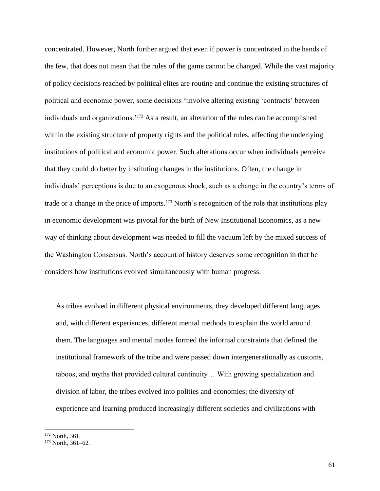concentrated. However, North further argued that even if power is concentrated in the hands of the few, that does not mean that the rules of the game cannot be changed. While the vast majority of policy decisions reached by political elites are routine and continue the existing structures of political and economic power, some decisions "involve altering existing 'contracts' between individuals and organizations.'<sup>172</sup> As a result, an alteration of the rules can be accomplished within the existing structure of property rights and the political rules, affecting the underlying institutions of political and economic power. Such alterations occur when individuals perceive that they could do better by instituting changes in the institutions. Often, the change in individuals' perceptions is due to an exogenous shock, such as a change in the country's terms of trade or a change in the price of imports. <sup>173</sup> North's recognition of the role that institutions play in economic development was pivotal for the birth of New Institutional Economics, as a new way of thinking about development was needed to fill the vacuum left by the mixed success of the Washington Consensus. North's account of history deserves some recognition in that he considers how institutions evolved simultaneously with human progress:

As tribes evolved in different physical environments, they developed different languages and, with different experiences, different mental methods to explain the world around them. The languages and mental modes formed the informal constraints that defined the institutional framework of the tribe and were passed down intergenerationally as customs, taboos, and myths that provided cultural continuity… With growing specialization and division of labor, the tribes evolved into polities and economies; the diversity of experience and learning produced increasingly different societies and civilizations with

<sup>172</sup> North, 361.

 $173$  North, 361–62.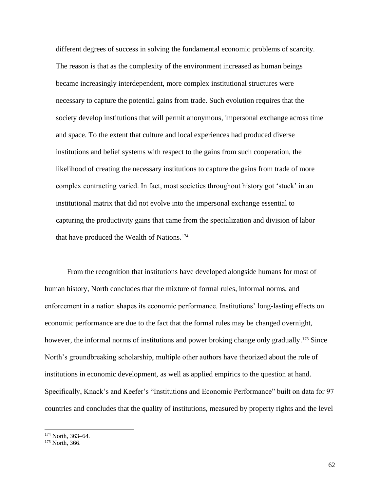different degrees of success in solving the fundamental economic problems of scarcity. The reason is that as the complexity of the environment increased as human beings became increasingly interdependent, more complex institutional structures were necessary to capture the potential gains from trade. Such evolution requires that the society develop institutions that will permit anonymous, impersonal exchange across time and space. To the extent that culture and local experiences had produced diverse institutions and belief systems with respect to the gains from such cooperation, the likelihood of creating the necessary institutions to capture the gains from trade of more complex contracting varied. In fact, most societies throughout history got 'stuck' in an institutional matrix that did not evolve into the impersonal exchange essential to capturing the productivity gains that came from the specialization and division of labor that have produced the Wealth of Nations.<sup>174</sup>

From the recognition that institutions have developed alongside humans for most of human history, North concludes that the mixture of formal rules, informal norms, and enforcement in a nation shapes its economic performance. Institutions' long-lasting effects on economic performance are due to the fact that the formal rules may be changed overnight, however, the informal norms of institutions and power broking change only gradually.<sup>175</sup> Since North's groundbreaking scholarship, multiple other authors have theorized about the role of institutions in economic development, as well as applied empirics to the question at hand. Specifically, Knack's and Keefer's "Institutions and Economic Performance" built on data for 97 countries and concludes that the quality of institutions, measured by property rights and the level

<sup>174</sup> North, 363–64.

<sup>&</sup>lt;sup>175</sup> North, 366.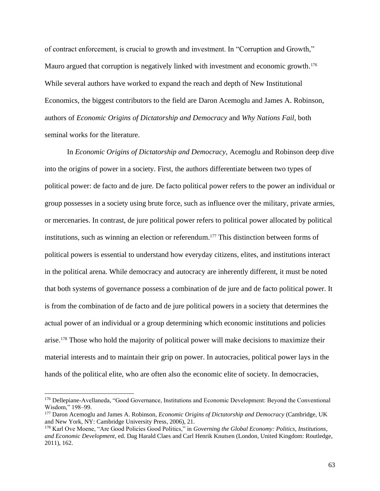of contract enforcement, is crucial to growth and investment. In "Corruption and Growth," Mauro argued that corruption is negatively linked with investment and economic growth.<sup>176</sup> While several authors have worked to expand the reach and depth of New Institutional Economics, the biggest contributors to the field are Daron Acemoglu and James A. Robinson, authors of *Economic Origins of Dictatorship and Democracy* and *Why Nations Fail,* both seminal works for the literature.

In *Economic Origins of Dictatorship and Democracy,* Acemoglu and Robinson deep dive into the origins of power in a society. First, the authors differentiate between two types of political power: de facto and de jure. De facto political power refers to the power an individual or group possesses in a society using brute force, such as influence over the military, private armies, or mercenaries. In contrast, de jure political power refers to political power allocated by political institutions, such as winning an election or referendum. <sup>177</sup> This distinction between forms of political powers is essential to understand how everyday citizens, elites, and institutions interact in the political arena. While democracy and autocracy are inherently different, it must be noted that both systems of governance possess a combination of de jure and de facto political power. It is from the combination of de facto and de jure political powers in a society that determines the actual power of an individual or a group determining which economic institutions and policies arise. <sup>178</sup> Those who hold the majority of political power will make decisions to maximize their material interests and to maintain their grip on power. In autocracies, political power lays in the hands of the political elite, who are often also the economic elite of society. In democracies,

<sup>176</sup> Dellepiane-Avellaneda, "Good Governance, Institutions and Economic Development: Beyond the Conventional Wisdom," 198-99.

<sup>177</sup> Daron Acemoglu and James A. Robinson, *Economic Origins of Dictatorship and Democracy* (Cambridge, UK and New York, NY: Cambridge University Press, 2006), 21.

<sup>178</sup> Karl Ove Moene, "Are Good Policies Good Politics," in *Governing the Global Economy: Politics, Institutions, and Economic Development*, ed. Dag Harald Claes and Carl Henrik Knutsen (London, United Kingdom: Routledge, 2011), 162.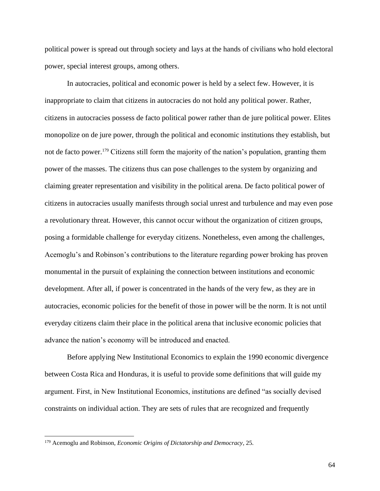political power is spread out through society and lays at the hands of civilians who hold electoral power, special interest groups, among others.

In autocracies, political and economic power is held by a select few. However, it is inappropriate to claim that citizens in autocracies do not hold any political power. Rather, citizens in autocracies possess de facto political power rather than de jure political power. Elites monopolize on de jure power, through the political and economic institutions they establish, but not de facto power.<sup>179</sup> Citizens still form the majority of the nation's population, granting them power of the masses. The citizens thus can pose challenges to the system by organizing and claiming greater representation and visibility in the political arena. De facto political power of citizens in autocracies usually manifests through social unrest and turbulence and may even pose a revolutionary threat. However, this cannot occur without the organization of citizen groups, posing a formidable challenge for everyday citizens. Nonetheless, even among the challenges, Acemoglu's and Robinson's contributions to the literature regarding power broking has proven monumental in the pursuit of explaining the connection between institutions and economic development. After all, if power is concentrated in the hands of the very few, as they are in autocracies, economic policies for the benefit of those in power will be the norm. It is not until everyday citizens claim their place in the political arena that inclusive economic policies that advance the nation's economy will be introduced and enacted.

Before applying New Institutional Economics to explain the 1990 economic divergence between Costa Rica and Honduras, it is useful to provide some definitions that will guide my argument. First, in New Institutional Economics, institutions are defined "as socially devised constraints on individual action. They are sets of rules that are recognized and frequently

<sup>179</sup> Acemoglu and Robinson, *Economic Origins of Dictatorship and Democracy*, 25.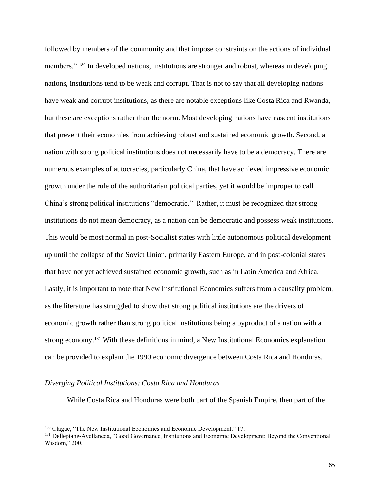followed by members of the community and that impose constraints on the actions of individual members." <sup>180</sup> In developed nations, institutions are stronger and robust, whereas in developing nations, institutions tend to be weak and corrupt. That is not to say that all developing nations have weak and corrupt institutions, as there are notable exceptions like Costa Rica and Rwanda, but these are exceptions rather than the norm. Most developing nations have nascent institutions that prevent their economies from achieving robust and sustained economic growth. Second, a nation with strong political institutions does not necessarily have to be a democracy. There are numerous examples of autocracies, particularly China, that have achieved impressive economic growth under the rule of the authoritarian political parties, yet it would be improper to call China's strong political institutions "democratic." Rather, it must be recognized that strong institutions do not mean democracy, as a nation can be democratic and possess weak institutions. This would be most normal in post-Socialist states with little autonomous political development up until the collapse of the Soviet Union, primarily Eastern Europe, and in post-colonial states that have not yet achieved sustained economic growth, such as in Latin America and Africa. Lastly, it is important to note that New Institutional Economics suffers from a causality problem, as the literature has struggled to show that strong political institutions are the drivers of economic growth rather than strong political institutions being a byproduct of a nation with a strong economy.<sup>181</sup> With these definitions in mind, a New Institutional Economics explanation can be provided to explain the 1990 economic divergence between Costa Rica and Honduras.

# *Diverging Political Institutions: Costa Rica and Honduras*

While Costa Rica and Honduras were both part of the Spanish Empire, then part of the

<sup>180</sup> Clague, "The New Institutional Economics and Economic Development," 17.

<sup>181</sup> Dellepiane-Avellaneda, "Good Governance, Institutions and Economic Development: Beyond the Conventional Wisdom," 200.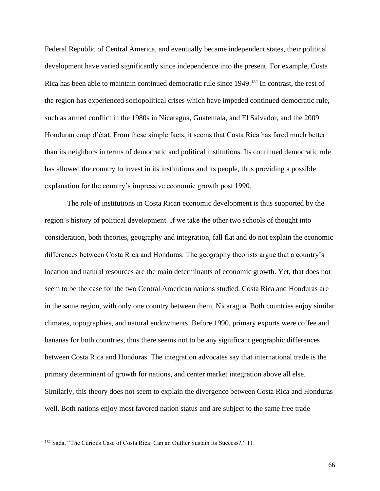Federal Republic of Central America, and eventually became independent states, their political development have varied significantly since independence into the present. For example, Costa Rica has been able to maintain continued democratic rule since 1949.<sup>182</sup> In contrast, the rest of the region has experienced sociopolitical crises which have impeded continued democratic rule, such as armed conflict in the 1980s in Nicaragua, Guatemala, and El Salvador, and the 2009 Honduran coup d'état. From these simple facts, it seems that Costa Rica has fared much better than its neighbors in terms of democratic and political institutions. Its continued democratic rule has allowed the country to invest in its institutions and its people, thus providing a possible explanation for the country's impressive economic growth post 1990.

The role of institutions in Costa Rican economic development is thus supported by the region's history of political development. If we take the other two schools of thought into consideration, both theories, geography and integration, fall flat and do not explain the economic differences between Costa Rica and Honduras. The geography theorists argue that a country's location and natural resources are the main determinants of economic growth. Yet, that does not seem to be the case for the two Central American nations studied. Costa Rica and Honduras are in the same region, with only one country between them, Nicaragua. Both countries enjoy similar climates, topographies, and natural endowments. Before 1990, primary exports were coffee and bananas for both countries, thus there seems not to be any significant geographic differences between Costa Rica and Honduras. The integration advocates say that international trade is the primary determinant of growth for nations, and center market integration above all else. Similarly, this theory does not seem to explain the divergence between Costa Rica and Honduras well. Both nations enjoy most favored nation status and are subject to the same free trade

<sup>182</sup> Sada, "The Curious Case of Costa Rica: Can an Outlier Sustain Its Success?," 11.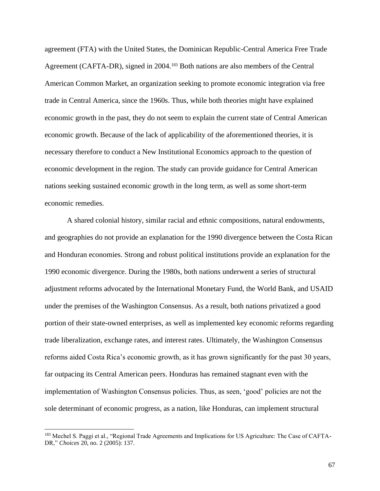agreement (FTA) with the United States, the Dominican Republic-Central America Free Trade Agreement (CAFTA-DR), signed in 2004. <sup>183</sup> Both nations are also members of the Central American Common Market, an organization seeking to promote economic integration via free trade in Central America, since the 1960s. Thus, while both theories might have explained economic growth in the past, they do not seem to explain the current state of Central American economic growth. Because of the lack of applicability of the aforementioned theories, it is necessary therefore to conduct a New Institutional Economics approach to the question of economic development in the region. The study can provide guidance for Central American nations seeking sustained economic growth in the long term, as well as some short-term economic remedies.

A shared colonial history, similar racial and ethnic compositions, natural endowments, and geographies do not provide an explanation for the 1990 divergence between the Costa Rican and Honduran economies. Strong and robust political institutions provide an explanation for the 1990 economic divergence. During the 1980s, both nations underwent a series of structural adjustment reforms advocated by the International Monetary Fund, the World Bank, and USAID under the premises of the Washington Consensus. As a result, both nations privatized a good portion of their state-owned enterprises, as well as implemented key economic reforms regarding trade liberalization, exchange rates, and interest rates. Ultimately, the Washington Consensus reforms aided Costa Rica's economic growth, as it has grown significantly for the past 30 years, far outpacing its Central American peers. Honduras has remained stagnant even with the implementation of Washington Consensus policies. Thus, as seen, 'good' policies are not the sole determinant of economic progress, as a nation, like Honduras, can implement structural

<sup>183</sup> Mechel S. Paggi et al., "Regional Trade Agreements and Implications for US Agriculture: The Case of CAFTA-DR," *Choices* 20, no. 2 (2005): 137.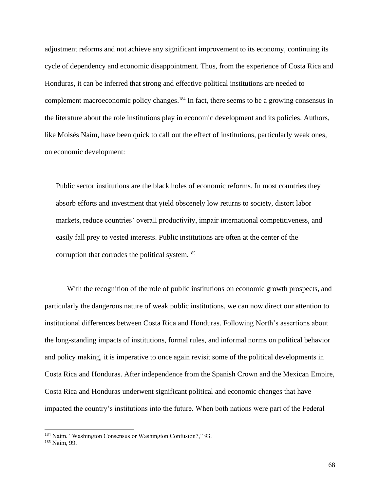adjustment reforms and not achieve any significant improvement to its economy, continuing its cycle of dependency and economic disappointment. Thus, from the experience of Costa Rica and Honduras, it can be inferred that strong and effective political institutions are needed to complement macroeconomic policy changes. <sup>184</sup> In fact, there seems to be a growing consensus in the literature about the role institutions play in economic development and its policies. Authors, like Moisés Naím, have been quick to call out the effect of institutions, particularly weak ones, on economic development:

Public sector institutions are the black holes of economic reforms. In most countries they absorb efforts and investment that yield obscenely low returns to society, distort labor markets, reduce countries' overall productivity, impair international competitiveness, and easily fall prey to vested interests. Public institutions are often at the center of the corruption that corrodes the political system.<sup>185</sup>

With the recognition of the role of public institutions on economic growth prospects, and particularly the dangerous nature of weak public institutions, we can now direct our attention to institutional differences between Costa Rica and Honduras. Following North's assertions about the long-standing impacts of institutions, formal rules, and informal norms on political behavior and policy making, it is imperative to once again revisit some of the political developments in Costa Rica and Honduras. After independence from the Spanish Crown and the Mexican Empire, Costa Rica and Honduras underwent significant political and economic changes that have impacted the country's institutions into the future. When both nations were part of the Federal

<sup>184</sup> Naím, "Washington Consensus or Washington Confusion?," 93.

<sup>185</sup> Naím, 99.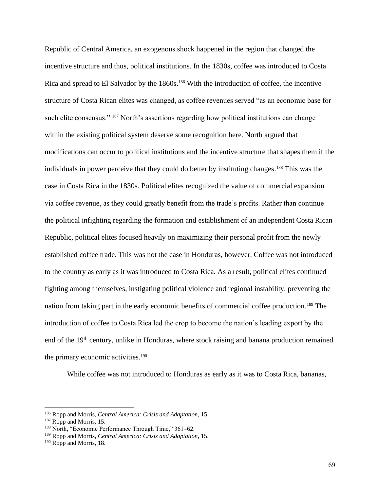Republic of Central America, an exogenous shock happened in the region that changed the incentive structure and thus, political institutions. In the 1830s, coffee was introduced to Costa Rica and spread to El Salvador by the 1860s.<sup>186</sup> With the introduction of coffee, the incentive structure of Costa Rican elites was changed, as coffee revenues served "as an economic base for such elite consensus." <sup>187</sup> North's assertions regarding how political institutions can change within the existing political system deserve some recognition here. North argued that modifications can occur to political institutions and the incentive structure that shapes them if the individuals in power perceive that they could do better by instituting changes. <sup>188</sup> This was the case in Costa Rica in the 1830s. Political elites recognized the value of commercial expansion via coffee revenue, as they could greatly benefit from the trade's profits. Rather than continue the political infighting regarding the formation and establishment of an independent Costa Rican Republic, political elites focused heavily on maximizing their personal profit from the newly established coffee trade. This was not the case in Honduras, however. Coffee was not introduced to the country as early as it was introduced to Costa Rica. As a result, political elites continued fighting among themselves, instigating political violence and regional instability, preventing the nation from taking part in the early economic benefits of commercial coffee production. <sup>189</sup> The introduction of coffee to Costa Rica led the crop to become the nation's leading export by the end of the 19<sup>th</sup> century, unlike in Honduras, where stock raising and banana production remained the primary economic activities. 190

While coffee was not introduced to Honduras as early as it was to Costa Rica, bananas,

<sup>186</sup> Ropp and Morris, *Central America: Crisis and Adaptation*, 15.

<sup>&</sup>lt;sup>187</sup> Ropp and Morris, 15.

<sup>188</sup> North, "Economic Performance Through Time," 361–62.

<sup>189</sup> Ropp and Morris, *Central America: Crisis and Adaptation*, 15.

<sup>&</sup>lt;sup>190</sup> Ropp and Morris, 18.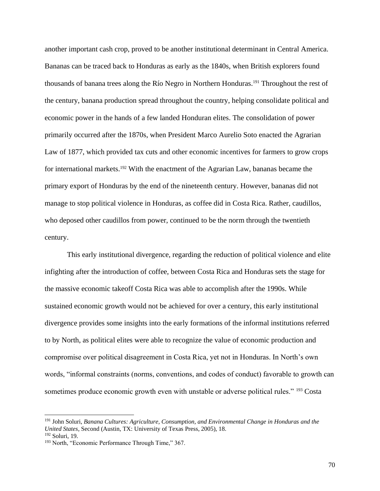another important cash crop, proved to be another institutional determinant in Central America. Bananas can be traced back to Honduras as early as the 1840s, when British explorers found thousands of banana trees along the Río Negro in Northern Honduras. <sup>191</sup> Throughout the rest of the century, banana production spread throughout the country, helping consolidate political and economic power in the hands of a few landed Honduran elites. The consolidation of power primarily occurred after the 1870s, when President Marco Aurelio Soto enacted the Agrarian Law of 1877, which provided tax cuts and other economic incentives for farmers to grow crops for international markets. <sup>192</sup> With the enactment of the Agrarian Law, bananas became the primary export of Honduras by the end of the nineteenth century. However, bananas did not manage to stop political violence in Honduras, as coffee did in Costa Rica. Rather, caudillos, who deposed other caudillos from power, continued to be the norm through the twentieth century.

This early institutional divergence, regarding the reduction of political violence and elite infighting after the introduction of coffee, between Costa Rica and Honduras sets the stage for the massive economic takeoff Costa Rica was able to accomplish after the 1990s. While sustained economic growth would not be achieved for over a century, this early institutional divergence provides some insights into the early formations of the informal institutions referred to by North, as political elites were able to recognize the value of economic production and compromise over political disagreement in Costa Rica, yet not in Honduras. In North's own words, "informal constraints (norms, conventions, and codes of conduct) favorable to growth can sometimes produce economic growth even with unstable or adverse political rules." <sup>193</sup> Costa

<sup>191</sup> John Soluri, *Banana Cultures: Agriculture, Consumption, and Environmental Change in Honduras and the United States*, Second (Austin, TX: University of Texas Press, 2005), 18.

<sup>192</sup> Soluri, 19.

<sup>&</sup>lt;sup>193</sup> North, "Economic Performance Through Time," 367.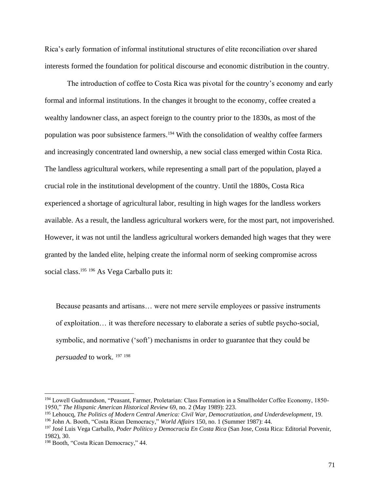Rica's early formation of informal institutional structures of elite reconciliation over shared interests formed the foundation for political discourse and economic distribution in the country.

The introduction of coffee to Costa Rica was pivotal for the country's economy and early formal and informal institutions. In the changes it brought to the economy, coffee created a wealthy landowner class, an aspect foreign to the country prior to the 1830s, as most of the population was poor subsistence farmers. <sup>194</sup> With the consolidation of wealthy coffee farmers and increasingly concentrated land ownership, a new social class emerged within Costa Rica. The landless agricultural workers, while representing a small part of the population, played a crucial role in the institutional development of the country. Until the 1880s, Costa Rica experienced a shortage of agricultural labor, resulting in high wages for the landless workers available. As a result, the landless agricultural workers were, for the most part, not impoverished. However, it was not until the landless agricultural workers demanded high wages that they were granted by the landed elite, helping create the informal norm of seeking compromise across social class. <sup>195</sup> <sup>196</sup> As Vega Carballo puts it:

Because peasants and artisans… were not mere servile employees or passive instruments of exploitation… it was therefore necessary to elaborate a series of subtle psycho-social, symbolic, and normative ('soft') mechanisms in order to guarantee that they could be *persuaded* to work. <sup>197</sup> <sup>198</sup>

<sup>194</sup> Lowell Gudmundson, "Peasant, Farmer, Proletarian: Class Formation in a Smallholder Coffee Economy, 1850- 1950," *The Hispanic American Historical Review* 69, no. 2 (May 1989): 223.

<sup>195</sup> Lehoucq, *The Politics of Modern Central America: Civil War, Democratization, and Underdevelopment*, 19.

<sup>196</sup> John A. Booth, "Costa Rican Democracy," *World Affairs* 150, no. 1 (Summer 1987): 44.

<sup>197</sup> José Luis Vega Carballo, *Poder Político y Democracia En Costa Rica* (San Jose, Costa Rica: Editorial Porvenir, 1982), 30.

<sup>198</sup> Booth, "Costa Rican Democracy," 44.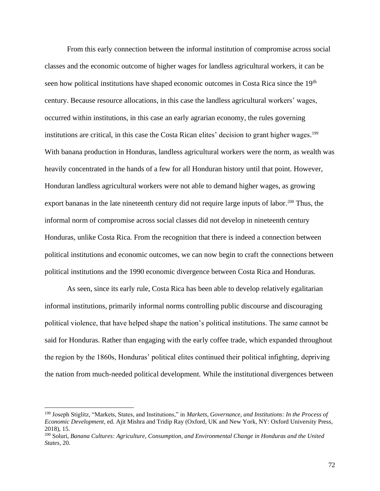From this early connection between the informal institution of compromise across social classes and the economic outcome of higher wages for landless agricultural workers, it can be seen how political institutions have shaped economic outcomes in Costa Rica since the 19<sup>th</sup> century. Because resource allocations, in this case the landless agricultural workers' wages, occurred within institutions, in this case an early agrarian economy, the rules governing institutions are critical, in this case the Costa Rican elites' decision to grant higher wages.<sup>199</sup> With banana production in Honduras, landless agricultural workers were the norm, as wealth was heavily concentrated in the hands of a few for all Honduran history until that point. However, Honduran landless agricultural workers were not able to demand higher wages, as growing export bananas in the late nineteenth century did not require large inputs of labor.<sup>200</sup> Thus, the informal norm of compromise across social classes did not develop in nineteenth century Honduras, unlike Costa Rica. From the recognition that there is indeed a connection between political institutions and economic outcomes, we can now begin to craft the connections between political institutions and the 1990 economic divergence between Costa Rica and Honduras.

As seen, since its early rule, Costa Rica has been able to develop relatively egalitarian informal institutions, primarily informal norms controlling public discourse and discouraging political violence, that have helped shape the nation's political institutions. The same cannot be said for Honduras. Rather than engaging with the early coffee trade, which expanded throughout the region by the 1860s, Honduras' political elites continued their political infighting, depriving the nation from much-needed political development. While the institutional divergences between

<sup>199</sup> Joseph Stiglitz, "Markets, States, and Institutions," in *Markets, Governance, and Institutions: In the Process of Economic Development*, ed. Ajit Mishra and Tridip Ray (Oxford, UK and New York, NY: Oxford University Press, 2018), 15.

<sup>200</sup> Soluri, *Banana Cultures: Agriculture, Consumption, and Environmental Change in Honduras and the United States*, 20.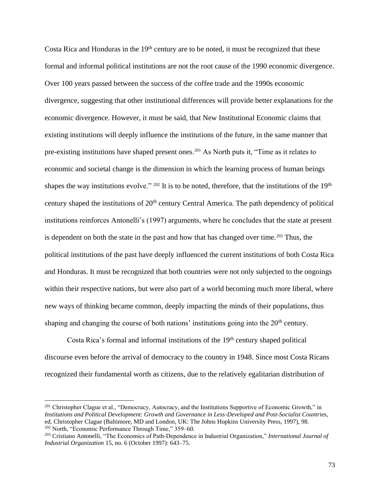Costa Rica and Honduras in the  $19<sup>th</sup>$  century are to be noted, it must be recognized that these formal and informal political institutions are not the root cause of the 1990 economic divergence. Over 100 years passed between the success of the coffee trade and the 1990s economic divergence, suggesting that other institutional differences will provide better explanations for the economic divergence. However, it must be said, that New Institutional Economic claims that existing institutions will deeply influence the institutions of the future, in the same manner that pre-existing institutions have shaped present ones. <sup>201</sup> As North puts it, "Time as it relates to economic and societal change is the dimension in which the learning process of human beings shapes the way institutions evolve."  $202$  It is to be noted, therefore, that the institutions of the 19<sup>th</sup> century shaped the institutions of 20<sup>th</sup> century Central America. The path dependency of political institutions reinforces Antonelli's (1997) arguments, where he concludes that the state at present is dependent on both the state in the past and how that has changed over time.<sup>203</sup> Thus, the political institutions of the past have deeply influenced the current institutions of both Costa Rica and Honduras. It must be recognized that both countries were not only subjected to the ongoings within their respective nations, but were also part of a world becoming much more liberal, where new ways of thinking became common, deeply impacting the minds of their populations, thus shaping and changing the course of both nations' institutions going into the  $20<sup>th</sup>$  century.

Costa Rica's formal and informal institutions of the 19<sup>th</sup> century shaped political discourse even before the arrival of democracy to the country in 1948. Since most Costa Ricans recognized their fundamental worth as citizens, due to the relatively egalitarian distribution of

<sup>&</sup>lt;sup>201</sup> Christopher Clague et al., "Democracy, Autocracy, and the Institutions Supportive of Economic Growth," in *Institutions and Political Development: Growth and Governance in Less-Developed and Post-Socialist Countries*, ed. Christopher Clague (Baltimore, MD and London, UK: The Johns Hopkins University Press, 1997), 98. <sup>202</sup> North, "Economic Performance Through Time," 359–60.

<sup>203</sup> Cristiano Antonelli, "The Economics of Path-Dependence in Industrial Organization," *International Journal of Industrial Organization* 15, no. 6 (October 1997): 643–75.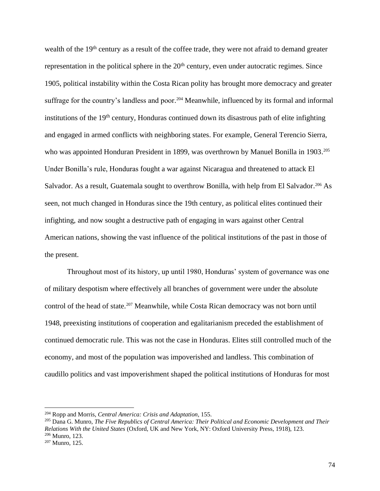wealth of the 19<sup>th</sup> century as a result of the coffee trade, they were not afraid to demand greater representation in the political sphere in the 20<sup>th</sup> century, even under autocratic regimes. Since 1905, political instability within the Costa Rican polity has brought more democracy and greater suffrage for the country's landless and poor.<sup>204</sup> Meanwhile, influenced by its formal and informal institutions of the  $19<sup>th</sup>$  century, Honduras continued down its disastrous path of elite infighting and engaged in armed conflicts with neighboring states. For example, General Terencio Sierra, who was appointed Honduran President in 1899, was overthrown by Manuel Bonilla in 1903.<sup>205</sup> Under Bonilla's rule, Honduras fought a war against Nicaragua and threatened to attack El Salvador. As a result, Guatemala sought to overthrow Bonilla, with help from El Salvador.<sup>206</sup> As seen, not much changed in Honduras since the 19th century, as political elites continued their infighting, and now sought a destructive path of engaging in wars against other Central American nations, showing the vast influence of the political institutions of the past in those of the present.

Throughout most of its history, up until 1980, Honduras' system of governance was one of military despotism where effectively all branches of government were under the absolute control of the head of state. <sup>207</sup> Meanwhile, while Costa Rican democracy was not born until 1948, preexisting institutions of cooperation and egalitarianism preceded the establishment of continued democratic rule. This was not the case in Honduras. Elites still controlled much of the economy, and most of the population was impoverished and landless. This combination of caudillo politics and vast impoverishment shaped the political institutions of Honduras for most

<sup>204</sup> Ropp and Morris, *Central America: Crisis and Adaptation*, 155.

<sup>205</sup> Dana G. Munro, *The Five Republics of Central America: Their Political and Economic Development and Their Relations With the United States* (Oxford, UK and New York, NY: Oxford University Press, 1918), 123. <sup>206</sup> Munro, 123.

<sup>207</sup> Munro, 125.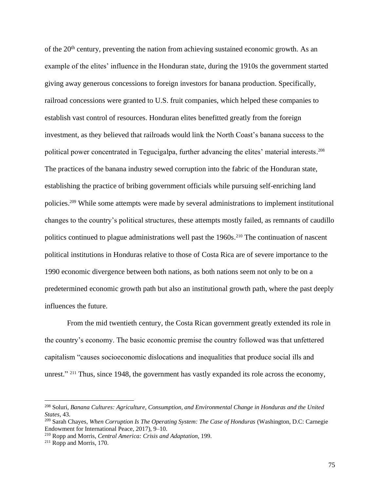of the 20<sup>th</sup> century, preventing the nation from achieving sustained economic growth. As an example of the elites' influence in the Honduran state, during the 1910s the government started giving away generous concessions to foreign investors for banana production. Specifically, railroad concessions were granted to U.S. fruit companies, which helped these companies to establish vast control of resources. Honduran elites benefitted greatly from the foreign investment, as they believed that railroads would link the North Coast's banana success to the political power concentrated in Tegucigalpa, further advancing the elites' material interests. 208 The practices of the banana industry sewed corruption into the fabric of the Honduran state, establishing the practice of bribing government officials while pursuing self-enriching land policies. <sup>209</sup> While some attempts were made by several administrations to implement institutional changes to the country's political structures, these attempts mostly failed, as remnants of caudillo politics continued to plague administrations well past the 1960s.<sup>210</sup> The continuation of nascent political institutions in Honduras relative to those of Costa Rica are of severe importance to the 1990 economic divergence between both nations, as both nations seem not only to be on a predetermined economic growth path but also an institutional growth path, where the past deeply influences the future.

From the mid twentieth century, the Costa Rican government greatly extended its role in the country's economy. The basic economic premise the country followed was that unfettered capitalism "causes socioeconomic dislocations and inequalities that produce social ills and unrest." <sup>211</sup> Thus, since 1948, the government has vastly expanded its role across the economy,

<sup>208</sup> Soluri, *Banana Cultures: Agriculture, Consumption, and Environmental Change in Honduras and the United States*, 43.

<sup>209</sup> Sarah Chayes, *When Corruption Is The Operating System: The Case of Honduras* (Washington, D.C: Carnegie Endowment for International Peace, 2017), 9–10.

<sup>210</sup> Ropp and Morris, *Central America: Crisis and Adaptation*, 199.

 $211$  Ropp and Morris, 170.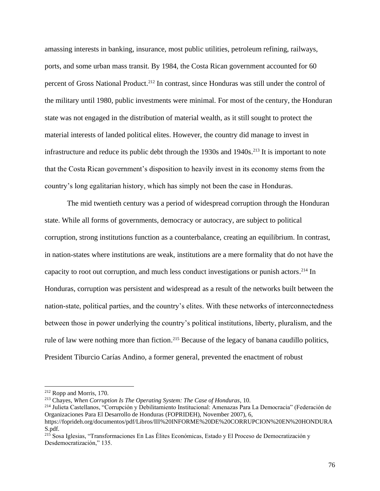amassing interests in banking, insurance, most public utilities, petroleum refining, railways, ports, and some urban mass transit. By 1984, the Costa Rican government accounted for 60 percent of Gross National Product. <sup>212</sup> In contrast, since Honduras was still under the control of the military until 1980, public investments were minimal. For most of the century, the Honduran state was not engaged in the distribution of material wealth, as it still sought to protect the material interests of landed political elites. However, the country did manage to invest in infrastructure and reduce its public debt through the 1930s and 1940s. <sup>213</sup> It is important to note that the Costa Rican government's disposition to heavily invest in its economy stems from the country's long egalitarian history, which has simply not been the case in Honduras.

The mid twentieth century was a period of widespread corruption through the Honduran state. While all forms of governments, democracy or autocracy, are subject to political corruption, strong institutions function as a counterbalance, creating an equilibrium. In contrast, in nation-states where institutions are weak, institutions are a mere formality that do not have the capacity to root out corruption, and much less conduct investigations or punish actors. <sup>214</sup> In Honduras, corruption was persistent and widespread as a result of the networks built between the nation-state, political parties, and the country's elites. With these networks of interconnectedness between those in power underlying the country's political institutions, liberty, pluralism, and the rule of law were nothing more than fiction.<sup>215</sup> Because of the legacy of banana caudillo politics, President Tiburcio Carías Andino, a former general, prevented the enactment of robust

<sup>212</sup> Ropp and Morris, 170.

<sup>213</sup> Chayes, *When Corruption Is The Operating System: The Case of Honduras*, 10.

<sup>214</sup> Julieta Castellanos, "Corrupción y Debilitamiento Institucional: Amenazas Para La Democracia" (Federación de Organizaciones Para El Desarrollo de Honduras (FOPRIDEH), November 2007), 6,

https://foprideh.org/documentos/pdf/Libros/III%20INFORME%20DE%20CORRUPCION%20EN%20HONDURA S.pdf.

<sup>215</sup> Sosa Iglesias, "Transformaciones En Las Élites Económicas, Estado y El Proceso de Democratización y Desdemocratización," 135.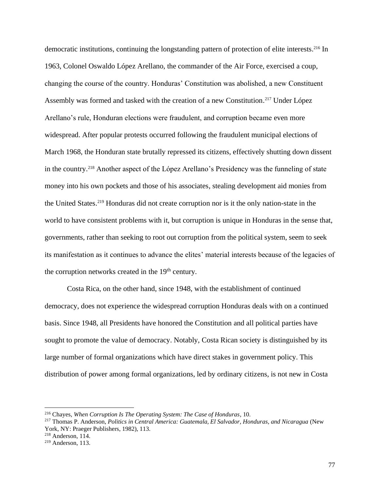democratic institutions, continuing the longstanding pattern of protection of elite interests. <sup>216</sup> In 1963, Colonel Oswaldo López Arellano, the commander of the Air Force, exercised a coup, changing the course of the country. Honduras' Constitution was abolished, a new Constituent Assembly was formed and tasked with the creation of a new Constitution. <sup>217</sup> Under López Arellano's rule, Honduran elections were fraudulent, and corruption became even more widespread. After popular protests occurred following the fraudulent municipal elections of March 1968, the Honduran state brutally repressed its citizens, effectively shutting down dissent in the country. <sup>218</sup> Another aspect of the López Arellano's Presidency was the funneling of state money into his own pockets and those of his associates, stealing development aid monies from the United States. <sup>219</sup> Honduras did not create corruption nor is it the only nation-state in the world to have consistent problems with it, but corruption is unique in Honduras in the sense that, governments, rather than seeking to root out corruption from the political system, seem to seek its manifestation as it continues to advance the elites' material interests because of the legacies of the corruption networks created in the 19<sup>th</sup> century.

Costa Rica, on the other hand, since 1948, with the establishment of continued democracy, does not experience the widespread corruption Honduras deals with on a continued basis. Since 1948, all Presidents have honored the Constitution and all political parties have sought to promote the value of democracy. Notably, Costa Rican society is distinguished by its large number of formal organizations which have direct stakes in government policy. This distribution of power among formal organizations, led by ordinary citizens, is not new in Costa

<sup>216</sup> Chayes, *When Corruption Is The Operating System: The Case of Honduras*, 10.

<sup>217</sup> Thomas P. Anderson, *Politics in Central America: Guatemala, El Salvador, Honduras, and Nicaragua* (New York, NY: Praeger Publishers, 1982), 113.

<sup>218</sup> Anderson, 114.

 $219$  Anderson, 113.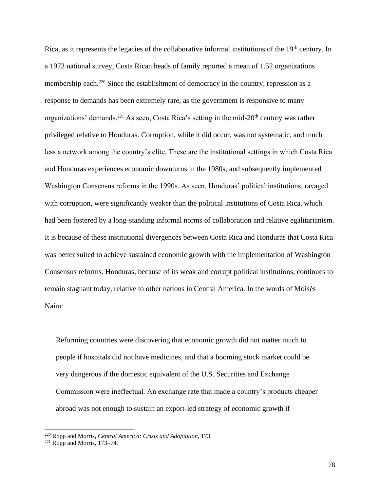Rica, as it represents the legacies of the collaborative informal institutions of the 19<sup>th</sup> century. In a 1973 national survey, Costa Rican heads of family reported a mean of 1.52 organizations membership each.<sup>220</sup> Since the establishment of democracy in the country, repression as a response to demands has been extremely rare, as the government is responsive to many organizations' demands.<sup>221</sup> As seen, Costa Rica's setting in the mid-20<sup>th</sup> century was rather privileged relative to Honduras. Corruption, while it did occur, was not systematic, and much less a network among the country's elite. These are the institutional settings in which Costa Rica and Honduras experiences economic downturns in the 1980s, and subsequently implemented Washington Consensus reforms in the 1990s. As seen, Honduras' political institutions, ravaged with corruption, were significantly weaker than the political institutions of Costa Rica, which had been fostered by a long-standing informal norms of collaboration and relative egalitarianism. It is because of these institutional divergences between Costa Rica and Honduras that Costa Rica was better suited to achieve sustained economic growth with the implementation of Washington Consensus reforms. Honduras, because of its weak and corrupt political institutions, continues to remain stagnant today, relative to other nations in Central America. In the words of Moisés Naím:

Reforming countries were discovering that economic growth did not matter much to people if hospitals did not have medicines, and that a booming stock market could be very dangerous if the domestic equivalent of the U.S. Securities and Exchange Commission were ineffectual. An exchange rate that made a country's products cheaper abroad was not enough to sustain an export-led strategy of economic growth if

<sup>220</sup> Ropp and Morris, *Central America: Crisis and Adaptation*, 173.

 $221$  Ropp and Morris, 173–74.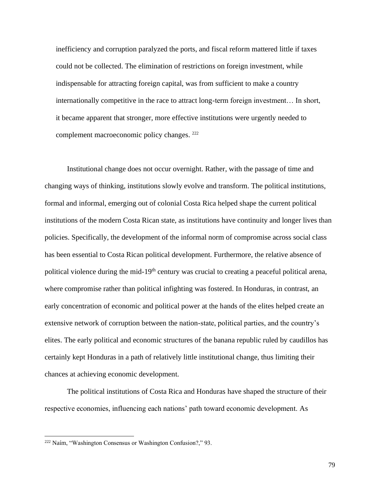inefficiency and corruption paralyzed the ports, and fiscal reform mattered little if taxes could not be collected. The elimination of restrictions on foreign investment, while indispensable for attracting foreign capital, was from sufficient to make a country internationally competitive in the race to attract long-term foreign investment… In short, it became apparent that stronger, more effective institutions were urgently needed to complement macroeconomic policy changes. <sup>222</sup>

Institutional change does not occur overnight. Rather, with the passage of time and changing ways of thinking, institutions slowly evolve and transform. The political institutions, formal and informal, emerging out of colonial Costa Rica helped shape the current political institutions of the modern Costa Rican state, as institutions have continuity and longer lives than policies. Specifically, the development of the informal norm of compromise across social class has been essential to Costa Rican political development. Furthermore, the relative absence of political violence during the mid-19<sup>th</sup> century was crucial to creating a peaceful political arena, where compromise rather than political infighting was fostered. In Honduras, in contrast, an early concentration of economic and political power at the hands of the elites helped create an extensive network of corruption between the nation-state, political parties, and the country's elites. The early political and economic structures of the banana republic ruled by caudillos has certainly kept Honduras in a path of relatively little institutional change, thus limiting their chances at achieving economic development.

The political institutions of Costa Rica and Honduras have shaped the structure of their respective economies, influencing each nations' path toward economic development. As

<sup>222</sup> Naím, "Washington Consensus or Washington Confusion?," 93.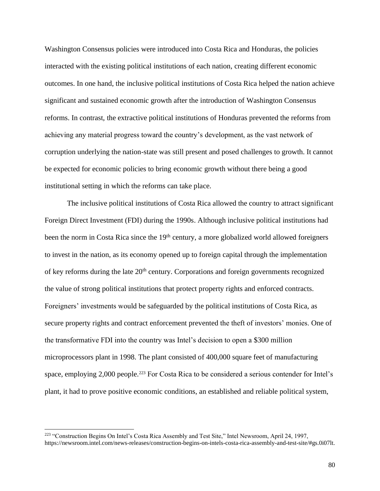Washington Consensus policies were introduced into Costa Rica and Honduras, the policies interacted with the existing political institutions of each nation, creating different economic outcomes. In one hand, the inclusive political institutions of Costa Rica helped the nation achieve significant and sustained economic growth after the introduction of Washington Consensus reforms. In contrast, the extractive political institutions of Honduras prevented the reforms from achieving any material progress toward the country's development, as the vast network of corruption underlying the nation-state was still present and posed challenges to growth. It cannot be expected for economic policies to bring economic growth without there being a good institutional setting in which the reforms can take place.

The inclusive political institutions of Costa Rica allowed the country to attract significant Foreign Direct Investment (FDI) during the 1990s. Although inclusive political institutions had been the norm in Costa Rica since the 19<sup>th</sup> century, a more globalized world allowed foreigners to invest in the nation, as its economy opened up to foreign capital through the implementation of key reforms during the late 20<sup>th</sup> century. Corporations and foreign governments recognized the value of strong political institutions that protect property rights and enforced contracts. Foreigners' investments would be safeguarded by the political institutions of Costa Rica, as secure property rights and contract enforcement prevented the theft of investors' monies. One of the transformative FDI into the country was Intel's decision to open a \$300 million microprocessors plant in 1998. The plant consisted of 400,000 square feet of manufacturing space, employing 2,000 people.<sup>223</sup> For Costa Rica to be considered a serious contender for Intel's plant, it had to prove positive economic conditions, an established and reliable political system,

<sup>223</sup> "Construction Begins On Intel's Costa Rica Assembly and Test Site," Intel Newsroom, April 24, 1997, https://newsroom.intel.com/news-releases/construction-begins-on-intels-costa-rica-assembly-and-test-site/#gs.0i07lt.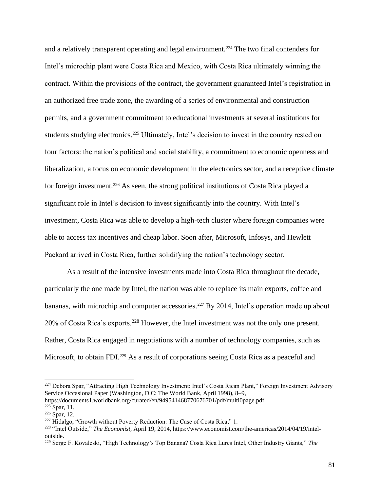and a relatively transparent operating and legal environment.<sup>224</sup> The two final contenders for Intel's microchip plant were Costa Rica and Mexico, with Costa Rica ultimately winning the contract. Within the provisions of the contract, the government guaranteed Intel's registration in an authorized free trade zone, the awarding of a series of environmental and construction permits, and a government commitment to educational investments at several institutions for students studying electronics.<sup>225</sup> Ultimately, Intel's decision to invest in the country rested on four factors: the nation's political and social stability, a commitment to economic openness and liberalization, a focus on economic development in the electronics sector, and a receptive climate for foreign investment.<sup>226</sup> As seen, the strong political institutions of Costa Rica played a significant role in Intel's decision to invest significantly into the country. With Intel's investment, Costa Rica was able to develop a high-tech cluster where foreign companies were able to access tax incentives and cheap labor. Soon after, Microsoft, Infosys, and Hewlett Packard arrived in Costa Rica, further solidifying the nation's technology sector.

As a result of the intensive investments made into Costa Rica throughout the decade, particularly the one made by Intel, the nation was able to replace its main exports, coffee and bananas, with microchip and computer accessories.<sup>227</sup> By 2014, Intel's operation made up about 20% of Costa Rica's exports.<sup>228</sup> However, the Intel investment was not the only one present. Rather, Costa Rica engaged in negotiations with a number of technology companies, such as Microsoft, to obtain FDI.<sup>229</sup> As a result of corporations seeing Costa Rica as a peaceful and

https://documents1.worldbank.org/curated/en/949541468770676701/pdf/multi0page.pdf.  $225$  Spar, 11.

<sup>&</sup>lt;sup>224</sup> Debora Spar, "Attracting High Technology Investment: Intel's Costa Rican Plant," Foreign Investment Advisory Service Occasional Paper (Washington, D.C: The World Bank, April 1998), 8–9,

<sup>226</sup> Spar, 12.

 $227$  Hidalgo, "Growth without Poverty Reduction: The Case of Costa Rica," 1.

<sup>228</sup> "Intel Outside," *The Economist*, April 19, 2014, https://www.economist.com/the-americas/2014/04/19/inteloutside.

<sup>229</sup> Serge F. Kovaleski, "High Technology's Top Banana? Costa Rica Lures Intel, Other Industry Giants," *The*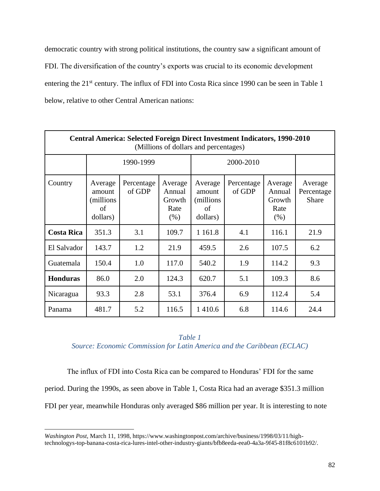democratic country with strong political institutions, the country saw a significant amount of FDI. The diversification of the country's exports was crucial to its economic development entering the 21<sup>st</sup> century. The influx of FDI into Costa Rica since 1990 can be seen in Table 1 below, relative to other Central American nations:

| Central America: Selected Foreign Direct Investment Indicators, 1990-2010<br>(Millions of dollars and percentages) |                                                   |                      |                                             |                                                   |                      |                                             |                                |
|--------------------------------------------------------------------------------------------------------------------|---------------------------------------------------|----------------------|---------------------------------------------|---------------------------------------------------|----------------------|---------------------------------------------|--------------------------------|
|                                                                                                                    |                                                   | 1990-1999            |                                             |                                                   | 2000-2010            |                                             |                                |
| Country                                                                                                            | Average<br>amount<br>(millions)<br>of<br>dollars) | Percentage<br>of GDP | Average<br>Annual<br>Growth<br>Rate<br>(% ) | Average<br>amount<br>(millions)<br>of<br>dollars) | Percentage<br>of GDP | Average<br>Annual<br>Growth<br>Rate<br>(% ) | Average<br>Percentage<br>Share |
| <b>Costa Rica</b>                                                                                                  | 351.3                                             | 3.1                  | 109.7                                       | 1 1 6 1 .8                                        | 4.1                  | 116.1                                       | 21.9                           |
| El Salvador                                                                                                        | 143.7                                             | 1.2                  | 21.9                                        | 459.5                                             | 2.6                  | 107.5                                       | 6.2                            |
| Guatemala                                                                                                          | 150.4                                             | 1.0                  | 117.0                                       | 540.2                                             | 1.9                  | 114.2                                       | 9.3                            |
| <b>Honduras</b>                                                                                                    | 86.0                                              | 2.0                  | 124.3                                       | 620.7                                             | 5.1                  | 109.3                                       | 8.6                            |
| Nicaragua                                                                                                          | 93.3                                              | 2.8                  | 53.1                                        | 376.4                                             | 6.9                  | 112.4                                       | 5.4                            |
| Panama                                                                                                             | 481.7                                             | 5.2                  | 116.5                                       | 1410.6                                            | 6.8                  | 114.6                                       | 24.4                           |

*Table 1 Source: Economic Commission for Latin America and the Caribbean (ECLAC)*

The influx of FDI into Costa Rica can be compared to Honduras' FDI for the same period. During the 1990s, as seen above in Table 1, Costa Rica had an average \$351.3 million FDI per year, meanwhile Honduras only averaged \$86 million per year. It is interesting to note

*Washington Post*, March 11, 1998, https://www.washingtonpost.com/archive/business/1998/03/11/hightechnologys-top-banana-costa-rica-lures-intel-other-industry-giants/bfb8eeda-eea0-4a3a-9f45-81f8c6101b92/.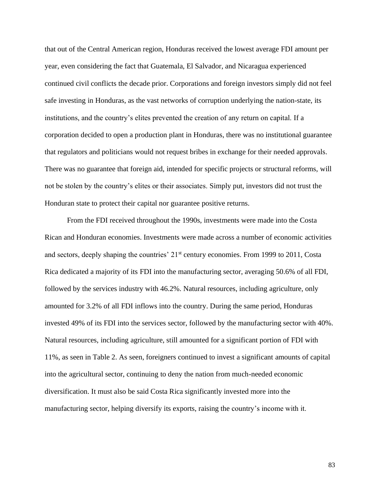that out of the Central American region, Honduras received the lowest average FDI amount per year, even considering the fact that Guatemala, El Salvador, and Nicaragua experienced continued civil conflicts the decade prior. Corporations and foreign investors simply did not feel safe investing in Honduras, as the vast networks of corruption underlying the nation-state, its institutions, and the country's elites prevented the creation of any return on capital. If a corporation decided to open a production plant in Honduras, there was no institutional guarantee that regulators and politicians would not request bribes in exchange for their needed approvals. There was no guarantee that foreign aid, intended for specific projects or structural reforms, will not be stolen by the country's elites or their associates. Simply put, investors did not trust the Honduran state to protect their capital nor guarantee positive returns.

From the FDI received throughout the 1990s, investments were made into the Costa Rican and Honduran economies. Investments were made across a number of economic activities and sectors, deeply shaping the countries' 21st century economies. From 1999 to 2011, Costa Rica dedicated a majority of its FDI into the manufacturing sector, averaging 50.6% of all FDI, followed by the services industry with 46.2%. Natural resources, including agriculture, only amounted for 3.2% of all FDI inflows into the country. During the same period, Honduras invested 49% of its FDI into the services sector, followed by the manufacturing sector with 40%. Natural resources, including agriculture, still amounted for a significant portion of FDI with 11%, as seen in Table 2. As seen, foreigners continued to invest a significant amounts of capital into the agricultural sector, continuing to deny the nation from much-needed economic diversification. It must also be said Costa Rica significantly invested more into the manufacturing sector, helping diversify its exports, raising the country's income with it.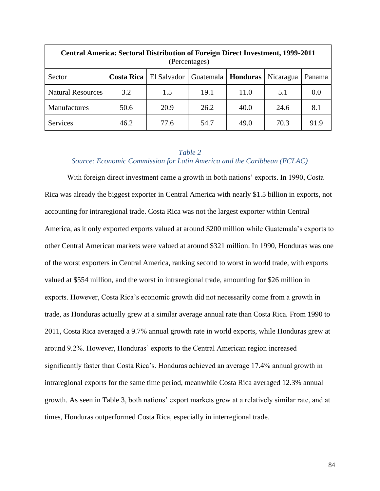| <b>Central America: Sectoral Distribution of Foreign Direct Investment, 1999-2011</b><br>(Percentages) |      |      |      |      |      |      |  |  |
|--------------------------------------------------------------------------------------------------------|------|------|------|------|------|------|--|--|
| <b>Costa Rica</b>   El Salvador<br>Honduras<br><b>Guatemala</b><br>Nicaragua<br>Sector<br>Panama       |      |      |      |      |      |      |  |  |
| <b>Natural Resources</b>                                                                               | 3.2  | 1.5  | 19.1 | 11.0 | 5.1  | 0.0  |  |  |
| Manufactures                                                                                           | 50.6 | 20.9 | 26.2 | 40.0 | 24.6 | 8.1  |  |  |
| <b>Services</b>                                                                                        | 46.2 | 77.6 | 54.7 | 49.0 | 70.3 | 91.9 |  |  |

# *Table 2 Source: Economic Commission for Latin America and the Caribbean (ECLAC)*

With foreign direct investment came a growth in both nations' exports. In 1990, Costa Rica was already the biggest exporter in Central America with nearly \$1.5 billion in exports, not accounting for intraregional trade. Costa Rica was not the largest exporter within Central America, as it only exported exports valued at around \$200 million while Guatemala's exports to other Central American markets were valued at around \$321 million. In 1990, Honduras was one of the worst exporters in Central America, ranking second to worst in world trade, with exports valued at \$554 million, and the worst in intraregional trade, amounting for \$26 million in exports. However, Costa Rica's economic growth did not necessarily come from a growth in trade, as Honduras actually grew at a similar average annual rate than Costa Rica. From 1990 to 2011, Costa Rica averaged a 9.7% annual growth rate in world exports, while Honduras grew at around 9.2%. However, Honduras' exports to the Central American region increased significantly faster than Costa Rica's. Honduras achieved an average 17.4% annual growth in intraregional exports for the same time period, meanwhile Costa Rica averaged 12.3% annual growth. As seen in Table 3, both nations' export markets grew at a relatively similar rate, and at times, Honduras outperformed Costa Rica, especially in interregional trade.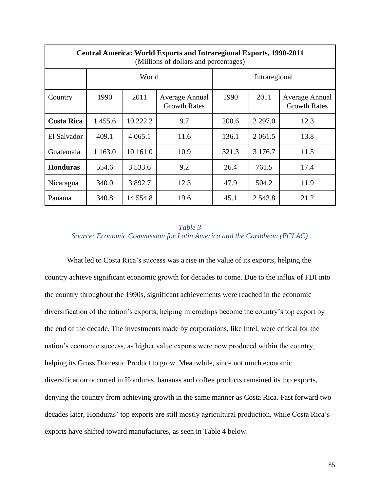| <b>Central America: World Exports and Intraregional Exports, 1990-2011</b><br>(Millions of dollars and percentages) |            |             |                                       |       |            |                                       |  |  |
|---------------------------------------------------------------------------------------------------------------------|------------|-------------|---------------------------------------|-------|------------|---------------------------------------|--|--|
|                                                                                                                     |            | World       | Intraregional                         |       |            |                                       |  |  |
| Country                                                                                                             | 1990       | 2011        | Average Annual<br><b>Growth Rates</b> | 1990  | 2011       | Average Annual<br><b>Growth Rates</b> |  |  |
| <b>Costa Rica</b>                                                                                                   | 1455.6     | 10 222.2    | 9.7                                   | 200.6 | 2 2 9 7 .0 | 12.3                                  |  |  |
| El Salvador                                                                                                         | 409.1      | 4 0 6 5 .1  | 11.6                                  | 136.1 | 2 0 6 1 .5 | 13.8                                  |  |  |
| Guatemala                                                                                                           | 1 1 6 3 .0 | 10 161.0    | 10.9                                  | 321.3 | 3 176.7    | 11.5                                  |  |  |
| <b>Honduras</b>                                                                                                     | 554.6      | 3 5 3 3 . 6 | 9.2                                   | 26.4  | 761.5      | 17.4                                  |  |  |
| Nicaragua                                                                                                           | 340.0      | 3 892.7     | 12.3                                  | 47.9  | 504.2      | 11.9                                  |  |  |
| Panama                                                                                                              | 340.8      | 14 5 5 4.8  | 19.6                                  | 45.1  | 2 5 4 3 .8 | 21.2                                  |  |  |

# *Table 3 Source: Economic Commission for Latin America and the Caribbean (ECLAC)*

What led to Costa Rica's success was a rise in the value of its exports, helping the country achieve significant economic growth for decades to come. Due to the influx of FDI into the country throughout the 1990s, significant achievements were reached in the economic diversification of the nation's exports, helping microchips become the country's top export by the end of the decade. The investments made by corporations, like Intel, were critical for the nation's economic success, as higher value exports were now produced within the country, helping its Gross Domestic Product to grow. Meanwhile, since not much economic diversification occurred in Honduras, bananas and coffee products remained its top exports, denying the country from achieving growth in the same manner as Costa Rica. Fast forward two decades later, Honduras' top exports are still mostly agricultural production, while Costa Rica's exports have shifted toward manufactures, as seen in Table 4 below.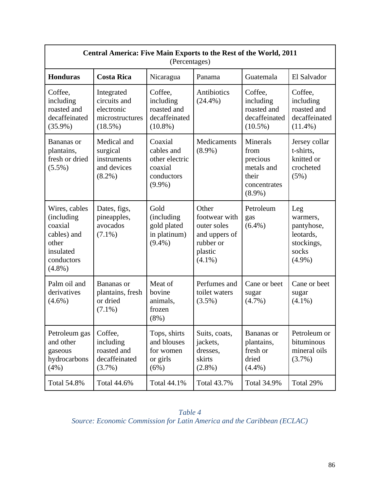| Central America: Five Main Exports to the Rest of the World, 2011<br>(Percentages)                             |                                                                           |                                                                               |                                                                                             |                                                                                         |                                                                                |  |  |  |
|----------------------------------------------------------------------------------------------------------------|---------------------------------------------------------------------------|-------------------------------------------------------------------------------|---------------------------------------------------------------------------------------------|-----------------------------------------------------------------------------------------|--------------------------------------------------------------------------------|--|--|--|
| <b>Honduras</b>                                                                                                | <b>Costa Rica</b><br>Guatemala<br>El Salvador<br>Nicaragua<br>Panama      |                                                                               |                                                                                             |                                                                                         |                                                                                |  |  |  |
| Coffee,<br>including<br>roasted and<br>decaffeinated<br>$(35.9\%)$                                             | Integrated<br>circuits and<br>electronic<br>microstructures<br>$(18.5\%)$ | Coffee,<br>including<br>roasted and<br>decaffeinated<br>$(10.8\%)$            | Antibiotics<br>$(24.4\%)$                                                                   | Coffee,<br>including<br>roasted and<br>decaffeinated<br>$(10.5\%)$                      | Coffee,<br>including<br>roasted and<br>decaffeinated<br>$(11.4\%)$             |  |  |  |
| Bananas or<br>plantains,<br>fresh or dried<br>$(5.5\%)$                                                        | Medical and<br>surgical<br>instruments<br>and devices<br>$(8.2\%)$        | Coaxial<br>cables and<br>other electric<br>coaxial<br>conductors<br>$(9.9\%)$ | Medicaments<br>$(8.9\%)$                                                                    | <b>Minerals</b><br>from<br>precious<br>metals and<br>their<br>concentrates<br>$(8.9\%)$ | Jersey collar<br>t-shirts,<br>knitted or<br>crocheted<br>(5%)                  |  |  |  |
| Wires, cables<br><i>(including)</i><br>coaxial<br>cables) and<br>other<br>insulated<br>conductors<br>$(4.8\%)$ | Dates, figs,<br>pineapples,<br>avocados<br>$(7.1\%)$                      | Gold<br>(including<br>gold plated<br>in platinum)<br>$(9.4\%)$                | Other<br>footwear with<br>outer soles<br>and uppers of<br>rubber or<br>plastic<br>$(4.1\%)$ | Petroleum<br>gas<br>$(6.4\%)$                                                           | Leg<br>warmers,<br>pantyhose,<br>leotards,<br>stockings,<br>socks<br>$(4.9\%)$ |  |  |  |
| Palm oil and<br>derivatives<br>$(4.6\%)$                                                                       | Bananas or<br>plantains, fresh<br>or dried<br>$(7.1\%)$                   | Meat of<br>bovine<br>animals,<br>frozen<br>$(8\%)$                            | Perfumes and<br>toilet waters<br>$(3.5\%)$                                                  | Cane or beet<br>sugar<br>$(4.7\%)$                                                      | Cane or beet<br>sugar<br>$(4.1\%)$                                             |  |  |  |
| Petroleum gas<br>and other<br>gaseous<br>hydrocarbons<br>(4%)                                                  | Coffee,<br>including<br>roasted and<br>decaffeinated<br>$(3.7\%)$         | Tops, shirts<br>and blouses<br>for women<br>or girls<br>(6%)                  | Suits, coats,<br>jackets,<br>dresses,<br>skirts<br>$(2.8\%)$                                | Bananas or<br>plantains,<br>fresh or<br>dried<br>$(4.4\%)$                              | Petroleum or<br>bituminous<br>mineral oils<br>$(3.7\%)$                        |  |  |  |
| Total 54.8%                                                                                                    | Total 44.6%                                                               | Total 44.1%                                                                   | Total 43.7%                                                                                 | Total 34.9%                                                                             | Total 29%                                                                      |  |  |  |

*Table 4 Source: Economic Commission for Latin America and the Caribbean (ECLAC)*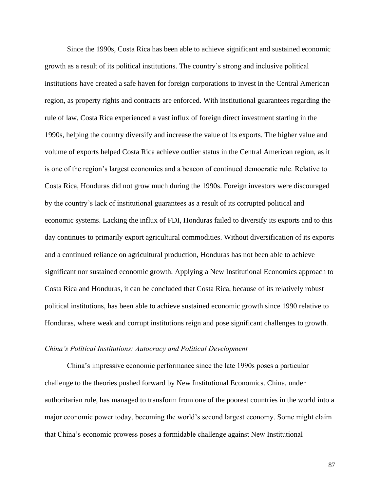Since the 1990s, Costa Rica has been able to achieve significant and sustained economic growth as a result of its political institutions. The country's strong and inclusive political institutions have created a safe haven for foreign corporations to invest in the Central American region, as property rights and contracts are enforced. With institutional guarantees regarding the rule of law, Costa Rica experienced a vast influx of foreign direct investment starting in the 1990s, helping the country diversify and increase the value of its exports. The higher value and volume of exports helped Costa Rica achieve outlier status in the Central American region, as it is one of the region's largest economies and a beacon of continued democratic rule. Relative to Costa Rica, Honduras did not grow much during the 1990s. Foreign investors were discouraged by the country's lack of institutional guarantees as a result of its corrupted political and economic systems. Lacking the influx of FDI, Honduras failed to diversify its exports and to this day continues to primarily export agricultural commodities. Without diversification of its exports and a continued reliance on agricultural production, Honduras has not been able to achieve significant nor sustained economic growth. Applying a New Institutional Economics approach to Costa Rica and Honduras, it can be concluded that Costa Rica, because of its relatively robust political institutions, has been able to achieve sustained economic growth since 1990 relative to Honduras, where weak and corrupt institutions reign and pose significant challenges to growth.

#### *China's Political Institutions: Autocracy and Political Development*

China's impressive economic performance since the late 1990s poses a particular challenge to the theories pushed forward by New Institutional Economics. China, under authoritarian rule, has managed to transform from one of the poorest countries in the world into a major economic power today, becoming the world's second largest economy. Some might claim that China's economic prowess poses a formidable challenge against New Institutional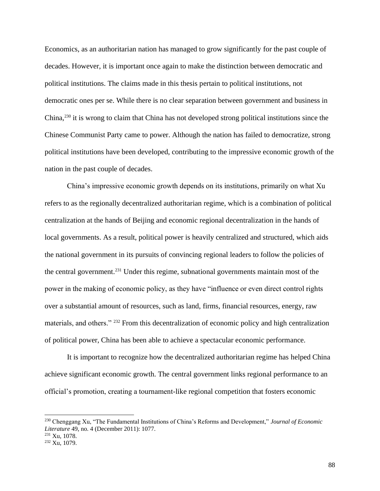Economics, as an authoritarian nation has managed to grow significantly for the past couple of decades. However, it is important once again to make the distinction between democratic and political institutions. The claims made in this thesis pertain to political institutions, not democratic ones per se. While there is no clear separation between government and business in China, <sup>230</sup> it is wrong to claim that China has not developed strong political institutions since the Chinese Communist Party came to power. Although the nation has failed to democratize, strong political institutions have been developed, contributing to the impressive economic growth of the nation in the past couple of decades.

China's impressive economic growth depends on its institutions, primarily on what Xu refers to as the regionally decentralized authoritarian regime, which is a combination of political centralization at the hands of Beijing and economic regional decentralization in the hands of local governments. As a result, political power is heavily centralized and structured, which aids the national government in its pursuits of convincing regional leaders to follow the policies of the central government. <sup>231</sup> Under this regime, subnational governments maintain most of the power in the making of economic policy, as they have "influence or even direct control rights over a substantial amount of resources, such as land, firms, financial resources, energy, raw materials, and others." <sup>232</sup> From this decentralization of economic policy and high centralization of political power, China has been able to achieve a spectacular economic performance.

It is important to recognize how the decentralized authoritarian regime has helped China achieve significant economic growth. The central government links regional performance to an official's promotion, creating a tournament-like regional competition that fosters economic

<sup>230</sup> Chenggang Xu, "The Fundamental Institutions of China's Reforms and Development," *Journal of Economic Literature* 49, no. 4 (December 2011): 1077.

<sup>231</sup> Xu, 1078.

<sup>232</sup> Xu, 1079.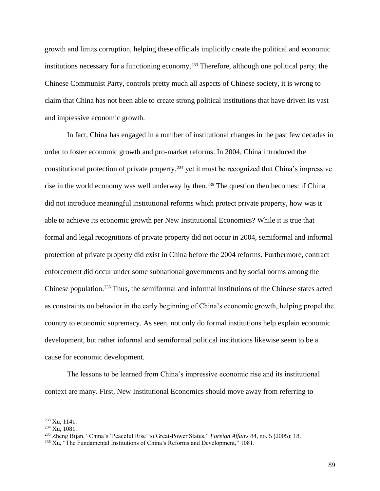growth and limits corruption, helping these officials implicitly create the political and economic institutions necessary for a functioning economy. <sup>233</sup> Therefore, although one political party, the Chinese Communist Party, controls pretty much all aspects of Chinese society, it is wrong to claim that China has not been able to create strong political institutions that have driven its vast and impressive economic growth.

In fact, China has engaged in a number of institutional changes in the past few decades in order to foster economic growth and pro-market reforms. In 2004, China introduced the constitutional protection of private property, <sup>234</sup> yet it must be recognized that China's impressive rise in the world economy was well underway by then.<sup>235</sup> The question then becomes: if China did not introduce meaningful institutional reforms which protect private property, how was it able to achieve its economic growth per New Institutional Economics? While it is true that formal and legal recognitions of private property did not occur in 2004, semiformal and informal protection of private property did exist in China before the 2004 reforms. Furthermore, contract enforcement did occur under some subnational governments and by social norms among the Chinese population. <sup>236</sup> Thus, the semiformal and informal institutions of the Chinese states acted as constraints on behavior in the early beginning of China's economic growth, helping propel the country to economic supremacy. As seen, not only do formal institutions help explain economic development, but rather informal and semiformal political institutions likewise seem to be a cause for economic development.

The lessons to be learned from China's impressive economic rise and its institutional context are many. First, New Institutional Economics should move away from referring to

<sup>233</sup> Xu, 1141.

<sup>234</sup> Xu, 1081.

<sup>235</sup> Zheng Bijan, "China's 'Peaceful Rise' to Great-Power Status," *Foreign Affairs* 84, no. 5 (2005): 18.

 $236$  Xu, "The Fundamental Institutions of China's Reforms and Development," 1081.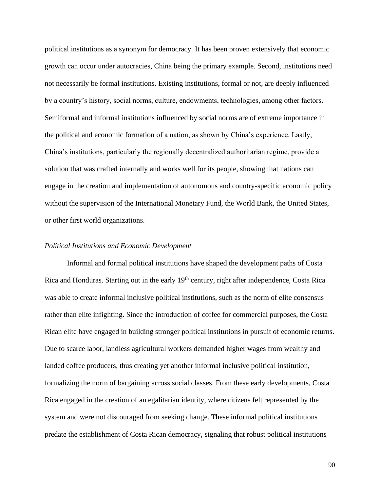political institutions as a synonym for democracy. It has been proven extensively that economic growth can occur under autocracies, China being the primary example. Second, institutions need not necessarily be formal institutions. Existing institutions, formal or not, are deeply influenced by a country's history, social norms, culture, endowments, technologies, among other factors. Semiformal and informal institutions influenced by social norms are of extreme importance in the political and economic formation of a nation, as shown by China's experience. Lastly, China's institutions, particularly the regionally decentralized authoritarian regime, provide a solution that was crafted internally and works well for its people, showing that nations can engage in the creation and implementation of autonomous and country-specific economic policy without the supervision of the International Monetary Fund, the World Bank, the United States, or other first world organizations.

## *Political Institutions and Economic Development*

Informal and formal political institutions have shaped the development paths of Costa Rica and Honduras. Starting out in the early 19<sup>th</sup> century, right after independence, Costa Rica was able to create informal inclusive political institutions, such as the norm of elite consensus rather than elite infighting. Since the introduction of coffee for commercial purposes, the Costa Rican elite have engaged in building stronger political institutions in pursuit of economic returns. Due to scarce labor, landless agricultural workers demanded higher wages from wealthy and landed coffee producers, thus creating yet another informal inclusive political institution, formalizing the norm of bargaining across social classes. From these early developments, Costa Rica engaged in the creation of an egalitarian identity, where citizens felt represented by the system and were not discouraged from seeking change. These informal political institutions predate the establishment of Costa Rican democracy, signaling that robust political institutions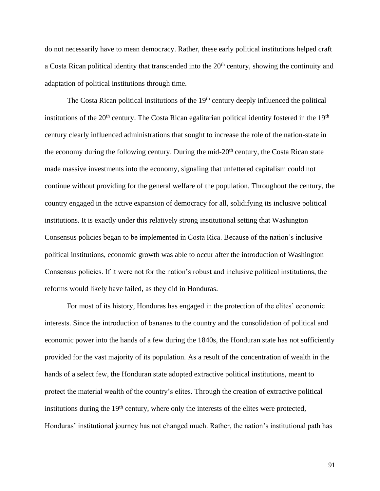do not necessarily have to mean democracy. Rather, these early political institutions helped craft a Costa Rican political identity that transcended into the 20<sup>th</sup> century, showing the continuity and adaptation of political institutions through time.

The Costa Rican political institutions of the 19<sup>th</sup> century deeply influenced the political institutions of the 20<sup>th</sup> century. The Costa Rican egalitarian political identity fostered in the 19<sup>th</sup> century clearly influenced administrations that sought to increase the role of the nation-state in the economy during the following century. During the mid- $20<sup>th</sup>$  century, the Costa Rican state made massive investments into the economy, signaling that unfettered capitalism could not continue without providing for the general welfare of the population. Throughout the century, the country engaged in the active expansion of democracy for all, solidifying its inclusive political institutions. It is exactly under this relatively strong institutional setting that Washington Consensus policies began to be implemented in Costa Rica. Because of the nation's inclusive political institutions, economic growth was able to occur after the introduction of Washington Consensus policies. If it were not for the nation's robust and inclusive political institutions, the reforms would likely have failed, as they did in Honduras.

For most of its history, Honduras has engaged in the protection of the elites' economic interests. Since the introduction of bananas to the country and the consolidation of political and economic power into the hands of a few during the 1840s, the Honduran state has not sufficiently provided for the vast majority of its population. As a result of the concentration of wealth in the hands of a select few, the Honduran state adopted extractive political institutions, meant to protect the material wealth of the country's elites. Through the creation of extractive political institutions during the  $19<sup>th</sup>$  century, where only the interests of the elites were protected, Honduras' institutional journey has not changed much. Rather, the nation's institutional path has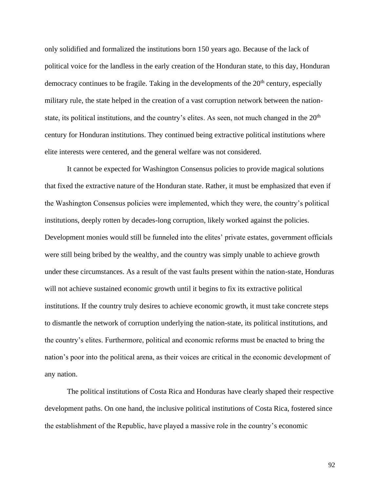only solidified and formalized the institutions born 150 years ago. Because of the lack of political voice for the landless in the early creation of the Honduran state, to this day, Honduran democracy continues to be fragile. Taking in the developments of the  $20<sup>th</sup>$  century, especially military rule, the state helped in the creation of a vast corruption network between the nationstate, its political institutions, and the country's elites. As seen, not much changed in the  $20<sup>th</sup>$ century for Honduran institutions. They continued being extractive political institutions where elite interests were centered, and the general welfare was not considered.

It cannot be expected for Washington Consensus policies to provide magical solutions that fixed the extractive nature of the Honduran state. Rather, it must be emphasized that even if the Washington Consensus policies were implemented, which they were, the country's political institutions, deeply rotten by decades-long corruption, likely worked against the policies. Development monies would still be funneled into the elites' private estates, government officials were still being bribed by the wealthy, and the country was simply unable to achieve growth under these circumstances. As a result of the vast faults present within the nation-state, Honduras will not achieve sustained economic growth until it begins to fix its extractive political institutions. If the country truly desires to achieve economic growth, it must take concrete steps to dismantle the network of corruption underlying the nation-state, its political institutions, and the country's elites. Furthermore, political and economic reforms must be enacted to bring the nation's poor into the political arena, as their voices are critical in the economic development of any nation.

The political institutions of Costa Rica and Honduras have clearly shaped their respective development paths. On one hand, the inclusive political institutions of Costa Rica, fostered since the establishment of the Republic, have played a massive role in the country's economic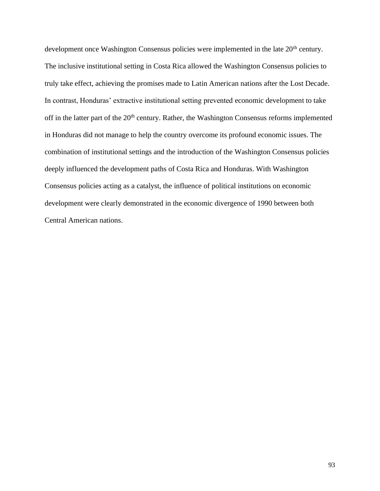development once Washington Consensus policies were implemented in the late 20<sup>th</sup> century. The inclusive institutional setting in Costa Rica allowed the Washington Consensus policies to truly take effect, achieving the promises made to Latin American nations after the Lost Decade. In contrast, Honduras' extractive institutional setting prevented economic development to take off in the latter part of the 20<sup>th</sup> century. Rather, the Washington Consensus reforms implemented in Honduras did not manage to help the country overcome its profound economic issues. The combination of institutional settings and the introduction of the Washington Consensus policies deeply influenced the development paths of Costa Rica and Honduras. With Washington Consensus policies acting as a catalyst, the influence of political institutions on economic development were clearly demonstrated in the economic divergence of 1990 between both Central American nations.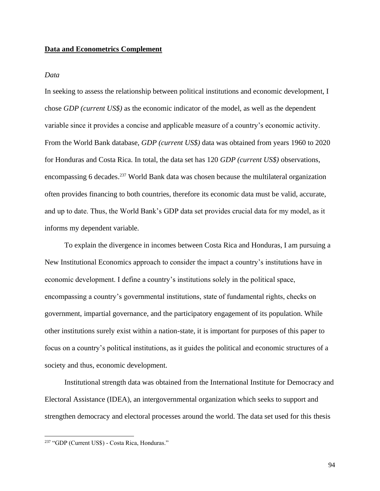## **Data and Econometrics Complement**

## *Data*

In seeking to assess the relationship between political institutions and economic development, I chose *GDP (current US\$)* as the economic indicator of the model, as well as the dependent variable since it provides a concise and applicable measure of a country's economic activity. From the World Bank database, *GDP (current US\$)* data was obtained from years 1960 to 2020 for Honduras and Costa Rica. In total, the data set has 120 *GDP (current US\$)* observations, encompassing 6 decades.<sup>237</sup> World Bank data was chosen because the multilateral organization often provides financing to both countries, therefore its economic data must be valid, accurate, and up to date. Thus, the World Bank's GDP data set provides crucial data for my model, as it informs my dependent variable.

To explain the divergence in incomes between Costa Rica and Honduras, I am pursuing a New Institutional Economics approach to consider the impact a country's institutions have in economic development. I define a country's institutions solely in the political space, encompassing a country's governmental institutions, state of fundamental rights, checks on government, impartial governance, and the participatory engagement of its population. While other institutions surely exist within a nation-state, it is important for purposes of this paper to focus on a country's political institutions, as it guides the political and economic structures of a society and thus, economic development.

Institutional strength data was obtained from the International Institute for Democracy and Electoral Assistance (IDEA), an intergovernmental organization which seeks to support and strengthen democracy and electoral processes around the world. The data set used for this thesis

<sup>237</sup> "GDP (Current US\$) - Costa Rica, Honduras."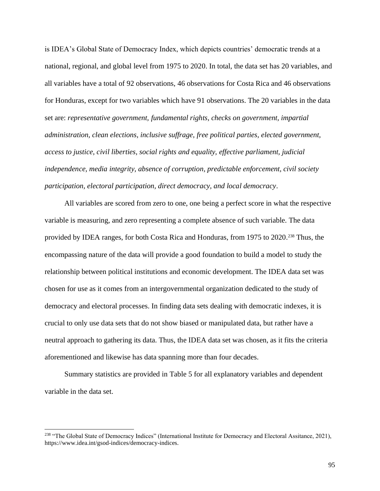is IDEA's Global State of Democracy Index, which depicts countries' democratic trends at a national, regional, and global level from 1975 to 2020. In total, the data set has 20 variables, and all variables have a total of 92 observations, 46 observations for Costa Rica and 46 observations for Honduras, except for two variables which have 91 observations. The 20 variables in the data set are: *representative government, fundamental rights, checks on government, impartial administration, clean elections, inclusive suffrage, free political parties, elected government, access to justice, civil liberties, social rights and equality, effective parliament, judicial independence, media integrity, absence of corruption, predictable enforcement, civil society participation, electoral participation, direct democracy, and local democracy*.

All variables are scored from zero to one, one being a perfect score in what the respective variable is measuring, and zero representing a complete absence of such variable. The data provided by IDEA ranges, for both Costa Rica and Honduras, from 1975 to 2020.<sup>238</sup> Thus, the encompassing nature of the data will provide a good foundation to build a model to study the relationship between political institutions and economic development. The IDEA data set was chosen for use as it comes from an intergovernmental organization dedicated to the study of democracy and electoral processes. In finding data sets dealing with democratic indexes, it is crucial to only use data sets that do not show biased or manipulated data, but rather have a neutral approach to gathering its data. Thus, the IDEA data set was chosen, as it fits the criteria aforementioned and likewise has data spanning more than four decades.

Summary statistics are provided in Table 5 for all explanatory variables and dependent variable in the data set.

<sup>&</sup>lt;sup>238</sup> "The Global State of Democracy Indices" (International Institute for Democracy and Electoral Assitance, 2021), https://www.idea.int/gsod-indices/democracy-indices.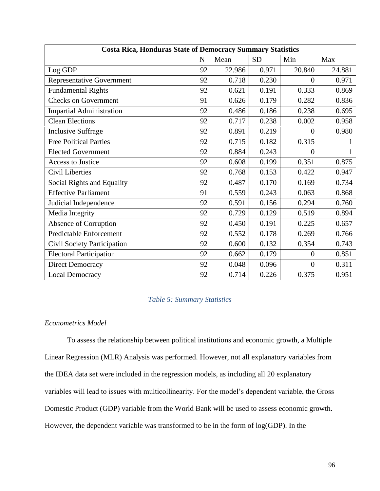|                                    |    |        |           | <b>Costa Rica, Honduras State of Democracy Summary Statistics</b> |              |  |  |  |  |  |  |
|------------------------------------|----|--------|-----------|-------------------------------------------------------------------|--------------|--|--|--|--|--|--|
|                                    | N  | Mean   | <b>SD</b> | Min                                                               | Max          |  |  |  |  |  |  |
| Log GDP                            | 92 | 22.986 | 0.971     | 20.840                                                            | 24.881       |  |  |  |  |  |  |
| <b>Representative Government</b>   | 92 | 0.718  | 0.230     | $\theta$                                                          | 0.971        |  |  |  |  |  |  |
| <b>Fundamental Rights</b>          | 92 | 0.621  | 0.191     | 0.333                                                             | 0.869        |  |  |  |  |  |  |
| <b>Checks on Government</b>        | 91 | 0.626  | 0.179     | 0.282                                                             | 0.836        |  |  |  |  |  |  |
| <b>Impartial Administration</b>    | 92 | 0.486  | 0.186     | 0.238                                                             | 0.695        |  |  |  |  |  |  |
| <b>Clean Elections</b>             | 92 | 0.717  | 0.238     | 0.002                                                             | 0.958        |  |  |  |  |  |  |
| <b>Inclusive Suffrage</b>          | 92 | 0.891  | 0.219     | $\theta$                                                          | 0.980        |  |  |  |  |  |  |
| <b>Free Political Parties</b>      | 92 | 0.715  | 0.182     | 0.315                                                             | 1            |  |  |  |  |  |  |
| <b>Elected Government</b>          | 92 | 0.884  | 0.243     | $\overline{0}$                                                    | $\mathbf{1}$ |  |  |  |  |  |  |
| <b>Access to Justice</b>           | 92 | 0.608  | 0.199     | 0.351                                                             | 0.875        |  |  |  |  |  |  |
| <b>Civil Liberties</b>             | 92 | 0.768  | 0.153     | 0.422                                                             | 0.947        |  |  |  |  |  |  |
| Social Rights and Equality         | 92 | 0.487  | 0.170     | 0.169                                                             | 0.734        |  |  |  |  |  |  |
| <b>Effective Parliament</b>        | 91 | 0.559  | 0.243     | 0.063                                                             | 0.868        |  |  |  |  |  |  |
| Judicial Independence              | 92 | 0.591  | 0.156     | 0.294                                                             | 0.760        |  |  |  |  |  |  |
| Media Integrity                    | 92 | 0.729  | 0.129     | 0.519                                                             | 0.894        |  |  |  |  |  |  |
| Absence of Corruption              | 92 | 0.450  | 0.191     | 0.225                                                             | 0.657        |  |  |  |  |  |  |
| <b>Predictable Enforcement</b>     | 92 | 0.552  | 0.178     | 0.269                                                             | 0.766        |  |  |  |  |  |  |
| <b>Civil Society Participation</b> | 92 | 0.600  | 0.132     | 0.354                                                             | 0.743        |  |  |  |  |  |  |
| <b>Electoral Participation</b>     | 92 | 0.662  | 0.179     | $\overline{0}$                                                    | 0.851        |  |  |  |  |  |  |
| <b>Direct Democracy</b>            | 92 | 0.048  | 0.096     | $\theta$                                                          | 0.311        |  |  |  |  |  |  |
| <b>Local Democracy</b>             | 92 | 0.714  | 0.226     | 0.375                                                             | 0.951        |  |  |  |  |  |  |

## *Table 5: Summary Statistics*

#### *Econometrics Model*

To assess the relationship between political institutions and economic growth, a Multiple Linear Regression (MLR) Analysis was performed. However, not all explanatory variables from the IDEA data set were included in the regression models, as including all 20 explanatory variables will lead to issues with multicollinearity. For the model's dependent variable, the Gross Domestic Product (GDP) variable from the World Bank will be used to assess economic growth. However, the dependent variable was transformed to be in the form of log(GDP). In the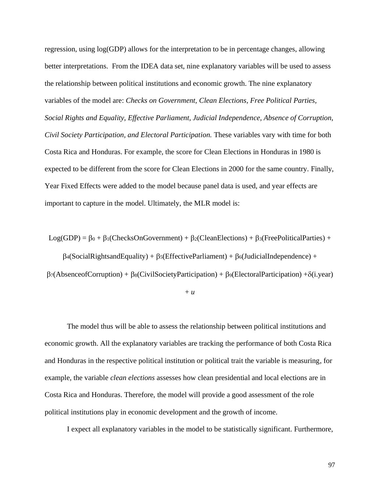regression, using log(GDP) allows for the interpretation to be in percentage changes, allowing better interpretations. From the IDEA data set, nine explanatory variables will be used to assess the relationship between political institutions and economic growth. The nine explanatory variables of the model are: *Checks on Government, Clean Elections, Free Political Parties, Social Rights and Equality, Effective Parliament, Judicial Independence, Absence of Corruption, Civil Society Participation, and Electoral Participation.* These variables vary with time for both Costa Rica and Honduras. For example, the score for Clean Elections in Honduras in 1980 is expected to be different from the score for Clean Elections in 2000 for the same country. Finally, Year Fixed Effects were added to the model because panel data is used, and year effects are important to capture in the model. Ultimately, the MLR model is:

Log(GDP) =  $\beta_0 + \beta_1$ (ChecksOnGovernment) +  $\beta_2$ (CleanElections) +  $\beta_3$ (FreePoliticalParties) +

 $\beta_4$ (SocialRightsandEquality) +  $\beta_5$ (EffectiveParliament) +  $\beta_6$ (JudicialIndependence) +  $\beta$ 7(AbsenceofCorruption) +  $\beta$ 8(CivilSocietyParticipation) +  $\beta$ 9(ElectoralParticipation) + $\delta$ (i.year)

+ *u*

The model thus will be able to assess the relationship between political institutions and economic growth. All the explanatory variables are tracking the performance of both Costa Rica and Honduras in the respective political institution or political trait the variable is measuring, for example, the variable *clean elections* assesses how clean presidential and local elections are in Costa Rica and Honduras. Therefore, the model will provide a good assessment of the role political institutions play in economic development and the growth of income.

I expect all explanatory variables in the model to be statistically significant. Furthermore,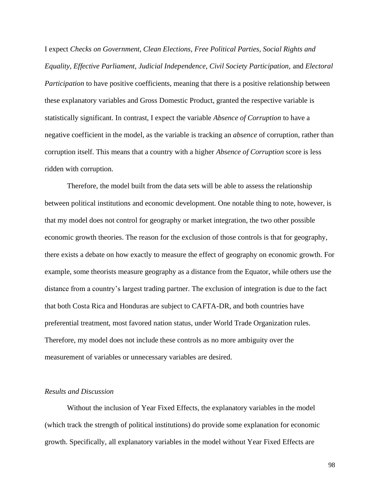I expect *Checks on Government, Clean Elections, Free Political Parties, Social Rights and Equality, Effective Parliament, Judicial Independence, Civil Society Participation,* and *Electoral Participation* to have positive coefficients, meaning that there is a positive relationship between these explanatory variables and Gross Domestic Product, granted the respective variable is statistically significant. In contrast, I expect the variable *Absence of Corruption* to have a negative coefficient in the model, as the variable is tracking an *absence* of corruption, rather than corruption itself. This means that a country with a higher *Absence of Corruption* score is less ridden with corruption.

Therefore, the model built from the data sets will be able to assess the relationship between political institutions and economic development. One notable thing to note, however, is that my model does not control for geography or market integration, the two other possible economic growth theories. The reason for the exclusion of those controls is that for geography, there exists a debate on how exactly to measure the effect of geography on economic growth. For example, some theorists measure geography as a distance from the Equator, while others use the distance from a country's largest trading partner. The exclusion of integration is due to the fact that both Costa Rica and Honduras are subject to CAFTA-DR, and both countries have preferential treatment, most favored nation status, under World Trade Organization rules. Therefore, my model does not include these controls as no more ambiguity over the measurement of variables or unnecessary variables are desired.

#### *Results and Discussion*

Without the inclusion of Year Fixed Effects, the explanatory variables in the model (which track the strength of political institutions) do provide some explanation for economic growth. Specifically, all explanatory variables in the model without Year Fixed Effects are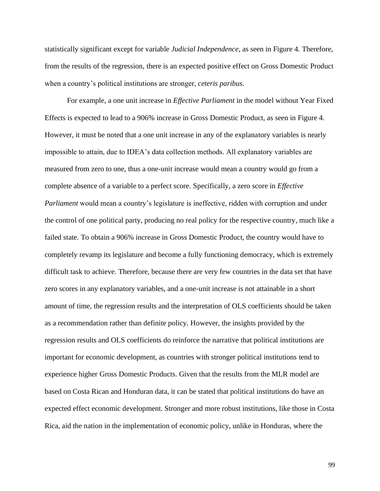statistically significant except for variable *Judicial Independence,* as seen in Figure 4*.* Therefore, from the results of the regression, there is an expected positive effect on Gross Domestic Product when a country's political institutions are stronger, *ceteris paribus.* 

For example, a one unit increase in *Effective Parliament* in the model without Year Fixed Effects is expected to lead to a 906% increase in Gross Domestic Product, as seen in Figure 4. However, it must be noted that a one unit increase in any of the explanatory variables is nearly impossible to attain, due to IDEA's data collection methods. All explanatory variables are measured from zero to one, thus a one-unit increase would mean a country would go from a complete absence of a variable to a perfect score. Specifically, a zero score in *Effective Parliament* would mean a country's legislature is ineffective, ridden with corruption and under the control of one political party, producing no real policy for the respective country, much like a failed state. To obtain a 906% increase in Gross Domestic Product, the country would have to completely revamp its legislature and become a fully functioning democracy, which is extremely difficult task to achieve. Therefore, because there are very few countries in the data set that have zero scores in any explanatory variables, and a one-unit increase is not attainable in a short amount of time, the regression results and the interpretation of OLS coefficients should be taken as a recommendation rather than definite policy. However, the insights provided by the regression results and OLS coefficients do reinforce the narrative that political institutions are important for economic development, as countries with stronger political institutions tend to experience higher Gross Domestic Products. Given that the results from the MLR model are based on Costa Rican and Honduran data, it can be stated that political institutions do have an expected effect economic development. Stronger and more robust institutions, like those in Costa Rica, aid the nation in the implementation of economic policy, unlike in Honduras, where the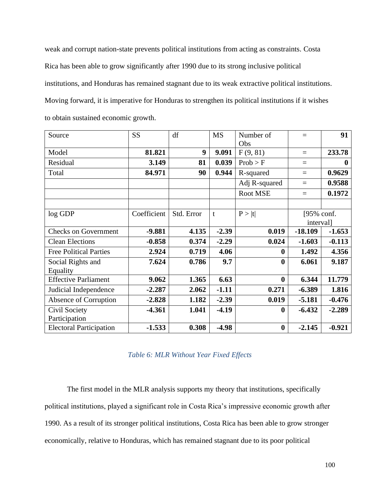weak and corrupt nation-state prevents political institutions from acting as constraints. Costa Rica has been able to grow significantly after 1990 due to its strong inclusive political institutions, and Honduras has remained stagnant due to its weak extractive political institutions. Moving forward, it is imperative for Honduras to strengthen its political institutions if it wishes to obtain sustained economic growth.

| Source                         | <b>SS</b>   | df         | <b>MS</b>    | Number of<br>Obs | $=$              | 91       |
|--------------------------------|-------------|------------|--------------|------------------|------------------|----------|
| Model                          | 81.821      | 9          | 9.091        | F(9, 81)         | $=$              | 233.78   |
| Residual                       | 3.149       | 81         | 0.039        | Prob > F         | $=$              | $\bf{0}$ |
| Total                          | 84.971      | 90         | 0.944        | R-squared        | $=$              | 0.9629   |
|                                |             |            |              | Adj R-squared    | $=$              | 0.9588   |
|                                |             |            |              | Root MSE         | $=$              | 0.1972   |
|                                |             |            |              |                  |                  |          |
| log GDP                        | Coefficient | Std. Error | $\mathbf{t}$ | P >  t           | $[95\%$ conf.    |          |
|                                |             |            |              |                  | <i>intervall</i> |          |
| <b>Checks on Government</b>    | $-9.881$    | 4.135      | $-2.39$      | 0.019            | $-18.109$        | $-1.653$ |
| <b>Clean Elections</b>         | $-0.858$    | 0.374      | $-2.29$      | 0.024            | $-1.603$         | $-0.113$ |
| <b>Free Political Parties</b>  | 2.924       | 0.719      | 4.06         | $\bf{0}$         | 1.492            | 4.356    |
| Social Rights and              | 7.624       | 0.786      | 9.7          | $\boldsymbol{0}$ | 6.061            | 9.187    |
| Equality                       |             |            |              |                  |                  |          |
| <b>Effective Parliament</b>    | 9.062       | 1.365      | 6.63         | $\bf{0}$         | 6.344            | 11.779   |
| Judicial Independence          | $-2.287$    | 2.062      | $-1.11$      | 0.271            | $-6.389$         | 1.816    |
| Absence of Corruption          | $-2.828$    | 1.182      | $-2.39$      | 0.019            | $-5.181$         | $-0.476$ |
| Civil Society                  | $-4.361$    | 1.041      | $-4.19$      | $\bf{0}$         | $-6.432$         | $-2.289$ |
| Participation                  |             |            |              |                  |                  |          |
| <b>Electoral Participation</b> | $-1.533$    | 0.308      | $-4.98$      | $\bf{0}$         | $-2.145$         | $-0.921$ |

# *Table 6: MLR Without Year Fixed Effects*

The first model in the MLR analysis supports my theory that institutions, specifically political institutions, played a significant role in Costa Rica's impressive economic growth after 1990. As a result of its stronger political institutions, Costa Rica has been able to grow stronger economically, relative to Honduras, which has remained stagnant due to its poor political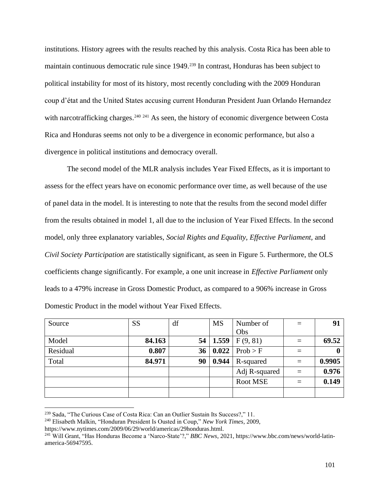institutions. History agrees with the results reached by this analysis. Costa Rica has been able to maintain continuous democratic rule since 1949.<sup>239</sup> In contrast, Honduras has been subject to political instability for most of its history, most recently concluding with the 2009 Honduran coup d'état and the United States accusing current Honduran President Juan Orlando Hernandez with narcotrafficking charges.<sup>240 241</sup> As seen, the history of economic divergence between Costa Rica and Honduras seems not only to be a divergence in economic performance, but also a divergence in political institutions and democracy overall.

The second model of the MLR analysis includes Year Fixed Effects, as it is important to assess for the effect years have on economic performance over time, as well because of the use of panel data in the model. It is interesting to note that the results from the second model differ from the results obtained in model 1, all due to the inclusion of Year Fixed Effects. In the second model, only three explanatory variables, *Social Rights and Equality, Effective Parliament,* and *Civil Society Participation* are statistically significant, as seen in Figure 5. Furthermore, the OLS coefficients change significantly. For example, a one unit increase in *Effective Parliament* only leads to a 479% increase in Gross Domestic Product, as compared to a 906% increase in Gross Domestic Product in the model without Year Fixed Effects.

| Source   | <b>SS</b> | df | <b>MS</b>            | Number of       | $=$ | 91               |
|----------|-----------|----|----------------------|-----------------|-----|------------------|
|          |           |    |                      | Obs             |     |                  |
| Model    | 84.163    |    | $54 \mid 1.559 \mid$ | F(9, 81)        | $=$ | 69.52            |
| Residual | 0.807     | 36 | 0.022                | Prob > F        | $=$ | $\boldsymbol{0}$ |
| Total    | 84.971    | 90 | 0.944                | R-squared       | $=$ | 0.9905           |
|          |           |    |                      | Adj R-squared   | $=$ | 0.976            |
|          |           |    |                      | <b>Root MSE</b> | $=$ | 0.149            |
|          |           |    |                      |                 |     |                  |

<sup>239</sup> Sada, "The Curious Case of Costa Rica: Can an Outlier Sustain Its Success?," 11.

<sup>240</sup> Elisabeth Malkin, "Honduran President Is Ousted in Coup," *New York Times*, 2009,

https://www.nytimes.com/2009/06/29/world/americas/29honduras.html.

<sup>241</sup> Will Grant, "Has Honduras Become a 'Narco-State'?," *BBC News*, 2021, https://www.bbc.com/news/world-latinamerica-56947595.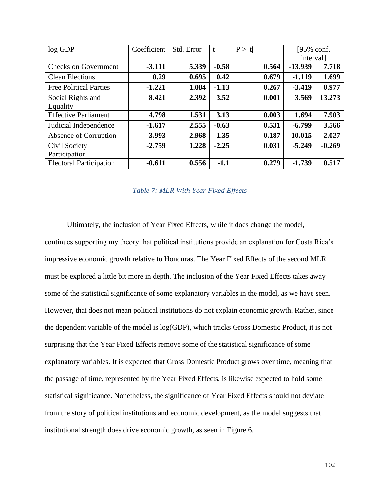| $log$ GDP                      | Coefficient | Std. Error | t       | P >  t | [95% conf.       |          |
|--------------------------------|-------------|------------|---------|--------|------------------|----------|
|                                |             |            |         |        | <i>intervall</i> |          |
| <b>Checks on Government</b>    | $-3.111$    | 5.339      | $-0.58$ | 0.564  | $-13.939$        | 7.718    |
| <b>Clean Elections</b>         | 0.29        | 0.695      | 0.42    | 0.679  | $-1.119$         | 1.699    |
| <b>Free Political Parties</b>  | $-1.221$    | 1.084      | $-1.13$ | 0.267  | $-3.419$         | 0.977    |
| Social Rights and              | 8.421       | 2.392      | 3.52    | 0.001  | 3.569            | 13.273   |
| Equality                       |             |            |         |        |                  |          |
| <b>Effective Parliament</b>    | 4.798       | 1.531      | 3.13    | 0.003  | 1.694            | 7.903    |
| Judicial Independence          | $-1.617$    | 2.555      | $-0.63$ | 0.531  | $-6.799$         | 3.566    |
| Absence of Corruption          | $-3.993$    | 2.968      | $-1.35$ | 0.187  | $-10.015$        | 2.027    |
| Civil Society                  | $-2.759$    | 1.228      | $-2.25$ | 0.031  | $-5.249$         | $-0.269$ |
| Participation                  |             |            |         |        |                  |          |
| <b>Electoral Participation</b> | $-0.611$    | 0.556      | $-1.1$  | 0.279  | $-1.739$         | 0.517    |

## *Table 7: MLR With Year Fixed Effects*

Ultimately, the inclusion of Year Fixed Effects, while it does change the model, continues supporting my theory that political institutions provide an explanation for Costa Rica's impressive economic growth relative to Honduras. The Year Fixed Effects of the second MLR must be explored a little bit more in depth. The inclusion of the Year Fixed Effects takes away some of the statistical significance of some explanatory variables in the model, as we have seen. However, that does not mean political institutions do not explain economic growth. Rather, since the dependent variable of the model is log(GDP), which tracks Gross Domestic Product, it is not surprising that the Year Fixed Effects remove some of the statistical significance of some explanatory variables. It is expected that Gross Domestic Product grows over time, meaning that the passage of time, represented by the Year Fixed Effects, is likewise expected to hold some statistical significance. Nonetheless, the significance of Year Fixed Effects should not deviate from the story of political institutions and economic development, as the model suggests that institutional strength does drive economic growth, as seen in Figure 6.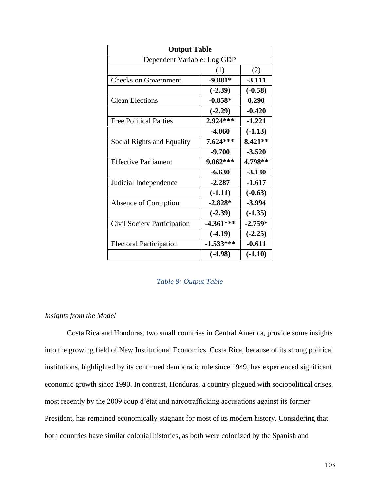| <b>Output Table</b>                |             |           |  |  |  |  |
|------------------------------------|-------------|-----------|--|--|--|--|
| Dependent Variable: Log GDP        |             |           |  |  |  |  |
|                                    | (1)<br>(2)  |           |  |  |  |  |
| <b>Checks on Government</b>        | $-9.881*$   | $-3.111$  |  |  |  |  |
|                                    | $(-2.39)$   | $(-0.58)$ |  |  |  |  |
| <b>Clean Elections</b>             | $-0.858*$   | 0.290     |  |  |  |  |
|                                    | $(-2.29)$   | $-0.420$  |  |  |  |  |
| <b>Free Political Parties</b>      | 2.924***    | $-1.221$  |  |  |  |  |
|                                    | $-4.060$    | $(-1.13)$ |  |  |  |  |
| Social Rights and Equality         | 7.624***    | 8.421**   |  |  |  |  |
|                                    | $-9.700$    | $-3.520$  |  |  |  |  |
| <b>Effective Parliament</b>        | 9.062***    | 4.798**   |  |  |  |  |
|                                    | $-6.630$    | $-3.130$  |  |  |  |  |
| Judicial Independence              | $-2.287$    | $-1.617$  |  |  |  |  |
|                                    | $(-1.11)$   | $(-0.63)$ |  |  |  |  |
| Absence of Corruption              | $-2.828*$   | $-3.994$  |  |  |  |  |
|                                    | $(-2.39)$   | $(-1.35)$ |  |  |  |  |
| <b>Civil Society Participation</b> | $-4.361***$ | $-2.759*$ |  |  |  |  |
|                                    | $(-4.19)$   | $(-2.25)$ |  |  |  |  |
| <b>Electoral Participation</b>     | $-1.533***$ | $-0.611$  |  |  |  |  |
|                                    | $(-4.98)$   | $(-1.10)$ |  |  |  |  |

## *Table 8: Output Table*

## *Insights from the Model*

Costa Rica and Honduras, two small countries in Central America, provide some insights into the growing field of New Institutional Economics. Costa Rica, because of its strong political institutions, highlighted by its continued democratic rule since 1949, has experienced significant economic growth since 1990. In contrast, Honduras, a country plagued with sociopolitical crises, most recently by the 2009 coup d'état and narcotrafficking accusations against its former President, has remained economically stagnant for most of its modern history. Considering that both countries have similar colonial histories, as both were colonized by the Spanish and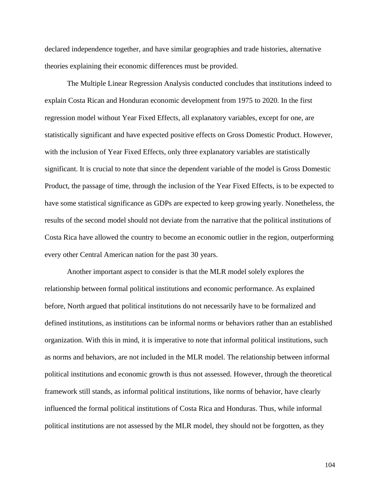declared independence together, and have similar geographies and trade histories, alternative theories explaining their economic differences must be provided.

The Multiple Linear Regression Analysis conducted concludes that institutions indeed to explain Costa Rican and Honduran economic development from 1975 to 2020. In the first regression model without Year Fixed Effects, all explanatory variables, except for one, are statistically significant and have expected positive effects on Gross Domestic Product. However, with the inclusion of Year Fixed Effects, only three explanatory variables are statistically significant. It is crucial to note that since the dependent variable of the model is Gross Domestic Product, the passage of time, through the inclusion of the Year Fixed Effects, is to be expected to have some statistical significance as GDPs are expected to keep growing yearly. Nonetheless, the results of the second model should not deviate from the narrative that the political institutions of Costa Rica have allowed the country to become an economic outlier in the region, outperforming every other Central American nation for the past 30 years.

Another important aspect to consider is that the MLR model solely explores the relationship between formal political institutions and economic performance. As explained before, North argued that political institutions do not necessarily have to be formalized and defined institutions, as institutions can be informal norms or behaviors rather than an established organization. With this in mind, it is imperative to note that informal political institutions, such as norms and behaviors, are not included in the MLR model. The relationship between informal political institutions and economic growth is thus not assessed. However, through the theoretical framework still stands, as informal political institutions, like norms of behavior, have clearly influenced the formal political institutions of Costa Rica and Honduras. Thus, while informal political institutions are not assessed by the MLR model, they should not be forgotten, as they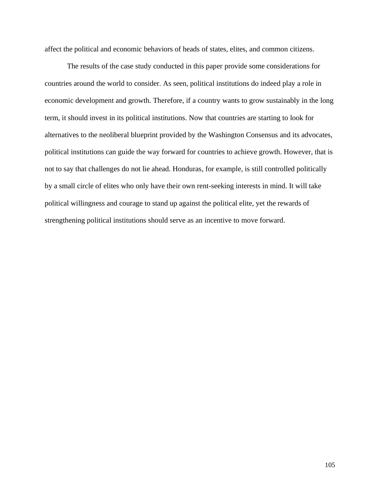affect the political and economic behaviors of heads of states, elites, and common citizens.

The results of the case study conducted in this paper provide some considerations for countries around the world to consider. As seen, political institutions do indeed play a role in economic development and growth. Therefore, if a country wants to grow sustainably in the long term, it should invest in its political institutions. Now that countries are starting to look for alternatives to the neoliberal blueprint provided by the Washington Consensus and its advocates, political institutions can guide the way forward for countries to achieve growth. However, that is not to say that challenges do not lie ahead. Honduras, for example, is still controlled politically by a small circle of elites who only have their own rent-seeking interests in mind. It will take political willingness and courage to stand up against the political elite, yet the rewards of strengthening political institutions should serve as an incentive to move forward.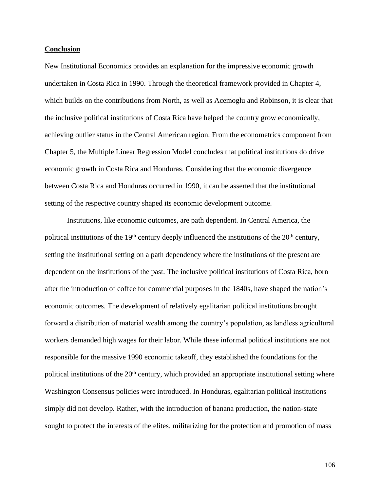#### **Conclusion**

New Institutional Economics provides an explanation for the impressive economic growth undertaken in Costa Rica in 1990. Through the theoretical framework provided in Chapter 4, which builds on the contributions from North, as well as Acemoglu and Robinson, it is clear that the inclusive political institutions of Costa Rica have helped the country grow economically, achieving outlier status in the Central American region. From the econometrics component from Chapter 5, the Multiple Linear Regression Model concludes that political institutions do drive economic growth in Costa Rica and Honduras. Considering that the economic divergence between Costa Rica and Honduras occurred in 1990, it can be asserted that the institutional setting of the respective country shaped its economic development outcome.

Institutions, like economic outcomes, are path dependent. In Central America, the political institutions of the  $19<sup>th</sup>$  century deeply influenced the institutions of the  $20<sup>th</sup>$  century, setting the institutional setting on a path dependency where the institutions of the present are dependent on the institutions of the past. The inclusive political institutions of Costa Rica, born after the introduction of coffee for commercial purposes in the 1840s, have shaped the nation's economic outcomes. The development of relatively egalitarian political institutions brought forward a distribution of material wealth among the country's population, as landless agricultural workers demanded high wages for their labor. While these informal political institutions are not responsible for the massive 1990 economic takeoff, they established the foundations for the political institutions of the 20<sup>th</sup> century, which provided an appropriate institutional setting where Washington Consensus policies were introduced. In Honduras, egalitarian political institutions simply did not develop. Rather, with the introduction of banana production, the nation-state sought to protect the interests of the elites, militarizing for the protection and promotion of mass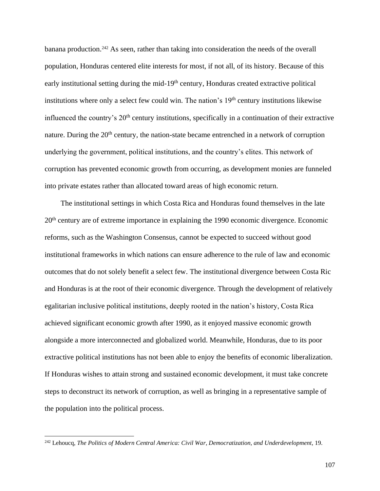banana production.<sup>242</sup> As seen, rather than taking into consideration the needs of the overall population, Honduras centered elite interests for most, if not all, of its history. Because of this early institutional setting during the mid-19<sup>th</sup> century, Honduras created extractive political institutions where only a select few could win. The nation's 19<sup>th</sup> century institutions likewise influenced the country's 20<sup>th</sup> century institutions, specifically in a continuation of their extractive nature. During the 20<sup>th</sup> century, the nation-state became entrenched in a network of corruption underlying the government, political institutions, and the country's elites. This network of corruption has prevented economic growth from occurring, as development monies are funneled into private estates rather than allocated toward areas of high economic return.

The institutional settings in which Costa Rica and Honduras found themselves in the late 20th century are of extreme importance in explaining the 1990 economic divergence. Economic reforms, such as the Washington Consensus, cannot be expected to succeed without good institutional frameworks in which nations can ensure adherence to the rule of law and economic outcomes that do not solely benefit a select few. The institutional divergence between Costa Ric and Honduras is at the root of their economic divergence. Through the development of relatively egalitarian inclusive political institutions, deeply rooted in the nation's history, Costa Rica achieved significant economic growth after 1990, as it enjoyed massive economic growth alongside a more interconnected and globalized world. Meanwhile, Honduras, due to its poor extractive political institutions has not been able to enjoy the benefits of economic liberalization. If Honduras wishes to attain strong and sustained economic development, it must take concrete steps to deconstruct its network of corruption, as well as bringing in a representative sample of the population into the political process.

<sup>242</sup> Lehoucq, *The Politics of Modern Central America: Civil War, Democratization, and Underdevelopment*, 19.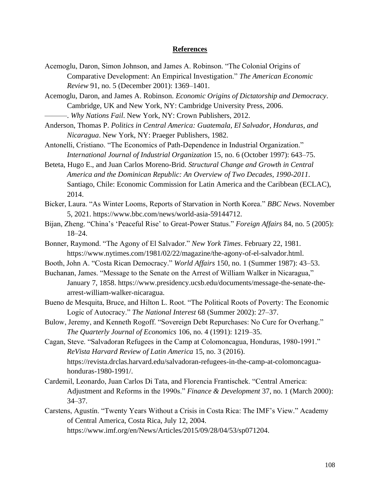## **References**

- Acemoglu, Daron, Simon Johnson, and James A. Robinson. "The Colonial Origins of Comparative Development: An Empirical Investigation." *The American Economic Review* 91, no. 5 (December 2001): 1369–1401.
- Acemoglu, Daron, and James A. Robinson. *Economic Origins of Dictatorship and Democracy*. Cambridge, UK and New York, NY: Cambridge University Press, 2006.

———. *Why Nations Fail*. New York, NY: Crown Publishers, 2012.

- Anderson, Thomas P. *Politics in Central America: Guatemala, El Salvador, Honduras, and Nicaragua*. New York, NY: Praeger Publishers, 1982.
- Antonelli, Cristiano. "The Economics of Path-Dependence in Industrial Organization." *International Journal of Industrial Organization* 15, no. 6 (October 1997): 643–75.
- Beteta, Hugo E., and Juan Carlos Moreno-Brid. *Structural Change and Growth in Central America and the Dominican Republic: An Overview of Two Decades, 1990-2011*. Santiago, Chile: Economic Commission for Latin America and the Caribbean (ECLAC), 2014.
- Bicker, Laura. "As Winter Looms, Reports of Starvation in North Korea." *BBC News*. November 5, 2021. https://www.bbc.com/news/world-asia-59144712.
- Bijan, Zheng. "China's 'Peaceful Rise' to Great-Power Status." *Foreign Affairs* 84, no. 5 (2005): 18–24.
- Bonner, Raymond. "The Agony of El Salvador." *New York Times*. February 22, 1981. https://www.nytimes.com/1981/02/22/magazine/the-agony-of-el-salvador.html.
- Booth, John A. "Costa Rican Democracy." *World Affairs* 150, no. 1 (Summer 1987): 43–53.
- Buchanan, James. "Message to the Senate on the Arrest of William Walker in Nicaragua," January 7, 1858. https://www.presidency.ucsb.edu/documents/message-the-senate-thearrest-william-walker-nicaragua.
- Bueno de Mesquita, Bruce, and Hilton L. Root. "The Political Roots of Poverty: The Economic Logic of Autocracy." *The National Interest* 68 (Summer 2002): 27–37.
- Bulow, Jeremy, and Kenneth Rogoff. "Sovereign Debt Repurchases: No Cure for Overhang." *The Quarterly Journal of Economics* 106, no. 4 (1991): 1219–35.
- Cagan, Steve. "Salvadoran Refugees in the Camp at Colomoncagua, Honduras, 1980-1991." *ReVista Harvard Review of Latin America* 15, no. 3 (2016). https://revista.drclas.harvard.edu/salvadoran-refugees-in-the-camp-at-colomoncaguahonduras-1980-1991/.
- Cardemil, Leonardo, Juan Carlos Di Tata, and Florencia Frantischek. "Central America: Adjustment and Reforms in the 1990s." *Finance & Development* 37, no. 1 (March 2000): 34–37.
- Carstens, Agustín. "Twenty Years Without a Crisis in Costa Rica: The IMF's View." Academy of Central America, Costa Rica, July 12, 2004. https://www.imf.org/en/News/Articles/2015/09/28/04/53/sp071204.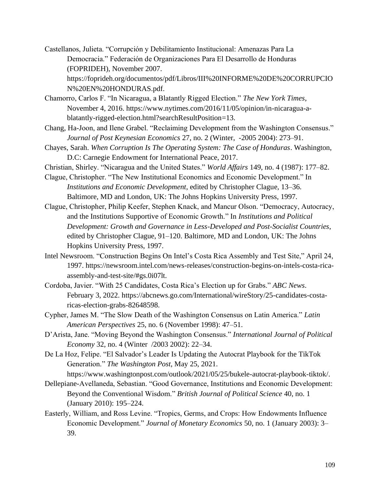- Castellanos, Julieta. "Corrupción y Debilitamiento Institucional: Amenazas Para La Democracia." Federación de Organizaciones Para El Desarrollo de Honduras (FOPRIDEH), November 2007. https://foprideh.org/documentos/pdf/Libros/III%20INFORME%20DE%20CORRUPCIO N%20EN%20HONDURAS.pdf.
- Chamorro, Carlos F. "In Nicaragua, a Blatantly Rigged Election." *The New York Times*, November 4, 2016. https://www.nytimes.com/2016/11/05/opinion/in-nicaragua-ablatantly-rigged-election.html?searchResultPosition=13.
- Chang, Ha-Joon, and Ilene Grabel. "Reclaiming Development from the Washington Consensus." *Journal of Post Keynesian Economics* 27, no. 2 (Winter, -2005 2004): 273–91.
- Chayes, Sarah. *When Corruption Is The Operating System: The Case of Honduras*. Washington, D.C: Carnegie Endowment for International Peace, 2017.
- Christian, Shirley. "Nicaragua and the United States." *World Affairs* 149, no. 4 (1987): 177–82.
- Clague, Christopher. "The New Institutional Economics and Economic Development." In *Institutions and Economic Development*, edited by Christopher Clague, 13–36. Baltimore, MD and London, UK: The Johns Hopkins University Press, 1997.
- Clague, Christopher, Philip Keefer, Stephen Knack, and Mancur Olson. "Democracy, Autocracy, and the Institutions Supportive of Economic Growth." In *Institutions and Political Development: Growth and Governance in Less-Developed and Post-Socialist Countries*, edited by Christopher Clague, 91–120. Baltimore, MD and London, UK: The Johns Hopkins University Press, 1997.
- Intel Newsroom. "Construction Begins On Intel's Costa Rica Assembly and Test Site," April 24, 1997. https://newsroom.intel.com/news-releases/construction-begins-on-intels-costa-ricaassembly-and-test-site/#gs.0i07lt.
- Cordoba, Javier. "With 25 Candidates, Costa Rica's Election up for Grabs." *ABC News*. February 3, 2022. https://abcnews.go.com/International/wireStory/25-candidates-costaricas-election-grabs-82648598.
- Cypher, James M. "The Slow Death of the Washington Consensus on Latin America." *Latin American Perspectives* 25, no. 6 (November 1998): 47–51.
- D'Arista, Jane. "Moving Beyond the Washington Consensus." *International Journal of Political Economy* 32, no. 4 (Winter /2003 2002): 22–34.
- De La Hoz, Felipe. "El Salvador's Leader Is Updating the Autocrat Playbook for the TikTok Generation." *The Washington Post*, May 25, 2021.
	- https://www.washingtonpost.com/outlook/2021/05/25/bukele-autocrat-playbook-tiktok/.
- Dellepiane-Avellaneda, Sebastian. "Good Governance, Institutions and Economic Development: Beyond the Conventional Wisdom." *British Journal of Political Science* 40, no. 1 (January 2010): 195–224.
- Easterly, William, and Ross Levine. "Tropics, Germs, and Crops: How Endowments Influence Economic Development." *Journal of Monetary Economics* 50, no. 1 (January 2003): 3– 39.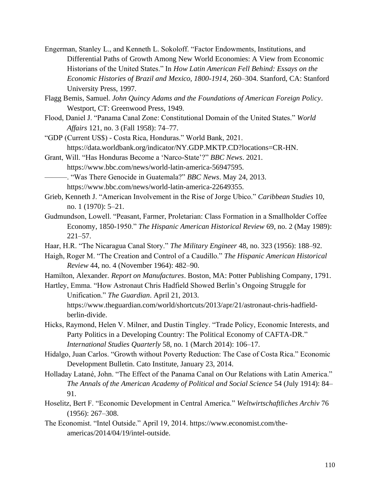- Engerman, Stanley L., and Kenneth L. Sokoloff. "Factor Endowments, Institutions, and Differential Paths of Growth Among New World Economies: A View from Economic Historians of the United States." In *How Latin American Fell Behind: Essays on the Economic Histories of Brazil and Mexico, 1800-1914*, 260–304. Stanford, CA: Stanford University Press, 1997.
- Flagg Bemis, Samuel. *John Quincy Adams and the Foundations of American Foreign Policy*. Westport, CT: Greenwood Press, 1949.
- Flood, Daniel J. "Panama Canal Zone: Constitutional Domain of the United States." *World Affairs* 121, no. 3 (Fall 1958): 74–77.
- "GDP (Current US\$) Costa Rica, Honduras." World Bank, 2021. https://data.worldbank.org/indicator/NY.GDP.MKTP.CD?locations=CR-HN.
- Grant, Will. "Has Honduras Become a 'Narco-State'?" *BBC News*. 2021. https://www.bbc.com/news/world-latin-america-56947595.
- ———. "Was There Genocide in Guatemala?" *BBC News*. May 24, 2013. https://www.bbc.com/news/world-latin-america-22649355.
- Grieb, Kenneth J. "American Involvement in the Rise of Jorge Ubico." *Caribbean Studies* 10, no. 1 (1970): 5–21.
- Gudmundson, Lowell. "Peasant, Farmer, Proletarian: Class Formation in a Smallholder Coffee Economy, 1850-1950." *The Hispanic American Historical Review* 69, no. 2 (May 1989): 221–57.
- Haar, H.R. "The Nicaragua Canal Story." *The Military Engineer* 48, no. 323 (1956): 188–92.
- Haigh, Roger M. "The Creation and Control of a Caudillo." *The Hispanic American Historical Review* 44, no. 4 (November 1964): 482–90.
- Hamilton, Alexander. *Report on Manufactures*. Boston, MA: Potter Publishing Company, 1791.
- Hartley, Emma. "How Astronaut Chris Hadfield Showed Berlin's Ongoing Struggle for Unification." *The Guardian*. April 21, 2013. https://www.theguardian.com/world/shortcuts/2013/apr/21/astronaut-chris-hadfieldberlin-divide.
- Hicks, Raymond, Helen V. Milner, and Dustin Tingley. "Trade Policy, Economic Interests, and Party Politics in a Developing Country: The Political Economy of CAFTA-DR." *International Studies Quarterly* 58, no. 1 (March 2014): 106–17.
- Hidalgo, Juan Carlos. "Growth without Poverty Reduction: The Case of Costa Rica." Economic Development Bulletin. Cato Institute, January 23, 2014.
- Holladay Latané, John. "The Effect of the Panama Canal on Our Relations with Latin America." *The Annals of the American Academy of Political and Social Science* 54 (July 1914): 84– 91.
- Hoselitz, Bert F. "Economic Development in Central America." *Weltwirtschaftliches Archiv* 76 (1956): 267–308.
- The Economist. "Intel Outside." April 19, 2014. https://www.economist.com/theamericas/2014/04/19/intel-outside.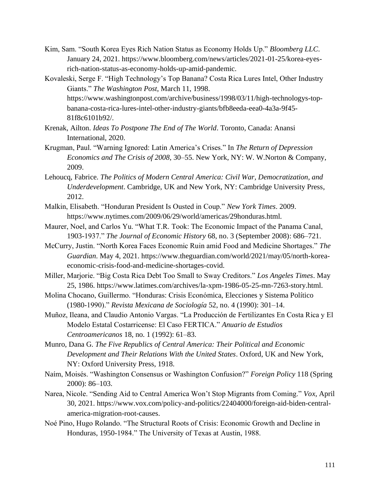- Kim, Sam. "South Korea Eyes Rich Nation Status as Economy Holds Up." *Bloomberg LLC*. January 24, 2021. https://www.bloomberg.com/news/articles/2021-01-25/korea-eyesrich-nation-status-as-economy-holds-up-amid-pandemic.
- Kovaleski, Serge F. "High Technology's Top Banana? Costa Rica Lures Intel, Other Industry Giants." *The Washington Post*, March 11, 1998. https://www.washingtonpost.com/archive/business/1998/03/11/high-technologys-topbanana-costa-rica-lures-intel-other-industry-giants/bfb8eeda-eea0-4a3a-9f45- 81f8c6101b92/.
- Krenak, Ailton. *Ideas To Postpone The End of The World*. Toronto, Canada: Anansi International, 2020.
- Krugman, Paul. "Warning Ignored: Latin America's Crises." In *The Return of Depression Economics and The Crisis of 2008*, 30–55. New York, NY: W. W.Norton & Company, 2009.
- Lehoucq, Fabrice. *The Politics of Modern Central America: Civil War, Democratization, and Underdevelopment*. Cambridge, UK and New York, NY: Cambridge University Press, 2012.
- Malkin, Elisabeth. "Honduran President Is Ousted in Coup." *New York Times*. 2009. https://www.nytimes.com/2009/06/29/world/americas/29honduras.html.
- Maurer, Noel, and Carlos Yu. "What T.R. Took: The Economic Impact of the Panama Canal, 1903-1937." *The Journal of Economic History* 68, no. 3 (September 2008): 686–721.
- McCurry, Justin. "North Korea Faces Economic Ruin amid Food and Medicine Shortages." *The Guardian*. May 4, 2021. https://www.theguardian.com/world/2021/may/05/north-koreaeconomic-crisis-food-and-medicine-shortages-covid.
- Miller, Marjorie. "Big Costa Rica Debt Too Small to Sway Creditors." *Los Angeles Times*. May 25, 1986. https://www.latimes.com/archives/la-xpm-1986-05-25-mn-7263-story.html.
- Molina Chocano, Guillermo. "Honduras: Crisis Económica, Elecciones y Sistema Político (1980-1990)." *Revista Mexicana de Sociología* 52, no. 4 (1990): 301–14.
- Muñoz, Ileana, and Claudio Antonio Vargas. "La Producción de Fertilizantes En Costa Rica y El Modelo Estatal Costarricense: El Caso FERTICA." *Anuario de Estudios Centroamericanos* 18, no. 1 (1992): 61–83.
- Munro, Dana G. *The Five Republics of Central America: Their Political and Economic Development and Their Relations With the United States*. Oxford, UK and New York, NY: Oxford University Press, 1918.
- Naím, Moisés. "Washington Consensus or Washington Confusion?" *Foreign Policy* 118 (Spring 2000): 86–103.
- Narea, Nicole. "Sending Aid to Central America Won't Stop Migrants from Coming." *Vox*, April 30, 2021. https://www.vox.com/policy-and-politics/22404000/foreign-aid-biden-centralamerica-migration-root-causes.
- Noé Pino, Hugo Rolando. "The Structural Roots of Crisis: Economic Growth and Decline in Honduras, 1950-1984." The University of Texas at Austin, 1988.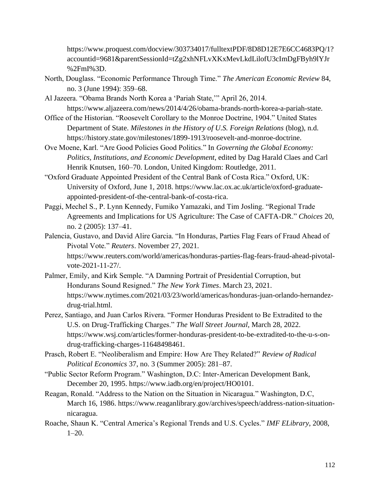https://www.proquest.com/docview/303734017/fulltextPDF/8D8D12E7E6CC4683PQ/1? accountid=9681&parentSessionId=tZg2xhNFLvXKxMevLkdLilofU3cImDgFByh9lYJr %2FmI%3D.

- North, Douglass. "Economic Performance Through Time." *The American Economic Review* 84, no. 3 (June 1994): 359–68.
- Al Jazeera. "Obama Brands North Korea a 'Pariah State,'" April 26, 2014. https://www.aljazeera.com/news/2014/4/26/obama-brands-north-korea-a-pariah-state.
- Office of the Historian. "Roosevelt Corollary to the Monroe Doctrine, 1904." United States Department of State. *Milestones in the History of U.S. Foreign Relations* (blog), n.d. https://history.state.gov/milestones/1899-1913/roosevelt-and-monroe-doctrine.
- Ove Moene, Karl. "Are Good Policies Good Politics." In *Governing the Global Economy: Politics, Institutions, and Economic Development*, edited by Dag Harald Claes and Carl Henrik Knutsen, 160–70. London, United Kingdom: Routledge, 2011.
- "Oxford Graduate Appointed President of the Central Bank of Costa Rica." Oxford, UK: University of Oxford, June 1, 2018. https://www.lac.ox.ac.uk/article/oxford-graduateappointed-president-of-the-central-bank-of-costa-rica.
- Paggi, Mechel S., P. Lynn Kennedy, Fumiko Yamazaki, and Tim Josling. "Regional Trade Agreements and Implications for US Agriculture: The Case of CAFTA-DR." *Choices* 20, no. 2 (2005): 137–41.
- Palencia, Gustavo, and David Alire Garcia. "In Honduras, Parties Flag Fears of Fraud Ahead of Pivotal Vote." *Reuters*. November 27, 2021. https://www.reuters.com/world/americas/honduras-parties-flag-fears-fraud-ahead-pivotalvote-2021-11-27/.
- Palmer, Emily, and Kirk Semple. "A Damning Portrait of Presidential Corruption, but Hondurans Sound Resigned." *The New York Times*. March 23, 2021. https://www.nytimes.com/2021/03/23/world/americas/honduras-juan-orlando-hernandezdrug-trial.html.
- Perez, Santiago, and Juan Carlos Rivera. "Former Honduras President to Be Extradited to the U.S. on Drug-Trafficking Charges." *The Wall Street Journal*, March 28, 2022. https://www.wsj.com/articles/former-honduras-president-to-be-extradited-to-the-u-s-ondrug-trafficking-charges-11648498461.
- Prasch, Robert E. "Neoliberalism and Empire: How Are They Related?" *Review of Radical Political Economics* 37, no. 3 (Summer 2005): 281–87.
- "Public Sector Reform Program." Washington, D.C: Inter-American Development Bank, December 20, 1995. https://www.iadb.org/en/project/HO0101.
- Reagan, Ronald. "Address to the Nation on the Situation in Nicaragua." Washington, D.C, March 16, 1986. https://www.reaganlibrary.gov/archives/speech/address-nation-situationnicaragua.
- Roache, Shaun K. "Central America's Regional Trends and U.S. Cycles." *IMF ELibrary*, 2008, 1–20.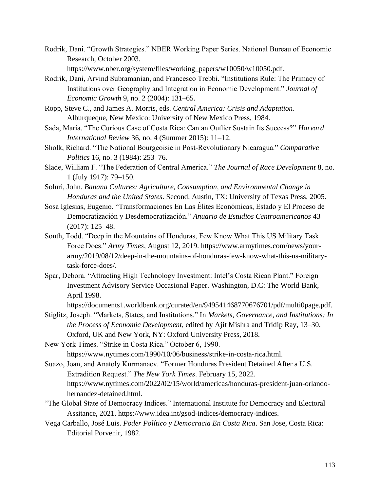Rodrik, Dani. "Growth Strategies." NBER Working Paper Series. National Bureau of Economic Research, October 2003.

https://www.nber.org/system/files/working\_papers/w10050/w10050.pdf.

- Rodrik, Dani, Arvind Subramanian, and Francesco Trebbi. "Institutions Rule: The Primacy of Institutions over Geography and Integration in Economic Development." *Journal of Economic Growth* 9, no. 2 (2004): 131–65.
- Ropp, Steve C., and James A. Morris, eds. *Central America: Crisis and Adaptation*. Alburqueque, New Mexico: University of New Mexico Press, 1984.
- Sada, Maria. "The Curious Case of Costa Rica: Can an Outlier Sustain Its Success?" *Harvard International Review* 36, no. 4 (Summer 2015): 11–12.
- Sholk, Richard. "The National Bourgeoisie in Post-Revolutionary Nicaragua." *Comparative Politics* 16, no. 3 (1984): 253–76.
- Slade, William F. "The Federation of Central America." *The Journal of Race Development* 8, no. 1 (July 1917): 79–150.
- Soluri, John. *Banana Cultures: Agriculture, Consumption, and Environmental Change in Honduras and the United States*. Second. Austin, TX: University of Texas Press, 2005.
- Sosa Iglesias, Eugenio. "Transformaciones En Las Élites Económicas, Estado y El Proceso de Democratización y Desdemocratización." *Anuario de Estudios Centroamericanos* 43 (2017): 125–48.
- South, Todd. "Deep in the Mountains of Honduras, Few Know What This US Military Task Force Does." *Army Times*, August 12, 2019. https://www.armytimes.com/news/yourarmy/2019/08/12/deep-in-the-mountains-of-honduras-few-know-what-this-us-militarytask-force-does/.
- Spar, Debora. "Attracting High Technology Investment: Intel's Costa Rican Plant." Foreign Investment Advisory Service Occasional Paper. Washington, D.C: The World Bank, April 1998.

https://documents1.worldbank.org/curated/en/949541468770676701/pdf/multi0page.pdf.

- Stiglitz, Joseph. "Markets, States, and Institutions." In *Markets, Governance, and Institutions: In the Process of Economic Development*, edited by Ajit Mishra and Tridip Ray, 13–30. Oxford, UK and New York, NY: Oxford University Press, 2018.
- New York Times. "Strike in Costa Rica." October 6, 1990. https://www.nytimes.com/1990/10/06/business/strike-in-costa-rica.html.
- Suazo, Joan, and Anatoly Kurmanaev. "Former Honduras President Detained After a U.S. Extradition Request." *The New York Times*. February 15, 2022. https://www.nytimes.com/2022/02/15/world/americas/honduras-president-juan-orlandohernandez-detained.html.
- "The Global State of Democracy Indices." International Institute for Democracy and Electoral Assitance, 2021. https://www.idea.int/gsod-indices/democracy-indices.
- Vega Carballo, José Luis. *Poder Político y Democracia En Costa Rica*. San Jose, Costa Rica: Editorial Porvenir, 1982.